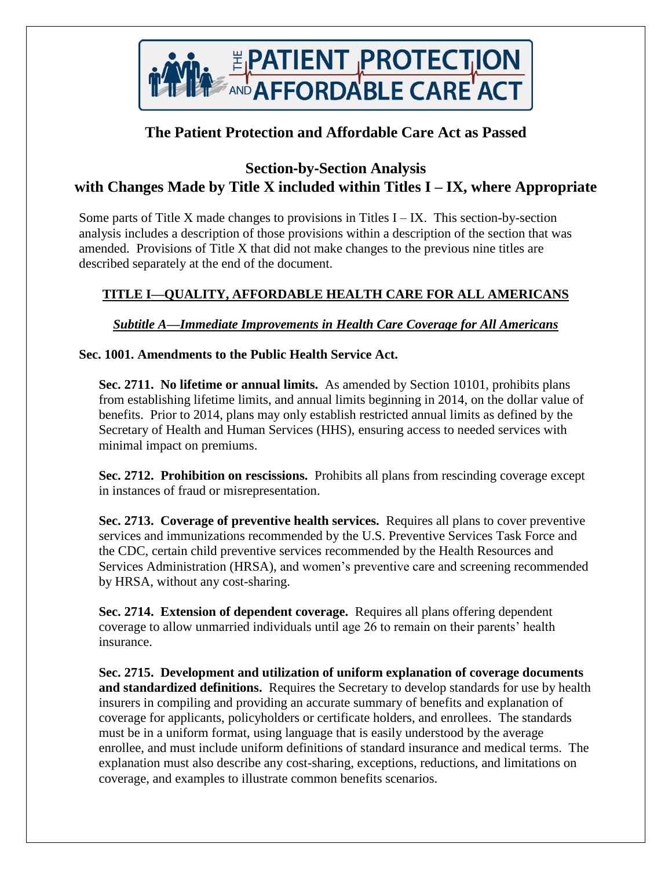

# **The Patient Protection and Affordable Care Act as Passed**

# **Section‐by‐Section Analysis with Changes Made by Title X included within Titles I – IX, where Appropriate**

Some parts of Title X made changes to provisions in Titles  $I - IX$ . This section-by-section analysis includes a description of those provisions within a description of the section that was amended. Provisions of Title X that did not make changes to the previous nine titles are described separately at the end of the document.

# **TITLE I—QUALITY, AFFORDABLE HEALTH CARE FOR ALL AMERICANS**

## *Subtitle A—Immediate Improvements in Health Care Coverage for All Americans*

## **Sec. 1001. Amendments to the Public Health Service Act.**

**Sec. 2711. No lifetime or annual limits.** As amended by Section 10101, prohibits plans from establishing lifetime limits, and annual limits beginning in 2014, on the dollar value of benefits. Prior to 2014, plans may only establish restricted annual limits as defined by the Secretary of Health and Human Services (HHS), ensuring access to needed services with minimal impact on premiums.

**Sec. 2712. Prohibition on rescissions.** Prohibits all plans from rescinding coverage except in instances of fraud or misrepresentation.

**Sec. 2713. Coverage of preventive health services.** Requires all plans to cover preventive services and immunizations recommended by the U.S. Preventive Services Task Force and the CDC, certain child preventive services recommended by the Health Resources and Services Administration (HRSA), and women's preventive care and screening recommended by HRSA, without any cost-sharing.

**Sec. 2714. Extension of dependent coverage.** Requires all plans offering dependent coverage to allow unmarried individuals until age 26 to remain on their parents' health insurance.

**Sec. 2715. Development and utilization of uniform explanation of coverage documents and standardized definitions.** Requires the Secretary to develop standards for use by health insurers in compiling and providing an accurate summary of benefits and explanation of coverage for applicants, policyholders or certificate holders, and enrollees. The standards must be in a uniform format, using language that is easily understood by the average enrollee, and must include uniform definitions of standard insurance and medical terms. The explanation must also describe any cost-sharing, exceptions, reductions, and limitations on coverage, and examples to illustrate common benefits scenarios.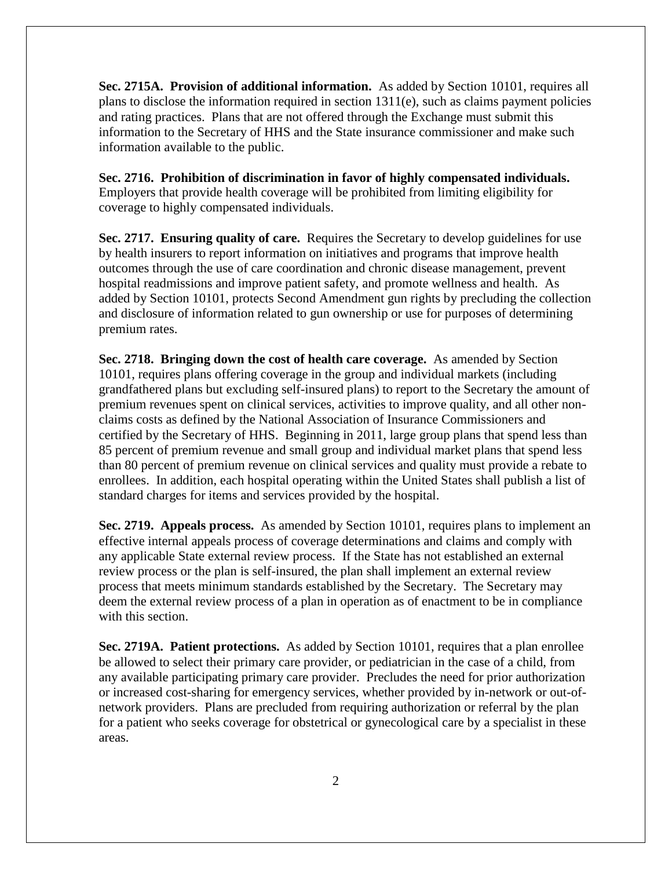**Sec. 2715A. Provision of additional information.** As added by Section 10101, requires all plans to disclose the information required in section 1311(e), such as claims payment policies and rating practices. Plans that are not offered through the Exchange must submit this information to the Secretary of HHS and the State insurance commissioner and make such information available to the public.

**Sec. 2716. Prohibition of discrimination in favor of highly compensated individuals.**  Employers that provide health coverage will be prohibited from limiting eligibility for coverage to highly compensated individuals.

**Sec. 2717. Ensuring quality of care.** Requires the Secretary to develop guidelines for use by health insurers to report information on initiatives and programs that improve health outcomes through the use of care coordination and chronic disease management, prevent hospital readmissions and improve patient safety, and promote wellness and health. As added by Section 10101, protects Second Amendment gun rights by precluding the collection and disclosure of information related to gun ownership or use for purposes of determining premium rates.

**Sec. 2718. Bringing down the cost of health care coverage.** As amended by Section 10101, requires plans offering coverage in the group and individual markets (including grandfathered plans but excluding self-insured plans) to report to the Secretary the amount of premium revenues spent on clinical services, activities to improve quality, and all other nonclaims costs as defined by the National Association of Insurance Commissioners and certified by the Secretary of HHS. Beginning in 2011, large group plans that spend less than 85 percent of premium revenue and small group and individual market plans that spend less than 80 percent of premium revenue on clinical services and quality must provide a rebate to enrollees. In addition, each hospital operating within the United States shall publish a list of standard charges for items and services provided by the hospital.

**Sec. 2719. Appeals process.** As amended by Section 10101, requires plans to implement an effective internal appeals process of coverage determinations and claims and comply with any applicable State external review process. If the State has not established an external review process or the plan is self-insured, the plan shall implement an external review process that meets minimum standards established by the Secretary. The Secretary may deem the external review process of a plan in operation as of enactment to be in compliance with this section.

**Sec. 2719A. Patient protections.** As added by Section 10101, requires that a plan enrollee be allowed to select their primary care provider, or pediatrician in the case of a child, from any available participating primary care provider. Precludes the need for prior authorization or increased cost-sharing for emergency services, whether provided by in-network or out-ofnetwork providers. Plans are precluded from requiring authorization or referral by the plan for a patient who seeks coverage for obstetrical or gynecological care by a specialist in these areas.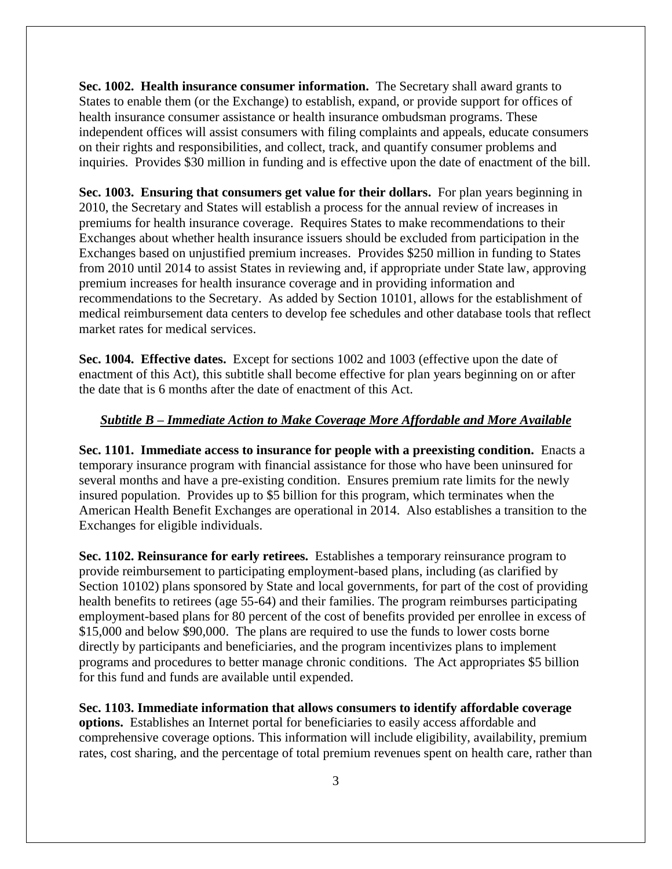**Sec. 1002. Health insurance consumer information.** The Secretary shall award grants to States to enable them (or the Exchange) to establish, expand, or provide support for offices of health insurance consumer assistance or health insurance ombudsman programs. These independent offices will assist consumers with filing complaints and appeals, educate consumers on their rights and responsibilities, and collect, track, and quantify consumer problems and inquiries. Provides \$30 million in funding and is effective upon the date of enactment of the bill.

**Sec. 1003. Ensuring that consumers get value for their dollars.** For plan years beginning in 2010, the Secretary and States will establish a process for the annual review of increases in premiums for health insurance coverage. Requires States to make recommendations to their Exchanges about whether health insurance issuers should be excluded from participation in the Exchanges based on unjustified premium increases. Provides \$250 million in funding to States from 2010 until 2014 to assist States in reviewing and, if appropriate under State law, approving premium increases for health insurance coverage and in providing information and recommendations to the Secretary. As added by Section 10101, allows for the establishment of medical reimbursement data centers to develop fee schedules and other database tools that reflect market rates for medical services.

**Sec. 1004. Effective dates.** Except for sections 1002 and 1003 (effective upon the date of enactment of this Act), this subtitle shall become effective for plan years beginning on or after the date that is 6 months after the date of enactment of this Act.

#### *Subtitle B – Immediate Action to Make Coverage More Affordable and More Available*

**Sec. 1101. Immediate access to insurance for people with a preexisting condition.** Enacts a temporary insurance program with financial assistance for those who have been uninsured for several months and have a pre-existing condition. Ensures premium rate limits for the newly insured population. Provides up to \$5 billion for this program, which terminates when the American Health Benefit Exchanges are operational in 2014. Also establishes a transition to the Exchanges for eligible individuals.

**Sec. 1102. Reinsurance for early retirees.** Establishes a temporary reinsurance program to provide reimbursement to participating employment-based plans, including (as clarified by Section 10102) plans sponsored by State and local governments, for part of the cost of providing health benefits to retirees (age 55-64) and their families. The program reimburses participating employment-based plans for 80 percent of the cost of benefits provided per enrollee in excess of \$15,000 and below \$90,000. The plans are required to use the funds to lower costs borne directly by participants and beneficiaries, and the program incentivizes plans to implement programs and procedures to better manage chronic conditions. The Act appropriates \$5 billion for this fund and funds are available until expended.

**Sec. 1103. Immediate information that allows consumers to identify affordable coverage options.** Establishes an Internet portal for beneficiaries to easily access affordable and comprehensive coverage options. This information will include eligibility, availability, premium rates, cost sharing, and the percentage of total premium revenues spent on health care, rather than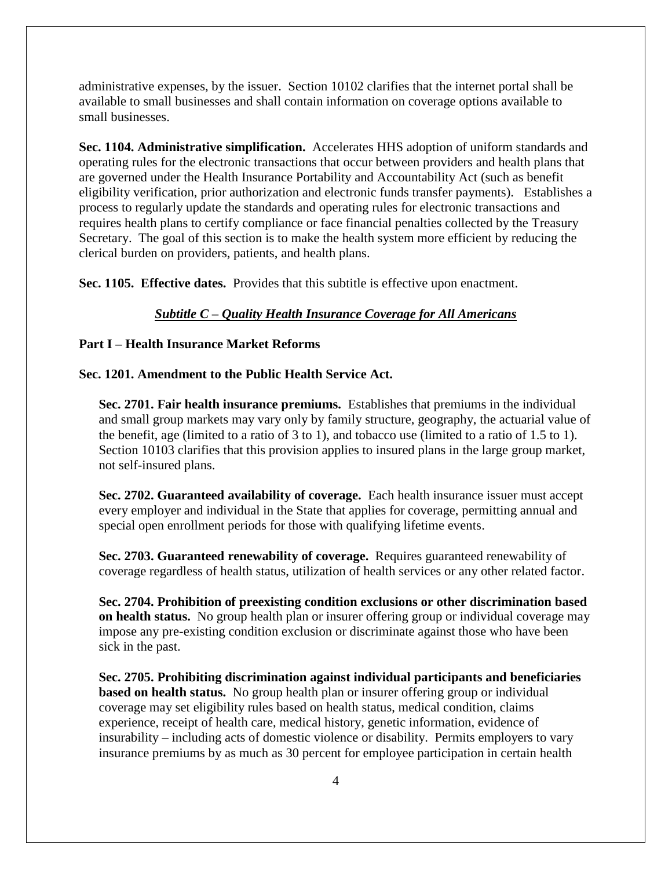administrative expenses, by the issuer. Section 10102 clarifies that the internet portal shall be available to small businesses and shall contain information on coverage options available to small businesses.

**Sec. 1104. Administrative simplification.** Accelerates HHS adoption of uniform standards and operating rules for the electronic transactions that occur between providers and health plans that are governed under the Health Insurance Portability and Accountability Act (such as benefit eligibility verification, prior authorization and electronic funds transfer payments). Establishes a process to regularly update the standards and operating rules for electronic transactions and requires health plans to certify compliance or face financial penalties collected by the Treasury Secretary. The goal of this section is to make the health system more efficient by reducing the clerical burden on providers, patients, and health plans.

**Sec. 1105. Effective dates.** Provides that this subtitle is effective upon enactment.

### *Subtitle C – Quality Health Insurance Coverage for All Americans*

#### **Part I – Health Insurance Market Reforms**

## **Sec. 1201. Amendment to the Public Health Service Act.**

**Sec. 2701. Fair health insurance premiums.** Establishes that premiums in the individual and small group markets may vary only by family structure, geography, the actuarial value of the benefit, age (limited to a ratio of 3 to 1), and tobacco use (limited to a ratio of 1.5 to 1). Section 10103 clarifies that this provision applies to insured plans in the large group market, not self-insured plans.

**Sec. 2702. Guaranteed availability of coverage.** Each health insurance issuer must accept every employer and individual in the State that applies for coverage, permitting annual and special open enrollment periods for those with qualifying lifetime events.

**Sec. 2703. Guaranteed renewability of coverage.** Requires guaranteed renewability of coverage regardless of health status, utilization of health services or any other related factor.

**Sec. 2704. Prohibition of preexisting condition exclusions or other discrimination based on health status.** No group health plan or insurer offering group or individual coverage may impose any pre-existing condition exclusion or discriminate against those who have been sick in the past.

**Sec. 2705. Prohibiting discrimination against individual participants and beneficiaries based on health status.** No group health plan or insurer offering group or individual coverage may set eligibility rules based on health status, medical condition, claims experience, receipt of health care, medical history, genetic information, evidence of insurability – including acts of domestic violence or disability. Permits employers to vary insurance premiums by as much as 30 percent for employee participation in certain health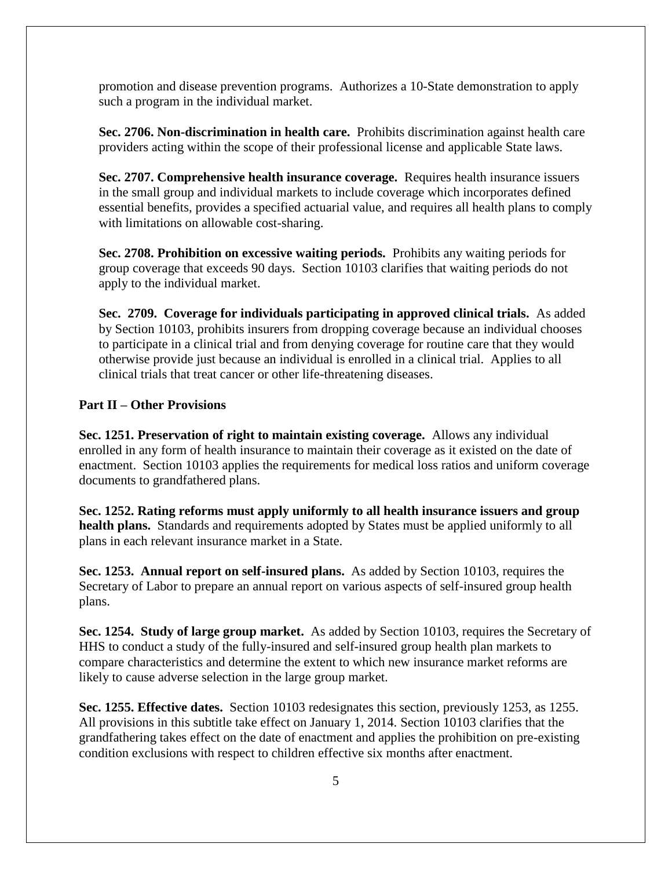promotion and disease prevention programs. Authorizes a 10-State demonstration to apply such a program in the individual market.

**Sec. 2706. Non-discrimination in health care.** Prohibits discrimination against health care providers acting within the scope of their professional license and applicable State laws.

**Sec. 2707. Comprehensive health insurance coverage.** Requires health insurance issuers in the small group and individual markets to include coverage which incorporates defined essential benefits, provides a specified actuarial value, and requires all health plans to comply with limitations on allowable cost-sharing.

**Sec. 2708. Prohibition on excessive waiting periods.** Prohibits any waiting periods for group coverage that exceeds 90 days. Section 10103 clarifies that waiting periods do not apply to the individual market.

**Sec. 2709. Coverage for individuals participating in approved clinical trials.** As added by Section 10103, prohibits insurers from dropping coverage because an individual chooses to participate in a clinical trial and from denying coverage for routine care that they would otherwise provide just because an individual is enrolled in a clinical trial. Applies to all clinical trials that treat cancer or other life-threatening diseases.

## **Part II – Other Provisions**

**Sec. 1251. Preservation of right to maintain existing coverage.** Allows any individual enrolled in any form of health insurance to maintain their coverage as it existed on the date of enactment. Section 10103 applies the requirements for medical loss ratios and uniform coverage documents to grandfathered plans.

**Sec. 1252. Rating reforms must apply uniformly to all health insurance issuers and group health plans.** Standards and requirements adopted by States must be applied uniformly to all plans in each relevant insurance market in a State.

**Sec. 1253. Annual report on self-insured plans.** As added by Section 10103, requires the Secretary of Labor to prepare an annual report on various aspects of self-insured group health plans.

**Sec. 1254. Study of large group market.** As added by Section 10103, requires the Secretary of HHS to conduct a study of the fully-insured and self-insured group health plan markets to compare characteristics and determine the extent to which new insurance market reforms are likely to cause adverse selection in the large group market.

**Sec. 1255. Effective dates.** Section 10103 redesignates this section, previously 1253, as 1255. All provisions in this subtitle take effect on January 1, 2014. Section 10103 clarifies that the grandfathering takes effect on the date of enactment and applies the prohibition on pre-existing condition exclusions with respect to children effective six months after enactment.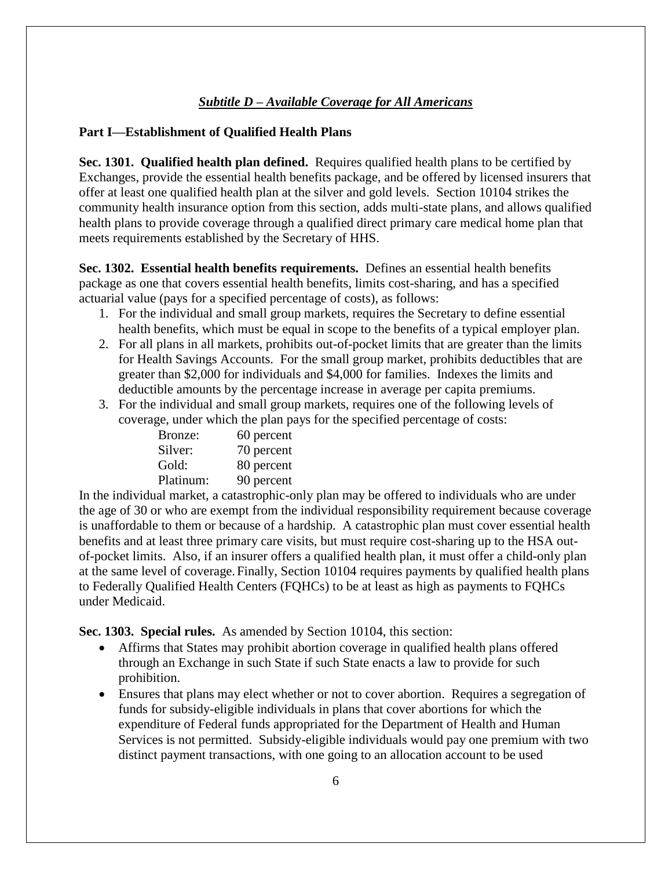### *Subtitle D – Available Coverage for All Americans*

#### **Part I—Establishment of Qualified Health Plans**

**Sec. 1301. Qualified health plan defined.** Requires qualified health plans to be certified by Exchanges, provide the essential health benefits package, and be offered by licensed insurers that offer at least one qualified health plan at the silver and gold levels. Section 10104 strikes the community health insurance option from this section, adds multi-state plans, and allows qualified health plans to provide coverage through a qualified direct primary care medical home plan that meets requirements established by the Secretary of HHS.

**Sec. 1302. Essential health benefits requirements.** Defines an essential health benefits package as one that covers essential health benefits, limits cost-sharing, and has a specified actuarial value (pays for a specified percentage of costs), as follows:

- 1. For the individual and small group markets, requires the Secretary to define essential health benefits, which must be equal in scope to the benefits of a typical employer plan.
- 2. For all plans in all markets, prohibits out-of-pocket limits that are greater than the limits for Health Savings Accounts. For the small group market, prohibits deductibles that are greater than \$2,000 for individuals and \$4,000 for families. Indexes the limits and deductible amounts by the percentage increase in average per capita premiums.
- 3. For the individual and small group markets, requires one of the following levels of coverage, under which the plan pays for the specified percentage of costs:

| Bronze:   | 60 percent |
|-----------|------------|
| Silver:   | 70 percent |
| Gold:     | 80 percent |
| Platinum: | 90 percent |

In the individual market, a catastrophic-only plan may be offered to individuals who are under the age of 30 or who are exempt from the individual responsibility requirement because coverage is unaffordable to them or because of a hardship. A catastrophic plan must cover essential health benefits and at least three primary care visits, but must require cost-sharing up to the HSA outof-pocket limits. Also, if an insurer offers a qualified health plan, it must offer a child-only plan at the same level of coverage.Finally, Section 10104 requires payments by qualified health plans to Federally Qualified Health Centers (FQHCs) to be at least as high as payments to FQHCs under Medicaid.

**Sec. 1303. Special rules.** As amended by Section 10104, this section:

- Affirms that States may prohibit abortion coverage in qualified health plans offered through an Exchange in such State if such State enacts a law to provide for such prohibition.
- Ensures that plans may elect whether or not to cover abortion.Requires a segregation of funds for subsidy-eligible individuals in plans that cover abortions for which the expenditure of Federal funds appropriated for the Department of Health and Human Services is not permitted. Subsidy-eligible individuals would pay one premium with two distinct payment transactions, with one going to an allocation account to be used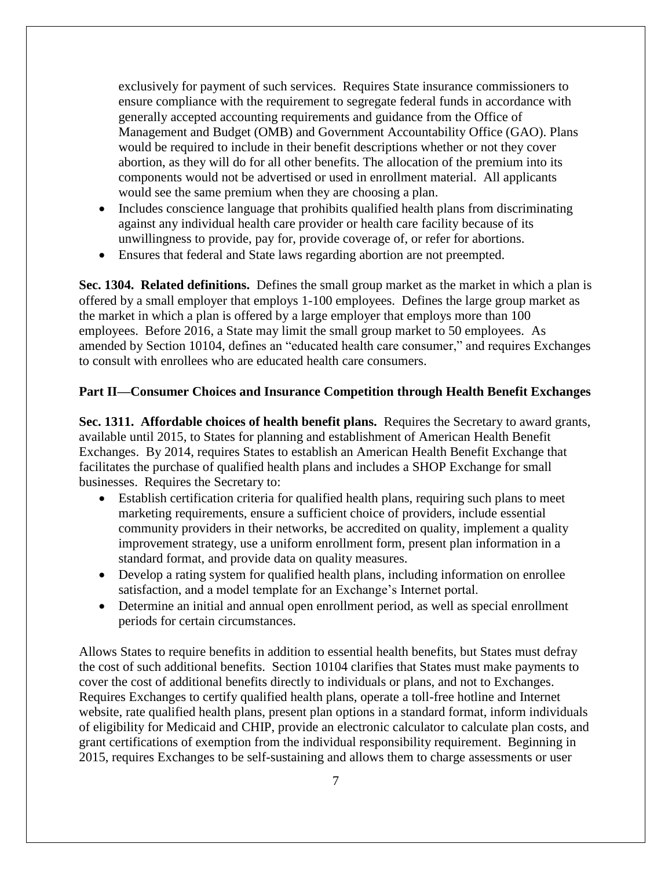exclusively for payment of such services. Requires State insurance commissioners to ensure compliance with the requirement to segregate federal funds in accordance with generally accepted accounting requirements and guidance from the Office of Management and Budget (OMB) and Government Accountability Office (GAO). Plans would be required to include in their benefit descriptions whether or not they cover abortion, as they will do for all other benefits. The allocation of the premium into its components would not be advertised or used in enrollment material. All applicants would see the same premium when they are choosing a plan.

- Includes conscience language that prohibits qualified health plans from discriminating against any individual health care provider or health care facility because of its unwillingness to provide, pay for, provide coverage of, or refer for abortions.
- Ensures that federal and State laws regarding abortion are not preempted.

**Sec. 1304. Related definitions.** Defines the small group market as the market in which a plan is offered by a small employer that employs 1-100 employees. Defines the large group market as the market in which a plan is offered by a large employer that employs more than 100 employees. Before 2016, a State may limit the small group market to 50 employees. As amended by Section 10104, defines an "educated health care consumer," and requires Exchanges to consult with enrollees who are educated health care consumers.

#### **Part II—Consumer Choices and Insurance Competition through Health Benefit Exchanges**

**Sec. 1311. Affordable choices of health benefit plans.** Requires the Secretary to award grants, available until 2015, to States for planning and establishment of American Health Benefit Exchanges. By 2014, requires States to establish an American Health Benefit Exchange that facilitates the purchase of qualified health plans and includes a SHOP Exchange for small businesses. Requires the Secretary to:

- Establish certification criteria for qualified health plans, requiring such plans to meet marketing requirements, ensure a sufficient choice of providers, include essential community providers in their networks, be accredited on quality, implement a quality improvement strategy, use a uniform enrollment form, present plan information in a standard format, and provide data on quality measures.
- Develop a rating system for qualified health plans, including information on enrollee satisfaction, and a model template for an Exchange's Internet portal.
- Determine an initial and annual open enrollment period, as well as special enrollment periods for certain circumstances.

Allows States to require benefits in addition to essential health benefits, but States must defray the cost of such additional benefits. Section 10104 clarifies that States must make payments to cover the cost of additional benefits directly to individuals or plans, and not to Exchanges. Requires Exchanges to certify qualified health plans, operate a toll-free hotline and Internet website, rate qualified health plans, present plan options in a standard format, inform individuals of eligibility for Medicaid and CHIP, provide an electronic calculator to calculate plan costs, and grant certifications of exemption from the individual responsibility requirement. Beginning in 2015, requires Exchanges to be self-sustaining and allows them to charge assessments or user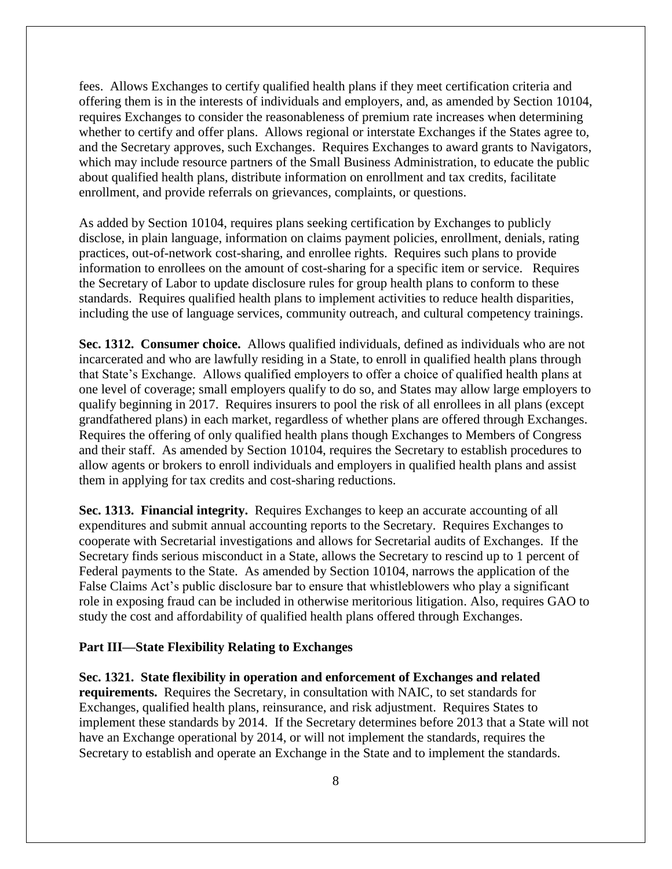fees. Allows Exchanges to certify qualified health plans if they meet certification criteria and offering them is in the interests of individuals and employers, and, as amended by Section 10104, requires Exchanges to consider the reasonableness of premium rate increases when determining whether to certify and offer plans. Allows regional or interstate Exchanges if the States agree to, and the Secretary approves, such Exchanges. Requires Exchanges to award grants to Navigators, which may include resource partners of the Small Business Administration, to educate the public about qualified health plans, distribute information on enrollment and tax credits, facilitate enrollment, and provide referrals on grievances, complaints, or questions.

As added by Section 10104, requires plans seeking certification by Exchanges to publicly disclose, in plain language, information on claims payment policies, enrollment, denials, rating practices, out-of-network cost-sharing, and enrollee rights. Requires such plans to provide information to enrollees on the amount of cost-sharing for a specific item or service. Requires the Secretary of Labor to update disclosure rules for group health plans to conform to these standards. Requires qualified health plans to implement activities to reduce health disparities, including the use of language services, community outreach, and cultural competency trainings.

**Sec. 1312. Consumer choice.** Allows qualified individuals, defined as individuals who are not incarcerated and who are lawfully residing in a State, to enroll in qualified health plans through that State's Exchange. Allows qualified employers to offer a choice of qualified health plans at one level of coverage; small employers qualify to do so, and States may allow large employers to qualify beginning in 2017. Requires insurers to pool the risk of all enrollees in all plans (except grandfathered plans) in each market, regardless of whether plans are offered through Exchanges. Requires the offering of only qualified health plans though Exchanges to Members of Congress and their staff. As amended by Section 10104, requires the Secretary to establish procedures to allow agents or brokers to enroll individuals and employers in qualified health plans and assist them in applying for tax credits and cost-sharing reductions.

**Sec. 1313. Financial integrity.** Requires Exchanges to keep an accurate accounting of all expenditures and submit annual accounting reports to the Secretary. Requires Exchanges to cooperate with Secretarial investigations and allows for Secretarial audits of Exchanges. If the Secretary finds serious misconduct in a State, allows the Secretary to rescind up to 1 percent of Federal payments to the State. As amended by Section 10104, narrows the application of the False Claims Act's public disclosure bar to ensure that whistleblowers who play a significant role in exposing fraud can be included in otherwise meritorious litigation. Also, requires GAO to study the cost and affordability of qualified health plans offered through Exchanges.

#### **Part III—State Flexibility Relating to Exchanges**

**Sec. 1321. State flexibility in operation and enforcement of Exchanges and related requirements.** Requires the Secretary, in consultation with NAIC, to set standards for Exchanges, qualified health plans, reinsurance, and risk adjustment. Requires States to implement these standards by 2014. If the Secretary determines before 2013 that a State will not have an Exchange operational by 2014, or will not implement the standards, requires the Secretary to establish and operate an Exchange in the State and to implement the standards.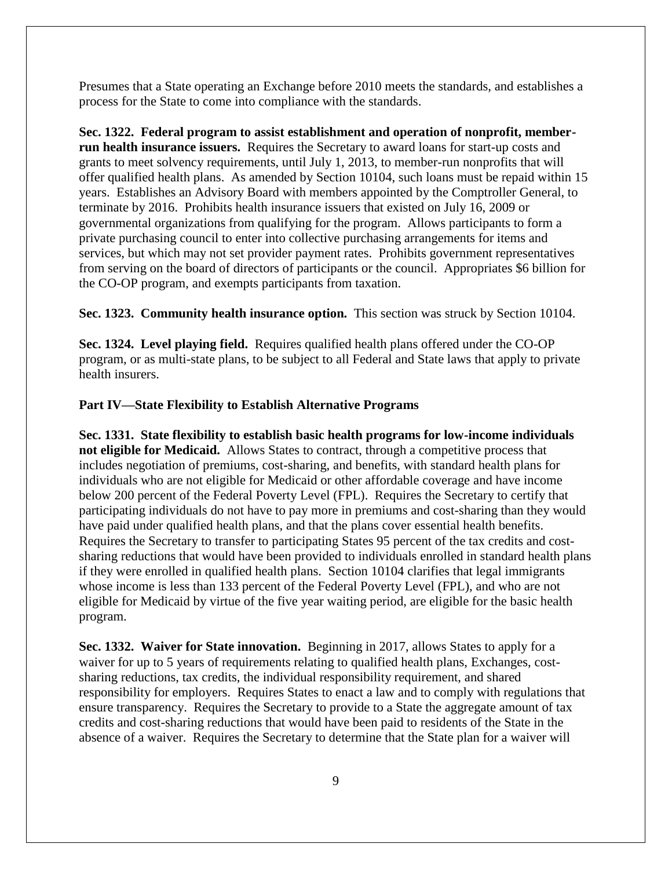Presumes that a State operating an Exchange before 2010 meets the standards, and establishes a process for the State to come into compliance with the standards.

**Sec. 1322. Federal program to assist establishment and operation of nonprofit, memberrun health insurance issuers.** Requires the Secretary to award loans for start-up costs and grants to meet solvency requirements, until July 1, 2013, to member-run nonprofits that will offer qualified health plans. As amended by Section 10104, such loans must be repaid within 15 years. Establishes an Advisory Board with members appointed by the Comptroller General, to terminate by 2016. Prohibits health insurance issuers that existed on July 16, 2009 or governmental organizations from qualifying for the program. Allows participants to form a private purchasing council to enter into collective purchasing arrangements for items and services, but which may not set provider payment rates. Prohibits government representatives from serving on the board of directors of participants or the council. Appropriates \$6 billion for the CO-OP program, and exempts participants from taxation.

**Sec. 1323. Community health insurance option.** This section was struck by Section 10104.

**Sec. 1324. Level playing field.** Requires qualified health plans offered under the CO-OP program, or as multi-state plans, to be subject to all Federal and State laws that apply to private health insurers.

#### **Part IV—State Flexibility to Establish Alternative Programs**

**Sec. 1331. State flexibility to establish basic health programs for low-income individuals not eligible for Medicaid.** Allows States to contract, through a competitive process that includes negotiation of premiums, cost-sharing, and benefits, with standard health plans for individuals who are not eligible for Medicaid or other affordable coverage and have income below 200 percent of the Federal Poverty Level (FPL). Requires the Secretary to certify that participating individuals do not have to pay more in premiums and cost-sharing than they would have paid under qualified health plans, and that the plans cover essential health benefits. Requires the Secretary to transfer to participating States 95 percent of the tax credits and costsharing reductions that would have been provided to individuals enrolled in standard health plans if they were enrolled in qualified health plans. Section 10104 clarifies that legal immigrants whose income is less than 133 percent of the Federal Poverty Level (FPL), and who are not eligible for Medicaid by virtue of the five year waiting period, are eligible for the basic health program.

**Sec. 1332. Waiver for State innovation.** Beginning in 2017, allows States to apply for a waiver for up to 5 years of requirements relating to qualified health plans, Exchanges, costsharing reductions, tax credits, the individual responsibility requirement, and shared responsibility for employers. Requires States to enact a law and to comply with regulations that ensure transparency. Requires the Secretary to provide to a State the aggregate amount of tax credits and cost-sharing reductions that would have been paid to residents of the State in the absence of a waiver. Requires the Secretary to determine that the State plan for a waiver will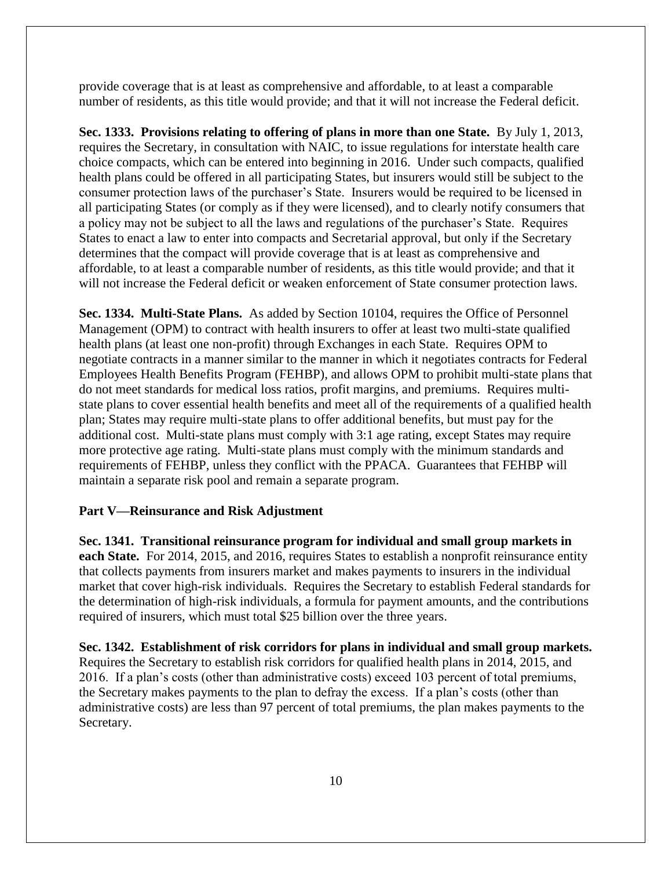provide coverage that is at least as comprehensive and affordable, to at least a comparable number of residents, as this title would provide; and that it will not increase the Federal deficit.

**Sec. 1333. Provisions relating to offering of plans in more than one State.** By July 1, 2013, requires the Secretary, in consultation with NAIC, to issue regulations for interstate health care choice compacts, which can be entered into beginning in 2016. Under such compacts, qualified health plans could be offered in all participating States, but insurers would still be subject to the consumer protection laws of the purchaser's State. Insurers would be required to be licensed in all participating States (or comply as if they were licensed), and to clearly notify consumers that a policy may not be subject to all the laws and regulations of the purchaser's State. Requires States to enact a law to enter into compacts and Secretarial approval, but only if the Secretary determines that the compact will provide coverage that is at least as comprehensive and affordable, to at least a comparable number of residents, as this title would provide; and that it will not increase the Federal deficit or weaken enforcement of State consumer protection laws.

**Sec. 1334. Multi-State Plans.** As added by Section 10104, requires the Office of Personnel Management (OPM) to contract with health insurers to offer at least two multi-state qualified health plans (at least one non-profit) through Exchanges in each State. Requires OPM to negotiate contracts in a manner similar to the manner in which it negotiates contracts for Federal Employees Health Benefits Program (FEHBP), and allows OPM to prohibit multi-state plans that do not meet standards for medical loss ratios, profit margins, and premiums. Requires multistate plans to cover essential health benefits and meet all of the requirements of a qualified health plan; States may require multi-state plans to offer additional benefits, but must pay for the additional cost. Multi-state plans must comply with 3:1 age rating, except States may require more protective age rating. Multi-state plans must comply with the minimum standards and requirements of FEHBP, unless they conflict with the PPACA. Guarantees that FEHBP will maintain a separate risk pool and remain a separate program.

## **Part V—Reinsurance and Risk Adjustment**

**Sec. 1341. Transitional reinsurance program for individual and small group markets in each State.** For 2014, 2015, and 2016, requires States to establish a nonprofit reinsurance entity that collects payments from insurers market and makes payments to insurers in the individual market that cover high-risk individuals. Requires the Secretary to establish Federal standards for the determination of high-risk individuals, a formula for payment amounts, and the contributions required of insurers, which must total \$25 billion over the three years.

**Sec. 1342. Establishment of risk corridors for plans in individual and small group markets.** Requires the Secretary to establish risk corridors for qualified health plans in 2014, 2015, and 2016. If a plan's costs (other than administrative costs) exceed 103 percent of total premiums, the Secretary makes payments to the plan to defray the excess. If a plan's costs (other than administrative costs) are less than 97 percent of total premiums, the plan makes payments to the Secretary.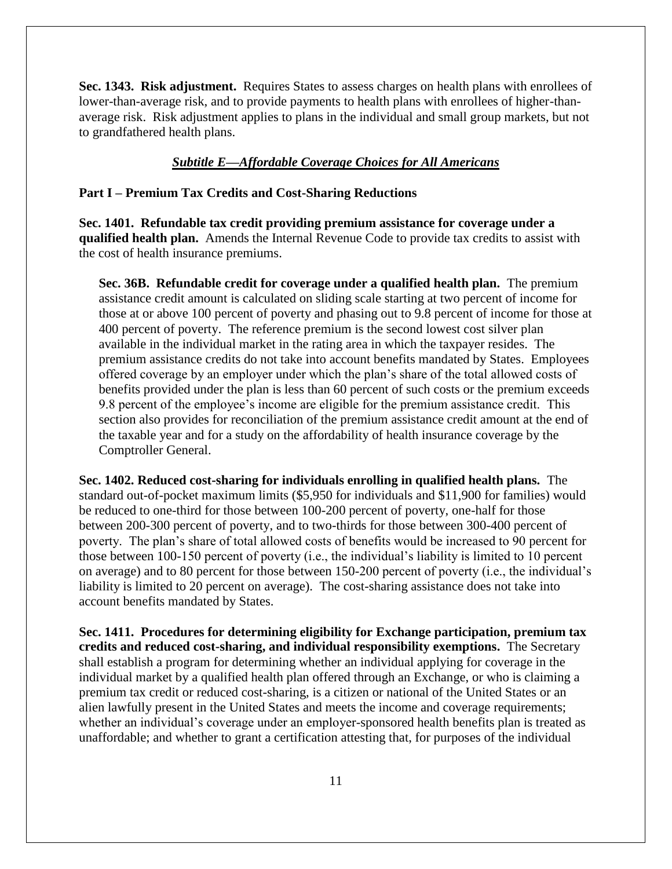**Sec. 1343. Risk adjustment.** Requires States to assess charges on health plans with enrollees of lower-than-average risk, and to provide payments to health plans with enrollees of higher-thanaverage risk. Risk adjustment applies to plans in the individual and small group markets, but not to grandfathered health plans.

### *Subtitle E—Affordable Coverage Choices for All Americans*

#### **Part I – Premium Tax Credits and Cost-Sharing Reductions**

**Sec. 1401. Refundable tax credit providing premium assistance for coverage under a qualified health plan.** Amends the Internal Revenue Code to provide tax credits to assist with the cost of health insurance premiums.

**Sec. 36B. Refundable credit for coverage under a qualified health plan.** The premium assistance credit amount is calculated on sliding scale starting at two percent of income for those at or above 100 percent of poverty and phasing out to 9.8 percent of income for those at 400 percent of poverty. The reference premium is the second lowest cost silver plan available in the individual market in the rating area in which the taxpayer resides. The premium assistance credits do not take into account benefits mandated by States. Employees offered coverage by an employer under which the plan's share of the total allowed costs of benefits provided under the plan is less than 60 percent of such costs or the premium exceeds 9.8 percent of the employee's income are eligible for the premium assistance credit. This section also provides for reconciliation of the premium assistance credit amount at the end of the taxable year and for a study on the affordability of health insurance coverage by the Comptroller General.

**Sec. 1402. Reduced cost-sharing for individuals enrolling in qualified health plans.** The standard out-of-pocket maximum limits (\$5,950 for individuals and \$11,900 for families) would be reduced to one-third for those between 100-200 percent of poverty, one-half for those between 200-300 percent of poverty, and to two-thirds for those between 300-400 percent of poverty. The plan's share of total allowed costs of benefits would be increased to 90 percent for those between 100-150 percent of poverty (i.e., the individual's liability is limited to 10 percent on average) and to 80 percent for those between 150-200 percent of poverty (i.e., the individual's liability is limited to 20 percent on average). The cost-sharing assistance does not take into account benefits mandated by States.

**Sec. 1411. Procedures for determining eligibility for Exchange participation, premium tax credits and reduced cost-sharing, and individual responsibility exemptions.** The Secretary shall establish a program for determining whether an individual applying for coverage in the individual market by a qualified health plan offered through an Exchange, or who is claiming a premium tax credit or reduced cost-sharing, is a citizen or national of the United States or an alien lawfully present in the United States and meets the income and coverage requirements; whether an individual's coverage under an employer-sponsored health benefits plan is treated as unaffordable; and whether to grant a certification attesting that, for purposes of the individual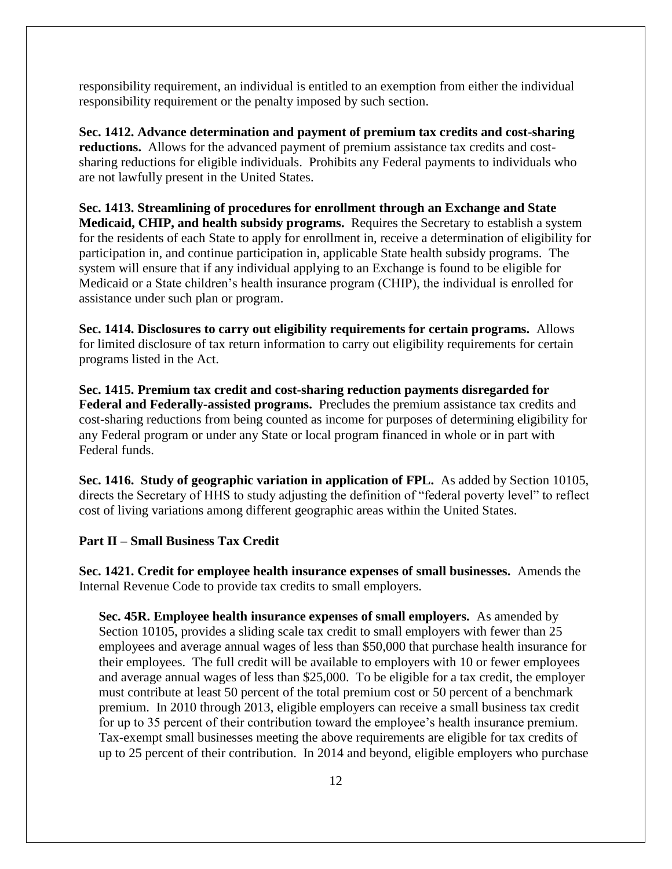responsibility requirement, an individual is entitled to an exemption from either the individual responsibility requirement or the penalty imposed by such section.

**Sec. 1412. Advance determination and payment of premium tax credits and cost-sharing reductions.** Allows for the advanced payment of premium assistance tax credits and costsharing reductions for eligible individuals. Prohibits any Federal payments to individuals who are not lawfully present in the United States.

**Sec. 1413. Streamlining of procedures for enrollment through an Exchange and State Medicaid, CHIP, and health subsidy programs.** Requires the Secretary to establish a system for the residents of each State to apply for enrollment in, receive a determination of eligibility for participation in, and continue participation in, applicable State health subsidy programs. The system will ensure that if any individual applying to an Exchange is found to be eligible for Medicaid or a State children's health insurance program (CHIP), the individual is enrolled for assistance under such plan or program.

**Sec. 1414. Disclosures to carry out eligibility requirements for certain programs.** Allows for limited disclosure of tax return information to carry out eligibility requirements for certain programs listed in the Act.

**Sec. 1415. Premium tax credit and cost-sharing reduction payments disregarded for Federal and Federally-assisted programs.** Precludes the premium assistance tax credits and cost-sharing reductions from being counted as income for purposes of determining eligibility for any Federal program or under any State or local program financed in whole or in part with Federal funds.

**Sec. 1416. Study of geographic variation in application of FPL.** As added by Section 10105, directs the Secretary of HHS to study adjusting the definition of "federal poverty level" to reflect cost of living variations among different geographic areas within the United States.

## **Part II – Small Business Tax Credit**

**Sec. 1421. Credit for employee health insurance expenses of small businesses.** Amends the Internal Revenue Code to provide tax credits to small employers.

**Sec. 45R. Employee health insurance expenses of small employers.** As amended by Section 10105, provides a sliding scale tax credit to small employers with fewer than 25 employees and average annual wages of less than \$50,000 that purchase health insurance for their employees. The full credit will be available to employers with 10 or fewer employees and average annual wages of less than \$25,000. To be eligible for a tax credit, the employer must contribute at least 50 percent of the total premium cost or 50 percent of a benchmark premium. In 2010 through 2013, eligible employers can receive a small business tax credit for up to 35 percent of their contribution toward the employee's health insurance premium. Tax-exempt small businesses meeting the above requirements are eligible for tax credits of up to 25 percent of their contribution. In 2014 and beyond, eligible employers who purchase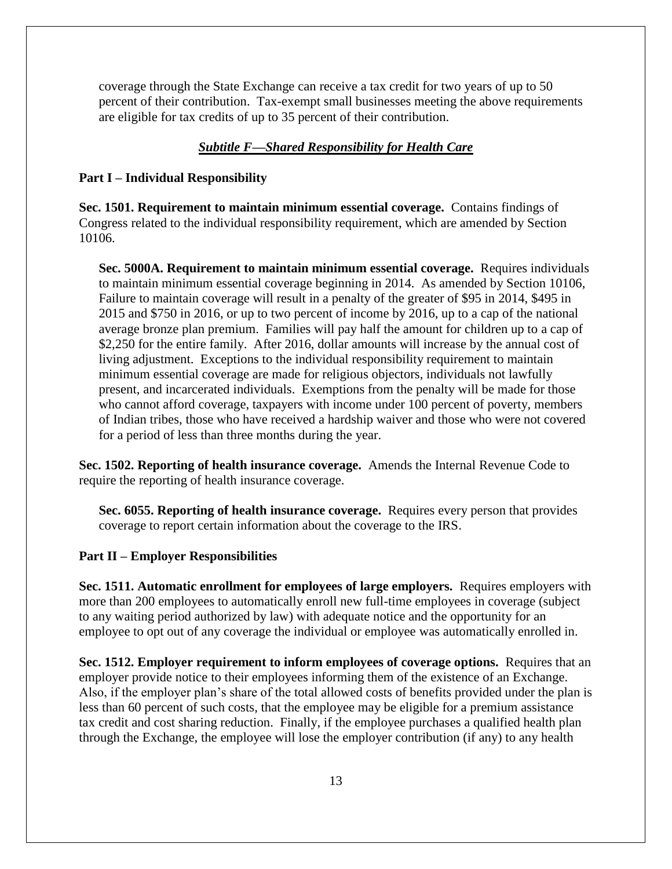coverage through the State Exchange can receive a tax credit for two years of up to 50 percent of their contribution. Tax-exempt small businesses meeting the above requirements are eligible for tax credits of up to 35 percent of their contribution.

#### *Subtitle F—Shared Responsibility for Health Care*

#### **Part I – Individual Responsibility**

**Sec. 1501. Requirement to maintain minimum essential coverage.** Contains findings of Congress related to the individual responsibility requirement, which are amended by Section 10106.

**Sec. 5000A. Requirement to maintain minimum essential coverage.** Requires individuals to maintain minimum essential coverage beginning in 2014. As amended by Section 10106, Failure to maintain coverage will result in a penalty of the greater of \$95 in 2014, \$495 in 2015 and \$750 in 2016, or up to two percent of income by 2016, up to a cap of the national average bronze plan premium. Families will pay half the amount for children up to a cap of \$2,250 for the entire family. After 2016, dollar amounts will increase by the annual cost of living adjustment. Exceptions to the individual responsibility requirement to maintain minimum essential coverage are made for religious objectors, individuals not lawfully present, and incarcerated individuals. Exemptions from the penalty will be made for those who cannot afford coverage, taxpayers with income under 100 percent of poverty, members of Indian tribes, those who have received a hardship waiver and those who were not covered for a period of less than three months during the year.

**Sec. 1502. Reporting of health insurance coverage.** Amends the Internal Revenue Code to require the reporting of health insurance coverage.

**Sec. 6055. Reporting of health insurance coverage.** Requires every person that provides coverage to report certain information about the coverage to the IRS.

#### **Part II – Employer Responsibilities**

**Sec. 1511. Automatic enrollment for employees of large employers.** Requires employers with more than 200 employees to automatically enroll new full-time employees in coverage (subject to any waiting period authorized by law) with adequate notice and the opportunity for an employee to opt out of any coverage the individual or employee was automatically enrolled in.

**Sec. 1512. Employer requirement to inform employees of coverage options.** Requires that an employer provide notice to their employees informing them of the existence of an Exchange. Also, if the employer plan's share of the total allowed costs of benefits provided under the plan is less than 60 percent of such costs, that the employee may be eligible for a premium assistance tax credit and cost sharing reduction. Finally, if the employee purchases a qualified health plan through the Exchange, the employee will lose the employer contribution (if any) to any health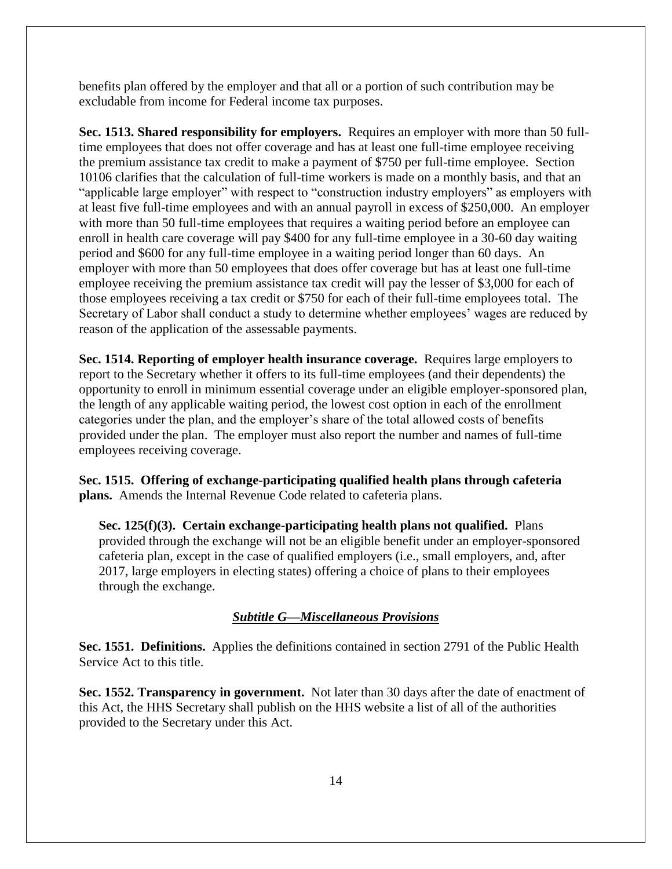benefits plan offered by the employer and that all or a portion of such contribution may be excludable from income for Federal income tax purposes.

**Sec. 1513. Shared responsibility for employers.** Requires an employer with more than 50 fulltime employees that does not offer coverage and has at least one full-time employee receiving the premium assistance tax credit to make a payment of \$750 per full-time employee. Section 10106 clarifies that the calculation of full-time workers is made on a monthly basis, and that an "applicable large employer" with respect to "construction industry employers" as employers with at least five full-time employees and with an annual payroll in excess of \$250,000. An employer with more than 50 full-time employees that requires a waiting period before an employee can enroll in health care coverage will pay \$400 for any full-time employee in a 30-60 day waiting period and \$600 for any full-time employee in a waiting period longer than 60 days. An employer with more than 50 employees that does offer coverage but has at least one full-time employee receiving the premium assistance tax credit will pay the lesser of \$3,000 for each of those employees receiving a tax credit or \$750 for each of their full-time employees total. The Secretary of Labor shall conduct a study to determine whether employees' wages are reduced by reason of the application of the assessable payments.

**Sec. 1514. Reporting of employer health insurance coverage.** Requires large employers to report to the Secretary whether it offers to its full-time employees (and their dependents) the opportunity to enroll in minimum essential coverage under an eligible employer-sponsored plan, the length of any applicable waiting period, the lowest cost option in each of the enrollment categories under the plan, and the employer's share of the total allowed costs of benefits provided under the plan. The employer must also report the number and names of full-time employees receiving coverage.

**Sec. 1515. Offering of exchange-participating qualified health plans through cafeteria plans.** Amends the Internal Revenue Code related to cafeteria plans.

**Sec. 125(f)(3). Certain exchange-participating health plans not qualified.** Plans provided through the exchange will not be an eligible benefit under an employer-sponsored cafeteria plan, except in the case of qualified employers (i.e., small employers, and, after 2017, large employers in electing states) offering a choice of plans to their employees through the exchange.

## *Subtitle G—Miscellaneous Provisions*

**Sec. 1551. Definitions.** Applies the definitions contained in section 2791 of the Public Health Service Act to this title.

**Sec. 1552. Transparency in government.** Not later than 30 days after the date of enactment of this Act, the HHS Secretary shall publish on the HHS website a list of all of the authorities provided to the Secretary under this Act.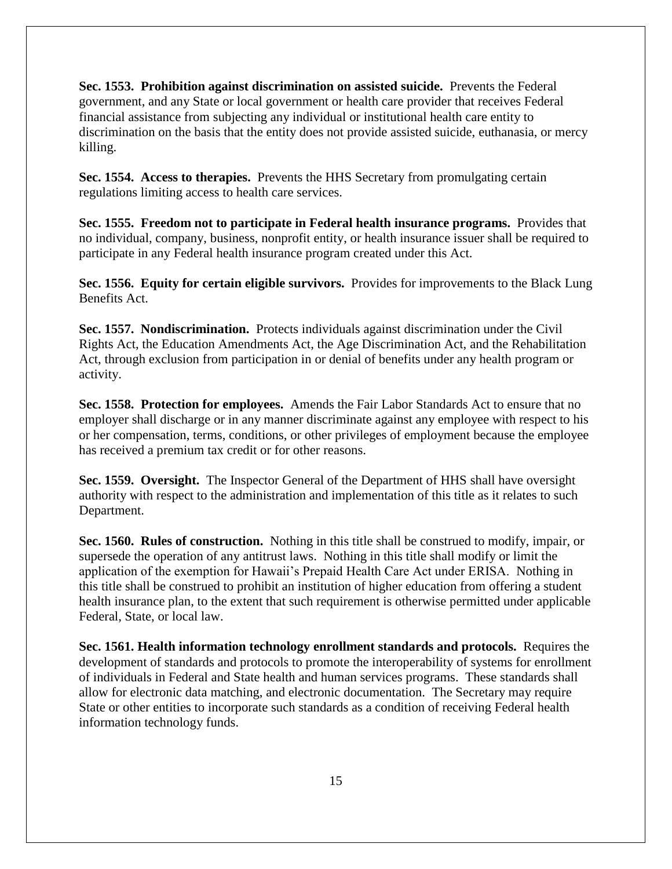**Sec. 1553. Prohibition against discrimination on assisted suicide.** Prevents the Federal government, and any State or local government or health care provider that receives Federal financial assistance from subjecting any individual or institutional health care entity to discrimination on the basis that the entity does not provide assisted suicide, euthanasia, or mercy killing.

**Sec. 1554. Access to therapies.** Prevents the HHS Secretary from promulgating certain regulations limiting access to health care services.

**Sec. 1555. Freedom not to participate in Federal health insurance programs.** Provides that no individual, company, business, nonprofit entity, or health insurance issuer shall be required to participate in any Federal health insurance program created under this Act.

**Sec. 1556. Equity for certain eligible survivors.** Provides for improvements to the Black Lung Benefits Act.

**Sec. 1557. Nondiscrimination.** Protects individuals against discrimination under the Civil Rights Act, the Education Amendments Act, the Age Discrimination Act, and the Rehabilitation Act, through exclusion from participation in or denial of benefits under any health program or activity.

**Sec. 1558. Protection for employees.** Amends the Fair Labor Standards Act to ensure that no employer shall discharge or in any manner discriminate against any employee with respect to his or her compensation, terms, conditions, or other privileges of employment because the employee has received a premium tax credit or for other reasons.

**Sec. 1559. Oversight.** The Inspector General of the Department of HHS shall have oversight authority with respect to the administration and implementation of this title as it relates to such Department.

**Sec. 1560. Rules of construction.** Nothing in this title shall be construed to modify, impair, or supersede the operation of any antitrust laws. Nothing in this title shall modify or limit the application of the exemption for Hawaii's Prepaid Health Care Act under ERISA. Nothing in this title shall be construed to prohibit an institution of higher education from offering a student health insurance plan, to the extent that such requirement is otherwise permitted under applicable Federal, State, or local law.

**Sec. 1561. Health information technology enrollment standards and protocols.** Requires the development of standards and protocols to promote the interoperability of systems for enrollment of individuals in Federal and State health and human services programs. These standards shall allow for electronic data matching, and electronic documentation. The Secretary may require State or other entities to incorporate such standards as a condition of receiving Federal health information technology funds.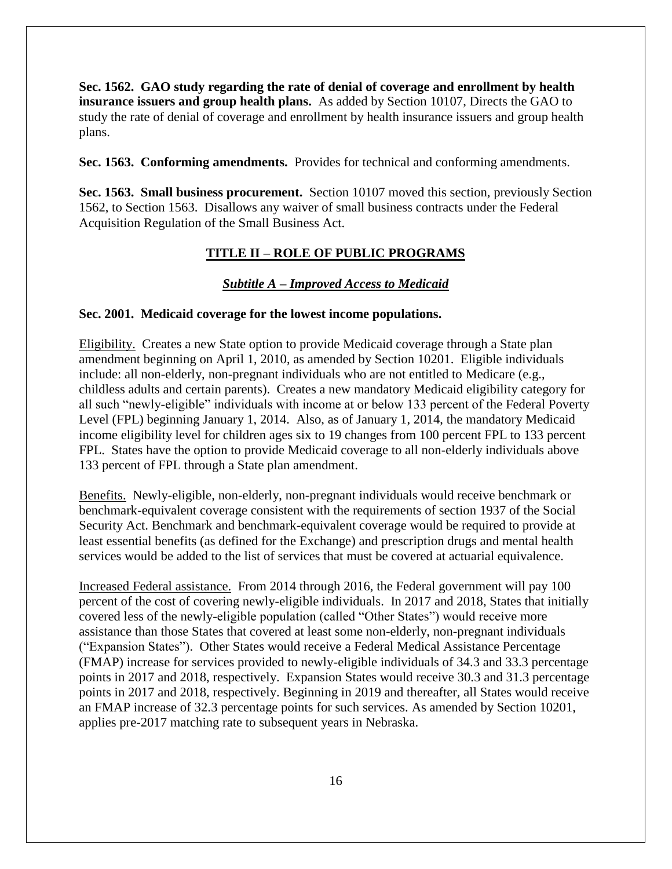**Sec. 1562. GAO study regarding the rate of denial of coverage and enrollment by health insurance issuers and group health plans.** As added by Section 10107, Directs the GAO to study the rate of denial of coverage and enrollment by health insurance issuers and group health plans.

**Sec. 1563. Conforming amendments.** Provides for technical and conforming amendments.

**Sec. 1563. Small business procurement.** Section 10107 moved this section, previously Section 1562, to Section 1563. Disallows any waiver of small business contracts under the Federal Acquisition Regulation of the Small Business Act.

## **TITLE II – ROLE OF PUBLIC PROGRAMS**

#### *Subtitle A – Improved Access to Medicaid*

#### **Sec. 2001. Medicaid coverage for the lowest income populations.**

Eligibility. Creates a new State option to provide Medicaid coverage through a State plan amendment beginning on April 1, 2010, as amended by Section 10201. Eligible individuals include: all non-elderly, non-pregnant individuals who are not entitled to Medicare (e.g., childless adults and certain parents). Creates a new mandatory Medicaid eligibility category for all such "newly-eligible" individuals with income at or below 133 percent of the Federal Poverty Level (FPL) beginning January 1, 2014. Also, as of January 1, 2014, the mandatory Medicaid income eligibility level for children ages six to 19 changes from 100 percent FPL to 133 percent FPL. States have the option to provide Medicaid coverage to all non-elderly individuals above 133 percent of FPL through a State plan amendment.

Benefits. Newly-eligible, non-elderly, non-pregnant individuals would receive benchmark or benchmark-equivalent coverage consistent with the requirements of section 1937 of the Social Security Act. Benchmark and benchmark-equivalent coverage would be required to provide at least essential benefits (as defined for the Exchange) and prescription drugs and mental health services would be added to the list of services that must be covered at actuarial equivalence.

Increased Federal assistance. From 2014 through 2016, the Federal government will pay 100 percent of the cost of covering newly-eligible individuals. In 2017 and 2018, States that initially covered less of the newly-eligible population (called "Other States") would receive more assistance than those States that covered at least some non-elderly, non-pregnant individuals ("Expansion States"). Other States would receive a Federal Medical Assistance Percentage (FMAP) increase for services provided to newly-eligible individuals of 34.3 and 33.3 percentage points in 2017 and 2018, respectively. Expansion States would receive 30.3 and 31.3 percentage points in 2017 and 2018, respectively. Beginning in 2019 and thereafter, all States would receive an FMAP increase of 32.3 percentage points for such services. As amended by Section 10201, applies pre-2017 matching rate to subsequent years in Nebraska.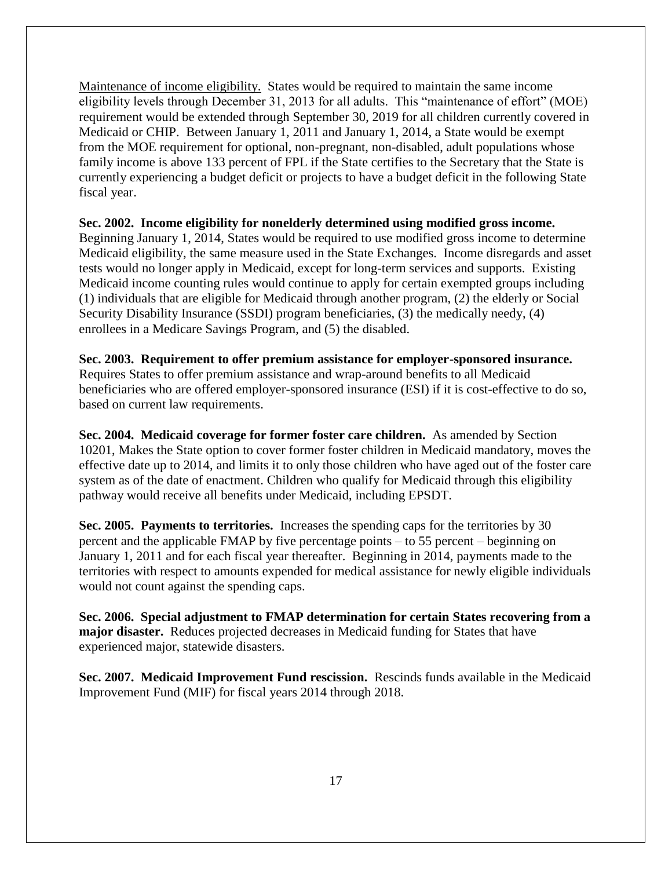Maintenance of income eligibility. States would be required to maintain the same income eligibility levels through December 31, 2013 for all adults. This "maintenance of effort" (MOE) requirement would be extended through September 30, 2019 for all children currently covered in Medicaid or CHIP. Between January 1, 2011 and January 1, 2014, a State would be exempt from the MOE requirement for optional, non-pregnant, non-disabled, adult populations whose family income is above 133 percent of FPL if the State certifies to the Secretary that the State is currently experiencing a budget deficit or projects to have a budget deficit in the following State fiscal year.

**Sec. 2002. Income eligibility for nonelderly determined using modified gross income.**  Beginning January 1, 2014, States would be required to use modified gross income to determine Medicaid eligibility, the same measure used in the State Exchanges. Income disregards and asset tests would no longer apply in Medicaid, except for long-term services and supports. Existing Medicaid income counting rules would continue to apply for certain exempted groups including (1) individuals that are eligible for Medicaid through another program, (2) the elderly or Social Security Disability Insurance (SSDI) program beneficiaries, (3) the medically needy, (4) enrollees in a Medicare Savings Program, and (5) the disabled.

**Sec. 2003. Requirement to offer premium assistance for employer-sponsored insurance.**  Requires States to offer premium assistance and wrap-around benefits to all Medicaid beneficiaries who are offered employer-sponsored insurance (ESI) if it is cost-effective to do so, based on current law requirements.

**Sec. 2004. Medicaid coverage for former foster care children.** As amended by Section 10201, Makes the State option to cover former foster children in Medicaid mandatory, moves the effective date up to 2014, and limits it to only those children who have aged out of the foster care system as of the date of enactment. Children who qualify for Medicaid through this eligibility pathway would receive all benefits under Medicaid, including EPSDT.

**Sec. 2005. Payments to territories.** Increases the spending caps for the territories by 30 percent and the applicable FMAP by five percentage points – to 55 percent – beginning on January 1, 2011 and for each fiscal year thereafter. Beginning in 2014, payments made to the territories with respect to amounts expended for medical assistance for newly eligible individuals would not count against the spending caps.

**Sec. 2006. Special adjustment to FMAP determination for certain States recovering from a major disaster.** Reduces projected decreases in Medicaid funding for States that have experienced major, statewide disasters.

**Sec. 2007. Medicaid Improvement Fund rescission.** Rescinds funds available in the Medicaid Improvement Fund (MIF) for fiscal years 2014 through 2018.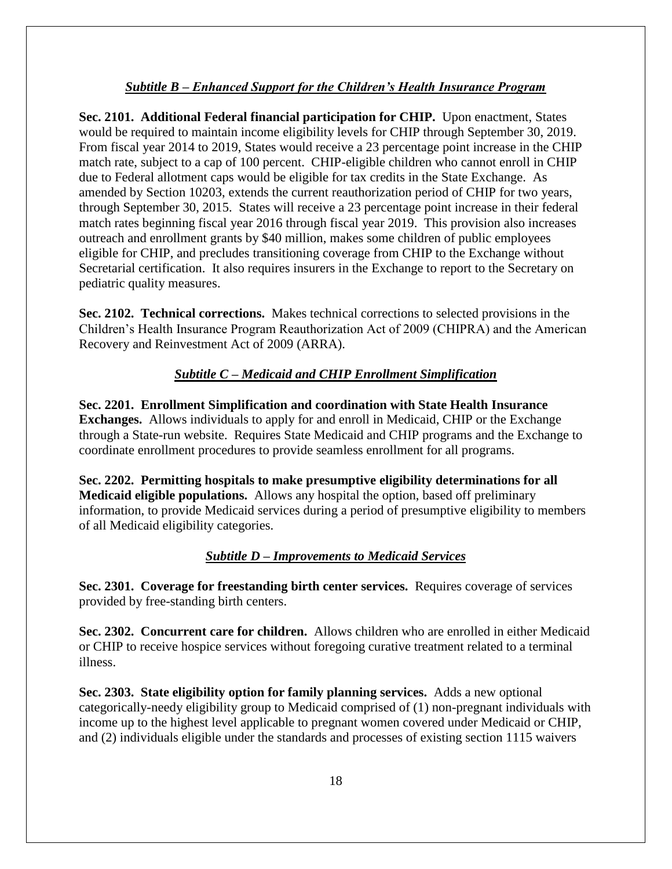## *Subtitle B – Enhanced Support for the Children's Health Insurance Program*

**Sec. 2101. Additional Federal financial participation for CHIP.** Upon enactment, States would be required to maintain income eligibility levels for CHIP through September 30, 2019. From fiscal year 2014 to 2019, States would receive a 23 percentage point increase in the CHIP match rate, subject to a cap of 100 percent. CHIP-eligible children who cannot enroll in CHIP due to Federal allotment caps would be eligible for tax credits in the State Exchange. As amended by Section 10203, extends the current reauthorization period of CHIP for two years, through September 30, 2015. States will receive a 23 percentage point increase in their federal match rates beginning fiscal year 2016 through fiscal year 2019. This provision also increases outreach and enrollment grants by \$40 million, makes some children of public employees eligible for CHIP, and precludes transitioning coverage from CHIP to the Exchange without Secretarial certification. It also requires insurers in the Exchange to report to the Secretary on pediatric quality measures.

**Sec. 2102. Technical corrections.** Makes technical corrections to selected provisions in the Children's Health Insurance Program Reauthorization Act of 2009 (CHIPRA) and the American Recovery and Reinvestment Act of 2009 (ARRA).

## *Subtitle C – Medicaid and CHIP Enrollment Simplification*

**Sec. 2201. Enrollment Simplification and coordination with State Health Insurance Exchanges.** Allows individuals to apply for and enroll in Medicaid, CHIP or the Exchange through a State-run website. Requires State Medicaid and CHIP programs and the Exchange to coordinate enrollment procedures to provide seamless enrollment for all programs.

**Sec. 2202. Permitting hospitals to make presumptive eligibility determinations for all Medicaid eligible populations.** Allows any hospital the option, based off preliminary information, to provide Medicaid services during a period of presumptive eligibility to members of all Medicaid eligibility categories.

### *Subtitle D – Improvements to Medicaid Services*

**Sec. 2301. Coverage for freestanding birth center services.** Requires coverage of services provided by free-standing birth centers.

**Sec. 2302. Concurrent care for children.** Allows children who are enrolled in either Medicaid or CHIP to receive hospice services without foregoing curative treatment related to a terminal illness.

**Sec. 2303. State eligibility option for family planning services.** Adds a new optional categorically-needy eligibility group to Medicaid comprised of (1) non-pregnant individuals with income up to the highest level applicable to pregnant women covered under Medicaid or CHIP, and (2) individuals eligible under the standards and processes of existing section 1115 waivers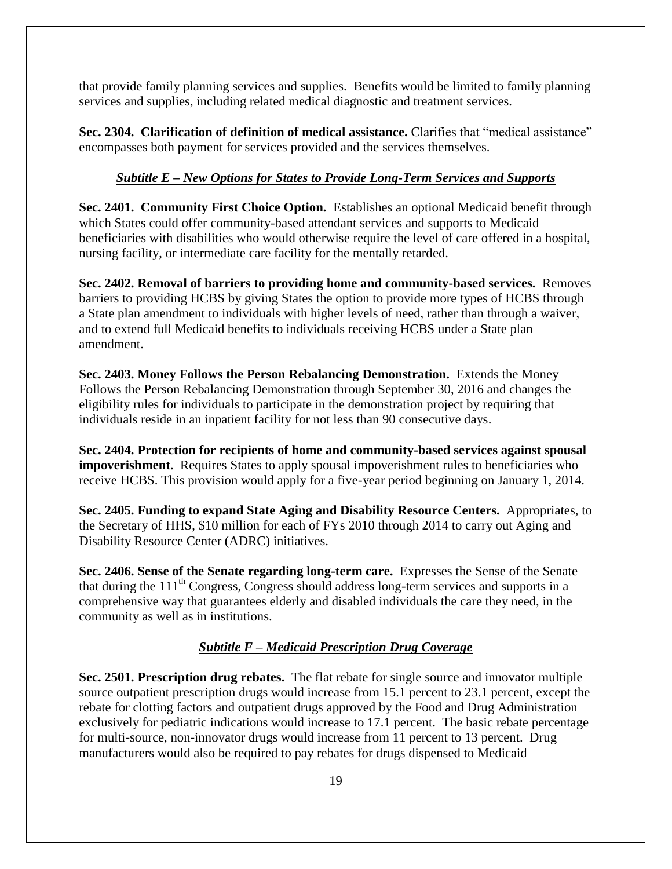that provide family planning services and supplies. Benefits would be limited to family planning services and supplies, including related medical diagnostic and treatment services.

**Sec. 2304. Clarification of definition of medical assistance.** Clarifies that "medical assistance" encompasses both payment for services provided and the services themselves.

## *Subtitle E – New Options for States to Provide Long-Term Services and Supports*

**Sec. 2401. Community First Choice Option.** Establishes an optional Medicaid benefit through which States could offer community-based attendant services and supports to Medicaid beneficiaries with disabilities who would otherwise require the level of care offered in a hospital, nursing facility, or intermediate care facility for the mentally retarded.

**Sec. 2402. Removal of barriers to providing home and community-based services.** Removes barriers to providing HCBS by giving States the option to provide more types of HCBS through a State plan amendment to individuals with higher levels of need, rather than through a waiver, and to extend full Medicaid benefits to individuals receiving HCBS under a State plan amendment.

**Sec. 2403. Money Follows the Person Rebalancing Demonstration.** Extends the Money Follows the Person Rebalancing Demonstration through September 30, 2016 and changes the eligibility rules for individuals to participate in the demonstration project by requiring that individuals reside in an inpatient facility for not less than 90 consecutive days.

**Sec. 2404. Protection for recipients of home and community-based services against spousal impoverishment.** Requires States to apply spousal impoverishment rules to beneficiaries who receive HCBS. This provision would apply for a five-year period beginning on January 1, 2014.

**Sec. 2405. Funding to expand State Aging and Disability Resource Centers.** Appropriates, to the Secretary of HHS, \$10 million for each of FYs 2010 through 2014 to carry out Aging and Disability Resource Center (ADRC) initiatives.

**Sec. 2406. Sense of the Senate regarding long-term care.** Expresses the Sense of the Senate that during the 111th Congress, Congress should address long-term services and supports in a comprehensive way that guarantees elderly and disabled individuals the care they need, in the community as well as in institutions.

## *Subtitle F – Medicaid Prescription Drug Coverage*

**Sec. 2501. Prescription drug rebates.** The flat rebate for single source and innovator multiple source outpatient prescription drugs would increase from 15.1 percent to 23.1 percent, except the rebate for clotting factors and outpatient drugs approved by the Food and Drug Administration exclusively for pediatric indications would increase to 17.1 percent. The basic rebate percentage for multi-source, non-innovator drugs would increase from 11 percent to 13 percent. Drug manufacturers would also be required to pay rebates for drugs dispensed to Medicaid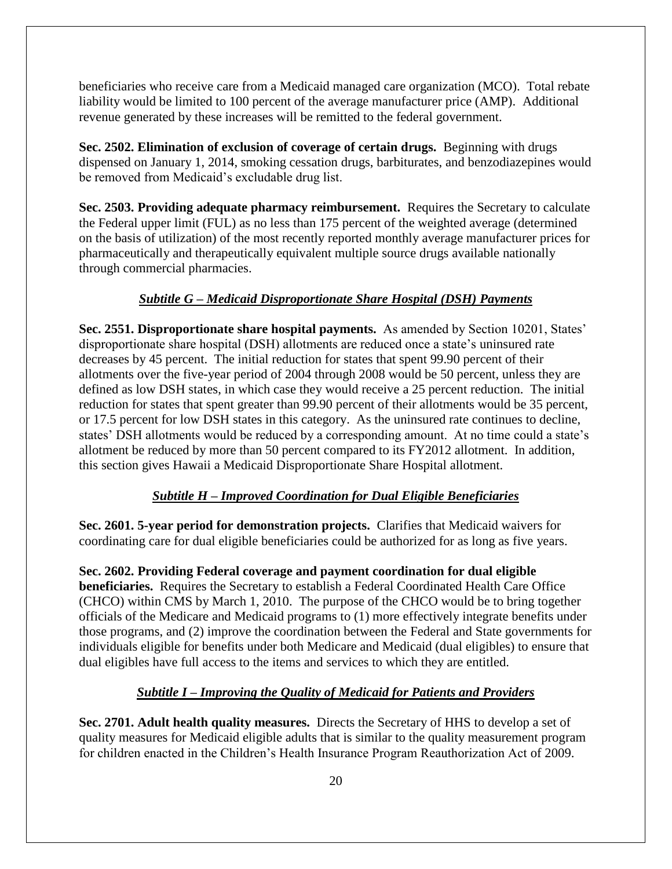beneficiaries who receive care from a Medicaid managed care organization (MCO). Total rebate liability would be limited to 100 percent of the average manufacturer price (AMP). Additional revenue generated by these increases will be remitted to the federal government.

**Sec. 2502. Elimination of exclusion of coverage of certain drugs.** Beginning with drugs dispensed on January 1, 2014, smoking cessation drugs, barbiturates, and benzodiazepines would be removed from Medicaid's excludable drug list.

**Sec. 2503. Providing adequate pharmacy reimbursement.** Requires the Secretary to calculate the Federal upper limit (FUL) as no less than 175 percent of the weighted average (determined on the basis of utilization) of the most recently reported monthly average manufacturer prices for pharmaceutically and therapeutically equivalent multiple source drugs available nationally through commercial pharmacies.

### *Subtitle G – Medicaid Disproportionate Share Hospital (DSH) Payments*

**Sec. 2551. Disproportionate share hospital payments.** As amended by Section 10201, States' disproportionate share hospital (DSH) allotments are reduced once a state's uninsured rate decreases by 45 percent. The initial reduction for states that spent 99.90 percent of their allotments over the five-year period of 2004 through 2008 would be 50 percent, unless they are defined as low DSH states, in which case they would receive a 25 percent reduction. The initial reduction for states that spent greater than 99.90 percent of their allotments would be 35 percent, or 17.5 percent for low DSH states in this category. As the uninsured rate continues to decline, states' DSH allotments would be reduced by a corresponding amount. At no time could a state's allotment be reduced by more than 50 percent compared to its FY2012 allotment. In addition, this section gives Hawaii a Medicaid Disproportionate Share Hospital allotment.

#### *Subtitle H – Improved Coordination for Dual Eligible Beneficiaries*

**Sec. 2601. 5-year period for demonstration projects.** Clarifies that Medicaid waivers for coordinating care for dual eligible beneficiaries could be authorized for as long as five years.

**Sec. 2602. Providing Federal coverage and payment coordination for dual eligible beneficiaries.** Requires the Secretary to establish a Federal Coordinated Health Care Office (CHCO) within CMS by March 1, 2010. The purpose of the CHCO would be to bring together officials of the Medicare and Medicaid programs to (1) more effectively integrate benefits under those programs, and (2) improve the coordination between the Federal and State governments for individuals eligible for benefits under both Medicare and Medicaid (dual eligibles) to ensure that dual eligibles have full access to the items and services to which they are entitled.

#### *Subtitle I – Improving the Quality of Medicaid for Patients and Providers*

**Sec. 2701. Adult health quality measures.** Directs the Secretary of HHS to develop a set of quality measures for Medicaid eligible adults that is similar to the quality measurement program for children enacted in the Children's Health Insurance Program Reauthorization Act of 2009.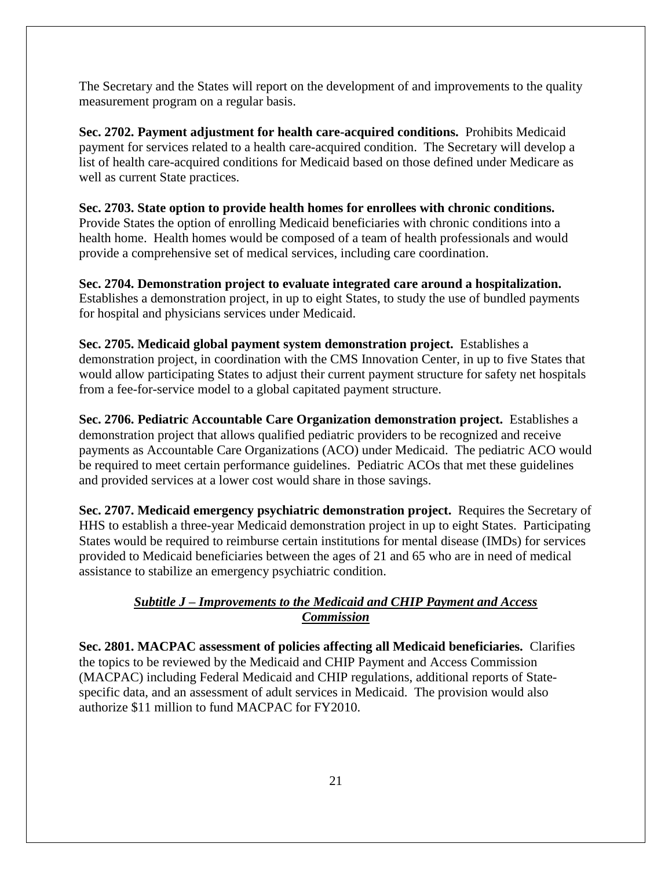The Secretary and the States will report on the development of and improvements to the quality measurement program on a regular basis.

**Sec. 2702. Payment adjustment for health care-acquired conditions.** Prohibits Medicaid payment for services related to a health care-acquired condition. The Secretary will develop a list of health care-acquired conditions for Medicaid based on those defined under Medicare as well as current State practices.

**Sec. 2703. State option to provide health homes for enrollees with chronic conditions.** Provide States the option of enrolling Medicaid beneficiaries with chronic conditions into a health home. Health homes would be composed of a team of health professionals and would provide a comprehensive set of medical services, including care coordination.

**Sec. 2704. Demonstration project to evaluate integrated care around a hospitalization.** Establishes a demonstration project, in up to eight States, to study the use of bundled payments for hospital and physicians services under Medicaid.

**Sec. 2705. Medicaid global payment system demonstration project.** Establishes a demonstration project, in coordination with the CMS Innovation Center, in up to five States that would allow participating States to adjust their current payment structure for safety net hospitals from a fee-for-service model to a global capitated payment structure.

**Sec. 2706. Pediatric Accountable Care Organization demonstration project.** Establishes a demonstration project that allows qualified pediatric providers to be recognized and receive payments as Accountable Care Organizations (ACO) under Medicaid. The pediatric ACO would be required to meet certain performance guidelines. Pediatric ACOs that met these guidelines and provided services at a lower cost would share in those savings.

**Sec. 2707. Medicaid emergency psychiatric demonstration project.** Requires the Secretary of HHS to establish a three-year Medicaid demonstration project in up to eight States. Participating States would be required to reimburse certain institutions for mental disease (IMDs) for services provided to Medicaid beneficiaries between the ages of 21 and 65 who are in need of medical assistance to stabilize an emergency psychiatric condition.

## *Subtitle J – Improvements to the Medicaid and CHIP Payment and Access Commission*

**Sec. 2801. MACPAC assessment of policies affecting all Medicaid beneficiaries.** Clarifies the topics to be reviewed by the Medicaid and CHIP Payment and Access Commission (MACPAC) including Federal Medicaid and CHIP regulations, additional reports of Statespecific data, and an assessment of adult services in Medicaid. The provision would also authorize \$11 million to fund MACPAC for FY2010.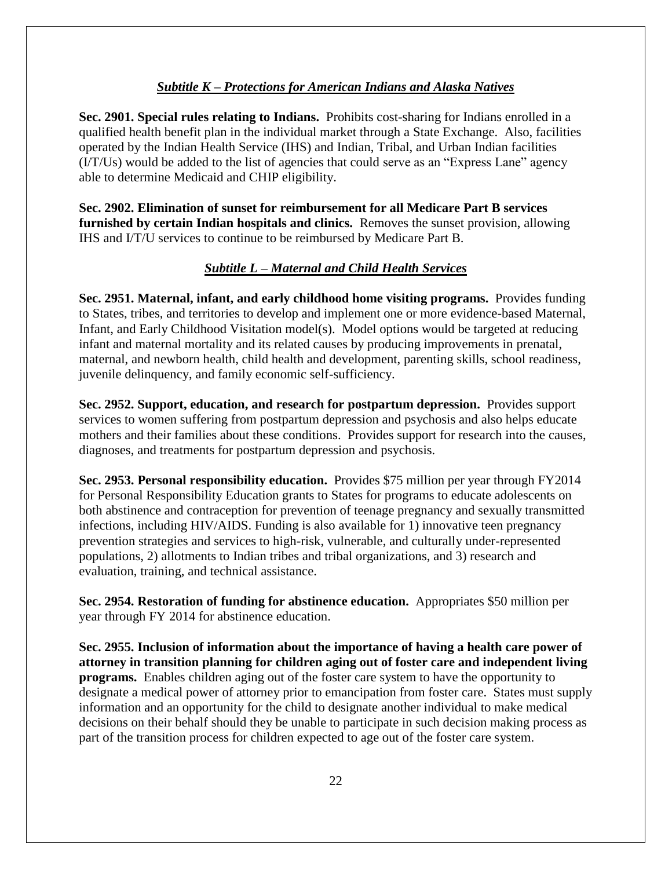#### *Subtitle K – Protections for American Indians and Alaska Natives*

**Sec. 2901. Special rules relating to Indians.** Prohibits cost-sharing for Indians enrolled in a qualified health benefit plan in the individual market through a State Exchange. Also, facilities operated by the Indian Health Service (IHS) and Indian, Tribal, and Urban Indian facilities (I/T/Us) would be added to the list of agencies that could serve as an "Express Lane" agency able to determine Medicaid and CHIP eligibility.

**Sec. 2902. Elimination of sunset for reimbursement for all Medicare Part B services furnished by certain Indian hospitals and clinics.** Removes the sunset provision, allowing IHS and I/T/U services to continue to be reimbursed by Medicare Part B.

#### *Subtitle L – Maternal and Child Health Services*

**Sec. 2951. Maternal, infant, and early childhood home visiting programs.** Provides funding to States, tribes, and territories to develop and implement one or more evidence-based Maternal, Infant, and Early Childhood Visitation model(s). Model options would be targeted at reducing infant and maternal mortality and its related causes by producing improvements in prenatal, maternal, and newborn health, child health and development, parenting skills, school readiness, juvenile delinquency, and family economic self-sufficiency.

**Sec. 2952. Support, education, and research for postpartum depression.** Provides support services to women suffering from postpartum depression and psychosis and also helps educate mothers and their families about these conditions. Provides support for research into the causes, diagnoses, and treatments for postpartum depression and psychosis.

**Sec. 2953. Personal responsibility education.** Provides \$75 million per year through FY2014 for Personal Responsibility Education grants to States for programs to educate adolescents on both abstinence and contraception for prevention of teenage pregnancy and sexually transmitted infections, including HIV/AIDS. Funding is also available for 1) innovative teen pregnancy prevention strategies and services to high-risk, vulnerable, and culturally under-represented populations, 2) allotments to Indian tribes and tribal organizations, and 3) research and evaluation, training, and technical assistance.

**Sec. 2954. Restoration of funding for abstinence education.** Appropriates \$50 million per year through FY 2014 for abstinence education.

**Sec. 2955. Inclusion of information about the importance of having a health care power of attorney in transition planning for children aging out of foster care and independent living programs.** Enables children aging out of the foster care system to have the opportunity to designate a medical power of attorney prior to emancipation from foster care. States must supply information and an opportunity for the child to designate another individual to make medical decisions on their behalf should they be unable to participate in such decision making process as part of the transition process for children expected to age out of the foster care system.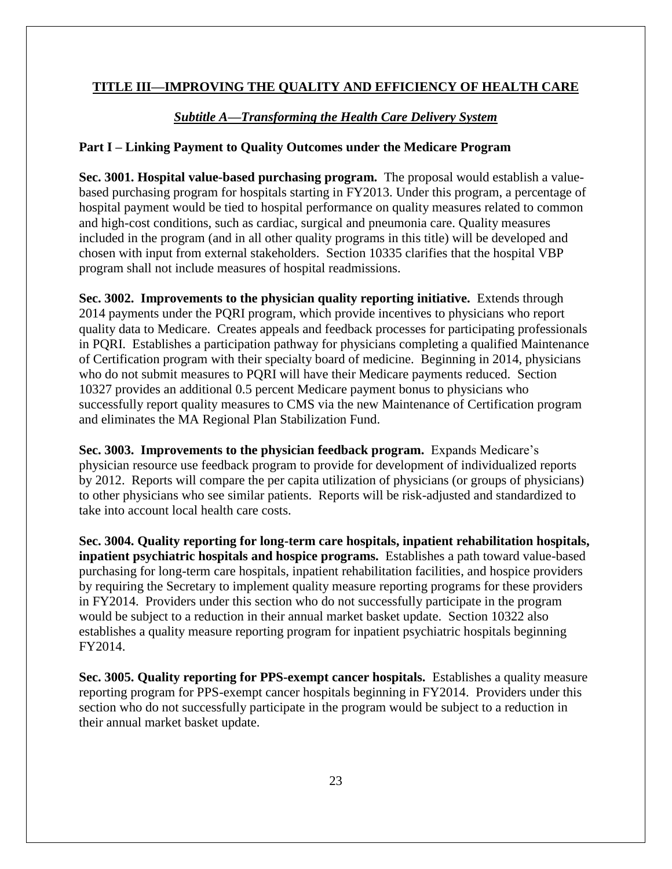## **TITLE III—IMPROVING THE QUALITY AND EFFICIENCY OF HEALTH CARE**

## *Subtitle A—Transforming the Health Care Delivery System*

## **Part I – Linking Payment to Quality Outcomes under the Medicare Program**

**Sec. 3001. Hospital value-based purchasing program.** The proposal would establish a valuebased purchasing program for hospitals starting in FY2013. Under this program, a percentage of hospital payment would be tied to hospital performance on quality measures related to common and high-cost conditions, such as cardiac, surgical and pneumonia care. Quality measures included in the program (and in all other quality programs in this title) will be developed and chosen with input from external stakeholders. Section 10335 clarifies that the hospital VBP program shall not include measures of hospital readmissions.

**Sec. 3002. Improvements to the physician quality reporting initiative.** Extends through 2014 payments under the PQRI program, which provide incentives to physicians who report quality data to Medicare. Creates appeals and feedback processes for participating professionals in PQRI. Establishes a participation pathway for physicians completing a qualified Maintenance of Certification program with their specialty board of medicine. Beginning in 2014, physicians who do not submit measures to PQRI will have their Medicare payments reduced. Section 10327 provides an additional 0.5 percent Medicare payment bonus to physicians who successfully report quality measures to CMS via the new Maintenance of Certification program and eliminates the MA Regional Plan Stabilization Fund.

**Sec. 3003. Improvements to the physician feedback program.** Expands Medicare's physician resource use feedback program to provide for development of individualized reports by 2012. Reports will compare the per capita utilization of physicians (or groups of physicians) to other physicians who see similar patients. Reports will be risk-adjusted and standardized to take into account local health care costs.

**Sec. 3004. Quality reporting for long-term care hospitals, inpatient rehabilitation hospitals, inpatient psychiatric hospitals and hospice programs.** Establishes a path toward value-based purchasing for long-term care hospitals, inpatient rehabilitation facilities, and hospice providers by requiring the Secretary to implement quality measure reporting programs for these providers in FY2014. Providers under this section who do not successfully participate in the program would be subject to a reduction in their annual market basket update. Section 10322 also establishes a quality measure reporting program for inpatient psychiatric hospitals beginning FY2014.

**Sec. 3005. Quality reporting for PPS-exempt cancer hospitals.** Establishes a quality measure reporting program for PPS-exempt cancer hospitals beginning in FY2014. Providers under this section who do not successfully participate in the program would be subject to a reduction in their annual market basket update.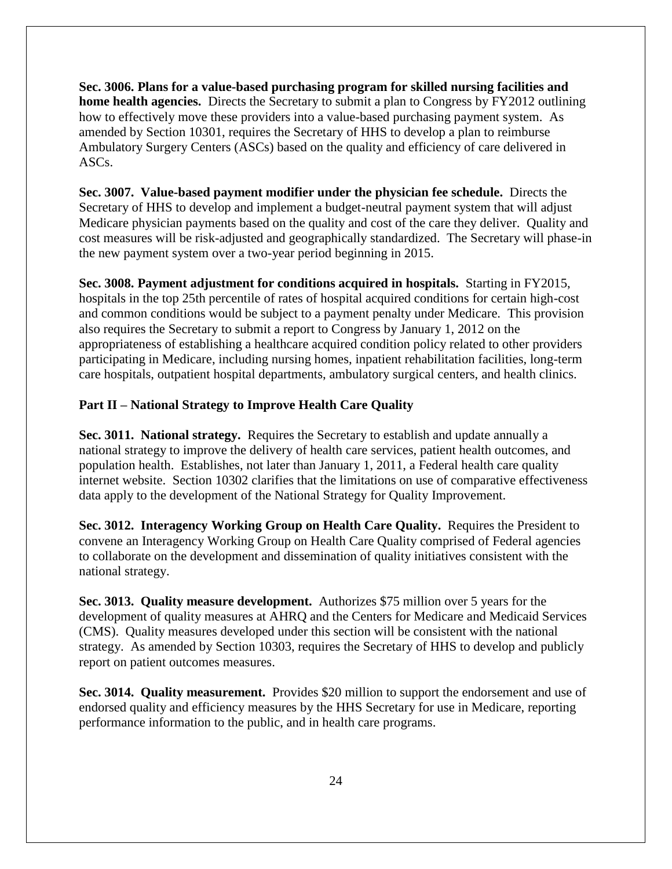**Sec. 3006. Plans for a value-based purchasing program for skilled nursing facilities and home health agencies.** Directs the Secretary to submit a plan to Congress by FY2012 outlining how to effectively move these providers into a value-based purchasing payment system. As amended by Section 10301, requires the Secretary of HHS to develop a plan to reimburse Ambulatory Surgery Centers (ASCs) based on the quality and efficiency of care delivered in ASCs.

**Sec. 3007. Value-based payment modifier under the physician fee schedule.** Directs the Secretary of HHS to develop and implement a budget-neutral payment system that will adjust Medicare physician payments based on the quality and cost of the care they deliver. Quality and cost measures will be risk-adjusted and geographically standardized. The Secretary will phase-in the new payment system over a two-year period beginning in 2015.

**Sec. 3008. Payment adjustment for conditions acquired in hospitals.** Starting in FY2015, hospitals in the top 25th percentile of rates of hospital acquired conditions for certain high-cost and common conditions would be subject to a payment penalty under Medicare. This provision also requires the Secretary to submit a report to Congress by January 1, 2012 on the appropriateness of establishing a healthcare acquired condition policy related to other providers participating in Medicare, including nursing homes, inpatient rehabilitation facilities, long-term care hospitals, outpatient hospital departments, ambulatory surgical centers, and health clinics.

#### **Part II – National Strategy to Improve Health Care Quality**

**Sec. 3011. National strategy.** Requires the Secretary to establish and update annually a national strategy to improve the delivery of health care services, patient health outcomes, and population health. Establishes, not later than January 1, 2011, a Federal health care quality internet website. Section 10302 clarifies that the limitations on use of comparative effectiveness data apply to the development of the National Strategy for Quality Improvement.

**Sec. 3012. Interagency Working Group on Health Care Quality.** Requires the President to convene an Interagency Working Group on Health Care Quality comprised of Federal agencies to collaborate on the development and dissemination of quality initiatives consistent with the national strategy.

**Sec. 3013. Quality measure development.** Authorizes \$75 million over 5 years for the development of quality measures at AHRQ and the Centers for Medicare and Medicaid Services (CMS). Quality measures developed under this section will be consistent with the national strategy. As amended by Section 10303, requires the Secretary of HHS to develop and publicly report on patient outcomes measures.

**Sec. 3014. Quality measurement.** Provides \$20 million to support the endorsement and use of endorsed quality and efficiency measures by the HHS Secretary for use in Medicare, reporting performance information to the public, and in health care programs.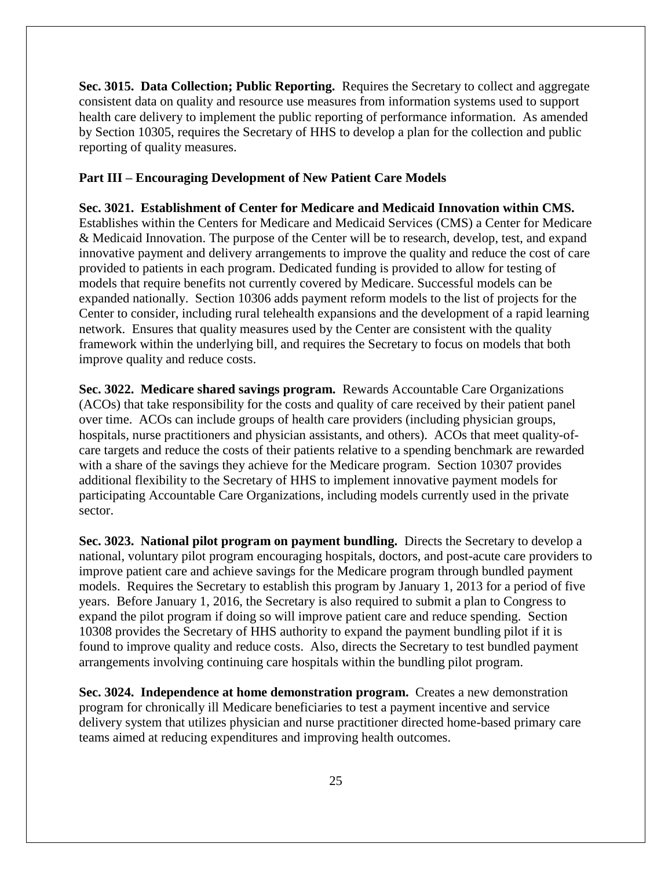**Sec. 3015. Data Collection; Public Reporting.** Requires the Secretary to collect and aggregate consistent data on quality and resource use measures from information systems used to support health care delivery to implement the public reporting of performance information. As amended by Section 10305, requires the Secretary of HHS to develop a plan for the collection and public reporting of quality measures.

#### **Part III – Encouraging Development of New Patient Care Models**

**Sec. 3021. Establishment of Center for Medicare and Medicaid Innovation within CMS.**  Establishes within the Centers for Medicare and Medicaid Services (CMS) a Center for Medicare & Medicaid Innovation. The purpose of the Center will be to research, develop, test, and expand innovative payment and delivery arrangements to improve the quality and reduce the cost of care provided to patients in each program. Dedicated funding is provided to allow for testing of models that require benefits not currently covered by Medicare. Successful models can be expanded nationally. Section 10306 adds payment reform models to the list of projects for the Center to consider, including rural telehealth expansions and the development of a rapid learning network. Ensures that quality measures used by the Center are consistent with the quality framework within the underlying bill, and requires the Secretary to focus on models that both improve quality and reduce costs.

**Sec. 3022. Medicare shared savings program.** Rewards Accountable Care Organizations (ACOs) that take responsibility for the costs and quality of care received by their patient panel over time. ACOs can include groups of health care providers (including physician groups, hospitals, nurse practitioners and physician assistants, and others). ACOs that meet quality-ofcare targets and reduce the costs of their patients relative to a spending benchmark are rewarded with a share of the savings they achieve for the Medicare program. Section 10307 provides additional flexibility to the Secretary of HHS to implement innovative payment models for participating Accountable Care Organizations, including models currently used in the private sector.

**Sec. 3023. National pilot program on payment bundling.** Directs the Secretary to develop a national, voluntary pilot program encouraging hospitals, doctors, and post-acute care providers to improve patient care and achieve savings for the Medicare program through bundled payment models. Requires the Secretary to establish this program by January 1, 2013 for a period of five years. Before January 1, 2016, the Secretary is also required to submit a plan to Congress to expand the pilot program if doing so will improve patient care and reduce spending. Section 10308 provides the Secretary of HHS authority to expand the payment bundling pilot if it is found to improve quality and reduce costs. Also, directs the Secretary to test bundled payment arrangements involving continuing care hospitals within the bundling pilot program.

**Sec. 3024. Independence at home demonstration program.** Creates a new demonstration program for chronically ill Medicare beneficiaries to test a payment incentive and service delivery system that utilizes physician and nurse practitioner directed home-based primary care teams aimed at reducing expenditures and improving health outcomes.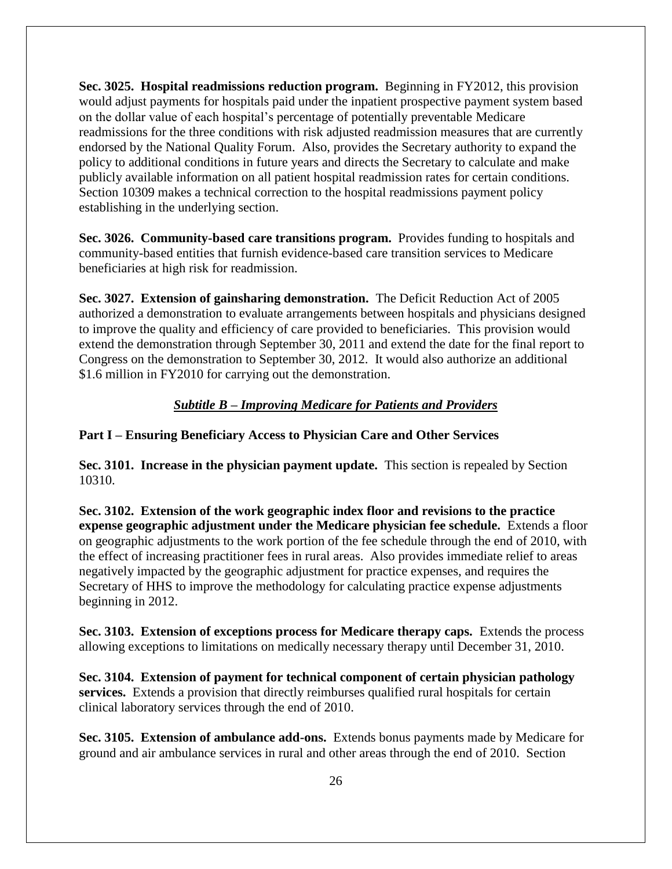**Sec. 3025. Hospital readmissions reduction program.** Beginning in FY2012, this provision would adjust payments for hospitals paid under the inpatient prospective payment system based on the dollar value of each hospital's percentage of potentially preventable Medicare readmissions for the three conditions with risk adjusted readmission measures that are currently endorsed by the National Quality Forum. Also, provides the Secretary authority to expand the policy to additional conditions in future years and directs the Secretary to calculate and make publicly available information on all patient hospital readmission rates for certain conditions. Section 10309 makes a technical correction to the hospital readmissions payment policy establishing in the underlying section.

**Sec. 3026. Community-based care transitions program.** Provides funding to hospitals and community-based entities that furnish evidence-based care transition services to Medicare beneficiaries at high risk for readmission.

**Sec. 3027. Extension of gainsharing demonstration.** The Deficit Reduction Act of 2005 authorized a demonstration to evaluate arrangements between hospitals and physicians designed to improve the quality and efficiency of care provided to beneficiaries. This provision would extend the demonstration through September 30, 2011 and extend the date for the final report to Congress on the demonstration to September 30, 2012. It would also authorize an additional \$1.6 million in FY2010 for carrying out the demonstration.

## *Subtitle B – Improving Medicare for Patients and Providers*

#### **Part I – Ensuring Beneficiary Access to Physician Care and Other Services**

**Sec. 3101. Increase in the physician payment update.** This section is repealed by Section 10310.

**Sec. 3102. Extension of the work geographic index floor and revisions to the practice expense geographic adjustment under the Medicare physician fee schedule.** Extends a floor on geographic adjustments to the work portion of the fee schedule through the end of 2010, with the effect of increasing practitioner fees in rural areas. Also provides immediate relief to areas negatively impacted by the geographic adjustment for practice expenses, and requires the Secretary of HHS to improve the methodology for calculating practice expense adjustments beginning in 2012.

**Sec. 3103. Extension of exceptions process for Medicare therapy caps.** Extends the process allowing exceptions to limitations on medically necessary therapy until December 31, 2010.

**Sec. 3104. Extension of payment for technical component of certain physician pathology services.** Extends a provision that directly reimburses qualified rural hospitals for certain clinical laboratory services through the end of 2010.

**Sec. 3105. Extension of ambulance add-ons.** Extends bonus payments made by Medicare for ground and air ambulance services in rural and other areas through the end of 2010. Section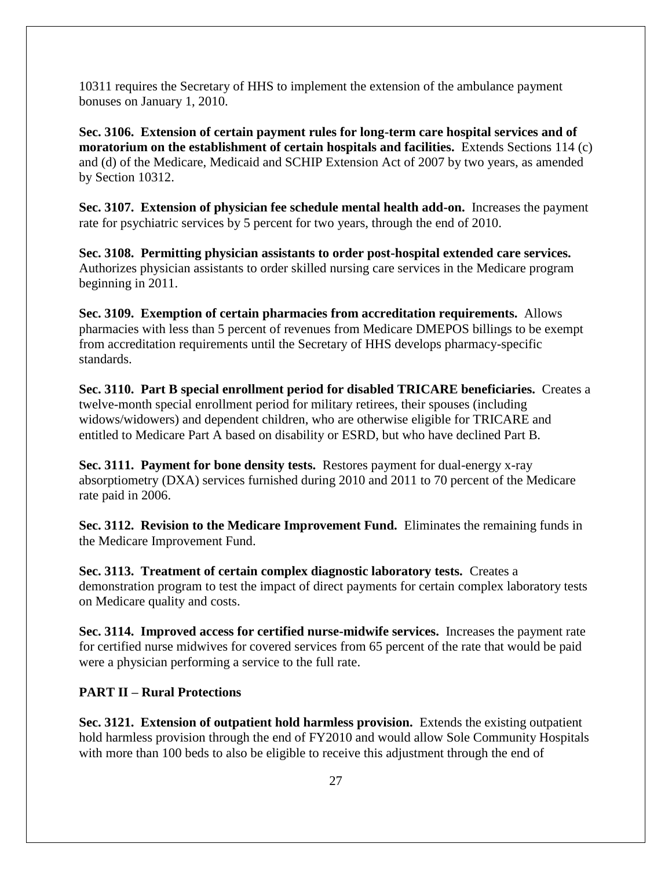10311 requires the Secretary of HHS to implement the extension of the ambulance payment bonuses on January 1, 2010.

**Sec. 3106. Extension of certain payment rules for long-term care hospital services and of moratorium on the establishment of certain hospitals and facilities.** Extends Sections 114 (c) and (d) of the Medicare, Medicaid and SCHIP Extension Act of 2007 by two years, as amended by Section 10312.

**Sec. 3107. Extension of physician fee schedule mental health add-on.** Increases the payment rate for psychiatric services by 5 percent for two years, through the end of 2010.

**Sec. 3108. Permitting physician assistants to order post-hospital extended care services.**  Authorizes physician assistants to order skilled nursing care services in the Medicare program beginning in 2011.

**Sec. 3109. Exemption of certain pharmacies from accreditation requirements.** Allows pharmacies with less than 5 percent of revenues from Medicare DMEPOS billings to be exempt from accreditation requirements until the Secretary of HHS develops pharmacy-specific standards.

**Sec. 3110. Part B special enrollment period for disabled TRICARE beneficiaries.** Creates a twelve-month special enrollment period for military retirees, their spouses (including widows/widowers) and dependent children, who are otherwise eligible for TRICARE and entitled to Medicare Part A based on disability or ESRD, but who have declined Part B.

**Sec. 3111. Payment for bone density tests.** Restores payment for dual-energy x-ray absorptiometry (DXA) services furnished during 2010 and 2011 to 70 percent of the Medicare rate paid in 2006.

**Sec. 3112. Revision to the Medicare Improvement Fund.** Eliminates the remaining funds in the Medicare Improvement Fund.

**Sec. 3113. Treatment of certain complex diagnostic laboratory tests.** Creates a demonstration program to test the impact of direct payments for certain complex laboratory tests on Medicare quality and costs.

**Sec. 3114. Improved access for certified nurse-midwife services.** Increases the payment rate for certified nurse midwives for covered services from 65 percent of the rate that would be paid were a physician performing a service to the full rate.

## **PART II – Rural Protections**

**Sec. 3121. Extension of outpatient hold harmless provision.** Extends the existing outpatient hold harmless provision through the end of FY2010 and would allow Sole Community Hospitals with more than 100 beds to also be eligible to receive this adjustment through the end of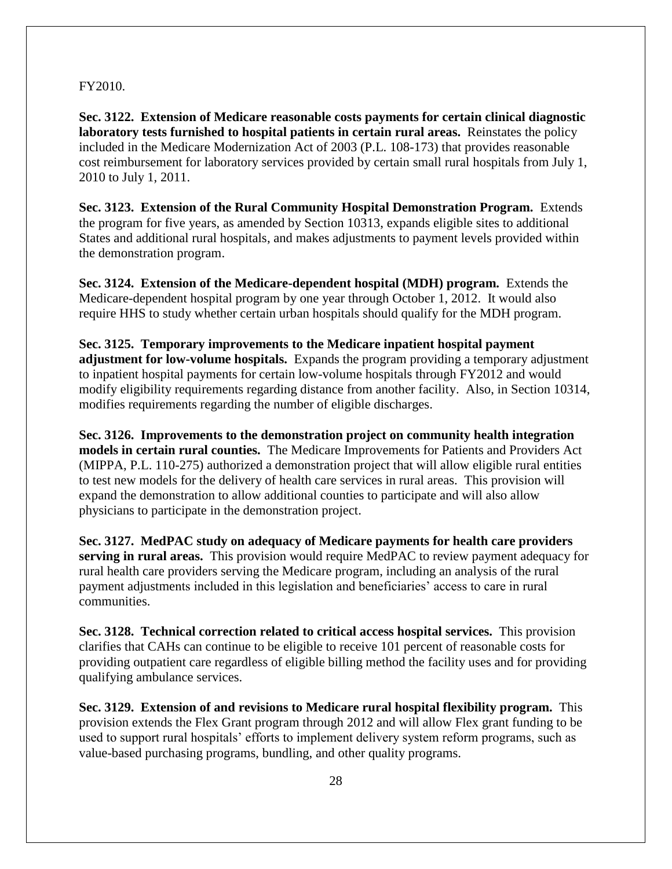#### FY2010.

**Sec. 3122. Extension of Medicare reasonable costs payments for certain clinical diagnostic laboratory tests furnished to hospital patients in certain rural areas.** Reinstates the policy included in the Medicare Modernization Act of 2003 (P.L. 108-173) that provides reasonable cost reimbursement for laboratory services provided by certain small rural hospitals from July 1, 2010 to July 1, 2011.

**Sec. 3123. Extension of the Rural Community Hospital Demonstration Program.** Extends the program for five years, as amended by Section 10313, expands eligible sites to additional States and additional rural hospitals, and makes adjustments to payment levels provided within the demonstration program.

**Sec. 3124. Extension of the Medicare-dependent hospital (MDH) program.** Extends the Medicare-dependent hospital program by one year through October 1, 2012. It would also require HHS to study whether certain urban hospitals should qualify for the MDH program.

**Sec. 3125. Temporary improvements to the Medicare inpatient hospital payment adjustment for low-volume hospitals.** Expands the program providing a temporary adjustment to inpatient hospital payments for certain low-volume hospitals through FY2012 and would modify eligibility requirements regarding distance from another facility. Also, in Section 10314, modifies requirements regarding the number of eligible discharges.

**Sec. 3126. Improvements to the demonstration project on community health integration models in certain rural counties.** The Medicare Improvements for Patients and Providers Act (MIPPA, P.L. 110-275) authorized a demonstration project that will allow eligible rural entities to test new models for the delivery of health care services in rural areas. This provision will expand the demonstration to allow additional counties to participate and will also allow physicians to participate in the demonstration project.

**Sec. 3127. MedPAC study on adequacy of Medicare payments for health care providers serving in rural areas.** This provision would require MedPAC to review payment adequacy for rural health care providers serving the Medicare program, including an analysis of the rural payment adjustments included in this legislation and beneficiaries' access to care in rural communities.

**Sec. 3128. Technical correction related to critical access hospital services.** This provision clarifies that CAHs can continue to be eligible to receive 101 percent of reasonable costs for providing outpatient care regardless of eligible billing method the facility uses and for providing qualifying ambulance services.

**Sec. 3129. Extension of and revisions to Medicare rural hospital flexibility program.** This provision extends the Flex Grant program through 2012 and will allow Flex grant funding to be used to support rural hospitals' efforts to implement delivery system reform programs, such as value-based purchasing programs, bundling, and other quality programs.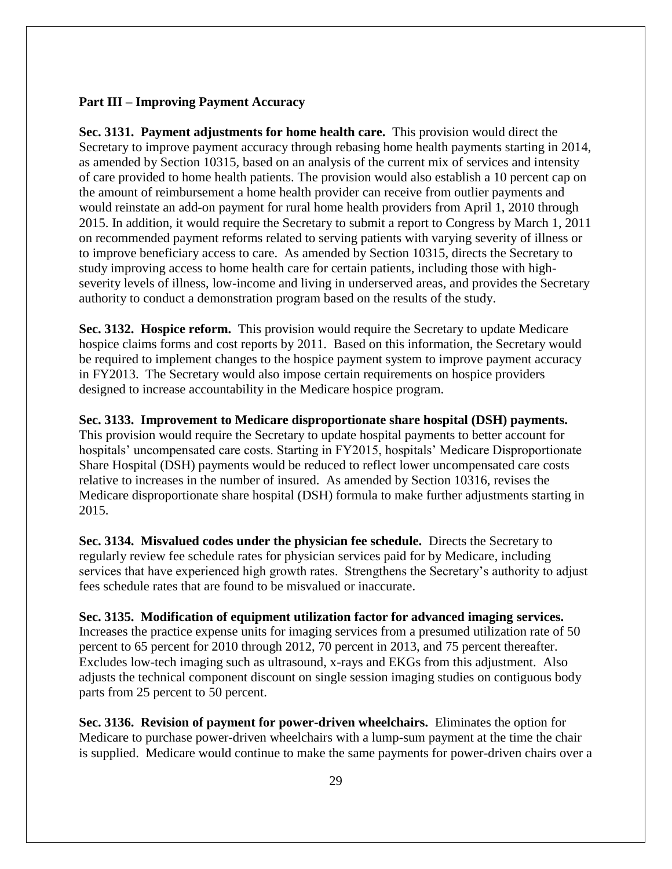### **Part III – Improving Payment Accuracy**

**Sec. 3131. Payment adjustments for home health care.** This provision would direct the Secretary to improve payment accuracy through rebasing home health payments starting in 2014, as amended by Section 10315, based on an analysis of the current mix of services and intensity of care provided to home health patients. The provision would also establish a 10 percent cap on the amount of reimbursement a home health provider can receive from outlier payments and would reinstate an add-on payment for rural home health providers from April 1, 2010 through 2015. In addition, it would require the Secretary to submit a report to Congress by March 1, 2011 on recommended payment reforms related to serving patients with varying severity of illness or to improve beneficiary access to care. As amended by Section 10315, directs the Secretary to study improving access to home health care for certain patients, including those with highseverity levels of illness, low-income and living in underserved areas, and provides the Secretary authority to conduct a demonstration program based on the results of the study.

**Sec. 3132. Hospice reform.** This provision would require the Secretary to update Medicare hospice claims forms and cost reports by 2011. Based on this information, the Secretary would be required to implement changes to the hospice payment system to improve payment accuracy in FY2013. The Secretary would also impose certain requirements on hospice providers designed to increase accountability in the Medicare hospice program.

**Sec. 3133. Improvement to Medicare disproportionate share hospital (DSH) payments.**  This provision would require the Secretary to update hospital payments to better account for hospitals' uncompensated care costs. Starting in FY2015, hospitals' Medicare Disproportionate Share Hospital (DSH) payments would be reduced to reflect lower uncompensated care costs relative to increases in the number of insured. As amended by Section 10316, revises the Medicare disproportionate share hospital (DSH) formula to make further adjustments starting in 2015.

**Sec. 3134. Misvalued codes under the physician fee schedule.** Directs the Secretary to regularly review fee schedule rates for physician services paid for by Medicare, including services that have experienced high growth rates. Strengthens the Secretary's authority to adjust fees schedule rates that are found to be misvalued or inaccurate.

**Sec. 3135. Modification of equipment utilization factor for advanced imaging services.** Increases the practice expense units for imaging services from a presumed utilization rate of 50 percent to 65 percent for 2010 through 2012, 70 percent in 2013, and 75 percent thereafter. Excludes low-tech imaging such as ultrasound, x-rays and EKGs from this adjustment. Also adjusts the technical component discount on single session imaging studies on contiguous body parts from 25 percent to 50 percent.

**Sec. 3136. Revision of payment for power-driven wheelchairs.** Eliminates the option for Medicare to purchase power-driven wheelchairs with a lump-sum payment at the time the chair is supplied. Medicare would continue to make the same payments for power-driven chairs over a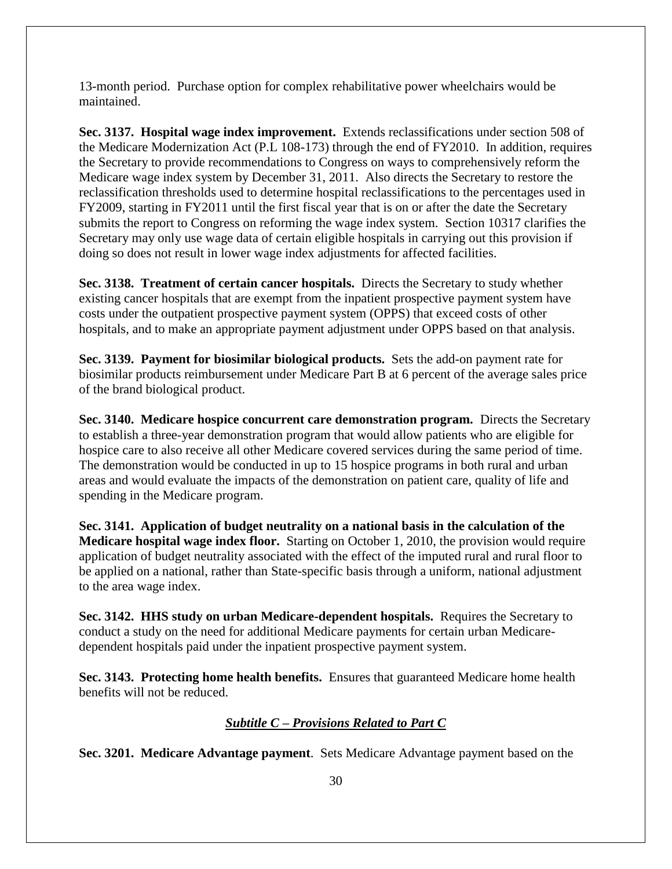13-month period. Purchase option for complex rehabilitative power wheelchairs would be maintained.

**Sec. 3137. Hospital wage index improvement.** Extends reclassifications under section 508 of the Medicare Modernization Act (P.L 108-173) through the end of FY2010. In addition, requires the Secretary to provide recommendations to Congress on ways to comprehensively reform the Medicare wage index system by December 31, 2011. Also directs the Secretary to restore the reclassification thresholds used to determine hospital reclassifications to the percentages used in FY2009, starting in FY2011 until the first fiscal year that is on or after the date the Secretary submits the report to Congress on reforming the wage index system. Section 10317 clarifies the Secretary may only use wage data of certain eligible hospitals in carrying out this provision if doing so does not result in lower wage index adjustments for affected facilities.

**Sec. 3138. Treatment of certain cancer hospitals.** Directs the Secretary to study whether existing cancer hospitals that are exempt from the inpatient prospective payment system have costs under the outpatient prospective payment system (OPPS) that exceed costs of other hospitals, and to make an appropriate payment adjustment under OPPS based on that analysis.

**Sec. 3139. Payment for biosimilar biological products.** Sets the add-on payment rate for biosimilar products reimbursement under Medicare Part B at 6 percent of the average sales price of the brand biological product.

**Sec. 3140. Medicare hospice concurrent care demonstration program.** Directs the Secretary to establish a three-year demonstration program that would allow patients who are eligible for hospice care to also receive all other Medicare covered services during the same period of time. The demonstration would be conducted in up to 15 hospice programs in both rural and urban areas and would evaluate the impacts of the demonstration on patient care, quality of life and spending in the Medicare program.

**Sec. 3141. Application of budget neutrality on a national basis in the calculation of the Medicare hospital wage index floor.** Starting on October 1, 2010, the provision would require application of budget neutrality associated with the effect of the imputed rural and rural floor to be applied on a national, rather than State-specific basis through a uniform, national adjustment to the area wage index.

**Sec. 3142. HHS study on urban Medicare-dependent hospitals.** Requires the Secretary to conduct a study on the need for additional Medicare payments for certain urban Medicaredependent hospitals paid under the inpatient prospective payment system.

**Sec. 3143. Protecting home health benefits.** Ensures that guaranteed Medicare home health benefits will not be reduced.

## *Subtitle C – Provisions Related to Part C*

**Sec. 3201. Medicare Advantage payment**. Sets Medicare Advantage payment based on the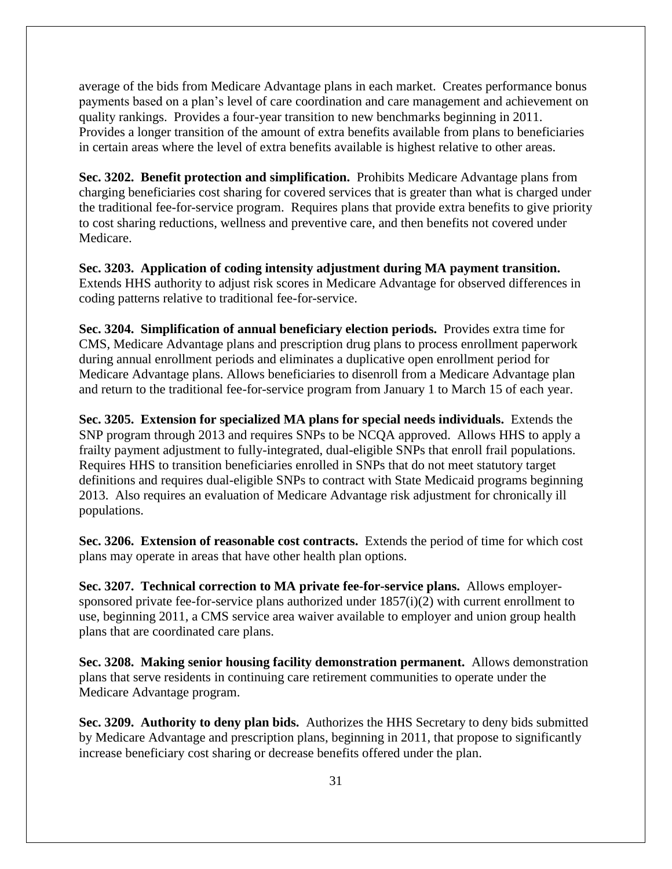average of the bids from Medicare Advantage plans in each market. Creates performance bonus payments based on a plan's level of care coordination and care management and achievement on quality rankings. Provides a four-year transition to new benchmarks beginning in 2011. Provides a longer transition of the amount of extra benefits available from plans to beneficiaries in certain areas where the level of extra benefits available is highest relative to other areas.

**Sec. 3202. Benefit protection and simplification.** Prohibits Medicare Advantage plans from charging beneficiaries cost sharing for covered services that is greater than what is charged under the traditional fee-for-service program. Requires plans that provide extra benefits to give priority to cost sharing reductions, wellness and preventive care, and then benefits not covered under Medicare.

**Sec. 3203. Application of coding intensity adjustment during MA payment transition.** Extends HHS authority to adjust risk scores in Medicare Advantage for observed differences in coding patterns relative to traditional fee-for-service.

**Sec. 3204. Simplification of annual beneficiary election periods.** Provides extra time for CMS, Medicare Advantage plans and prescription drug plans to process enrollment paperwork during annual enrollment periods and eliminates a duplicative open enrollment period for Medicare Advantage plans. Allows beneficiaries to disenroll from a Medicare Advantage plan and return to the traditional fee-for-service program from January 1 to March 15 of each year.

**Sec. 3205. Extension for specialized MA plans for special needs individuals.** Extends the SNP program through 2013 and requires SNPs to be NCQA approved. Allows HHS to apply a frailty payment adjustment to fully-integrated, dual-eligible SNPs that enroll frail populations. Requires HHS to transition beneficiaries enrolled in SNPs that do not meet statutory target definitions and requires dual-eligible SNPs to contract with State Medicaid programs beginning 2013. Also requires an evaluation of Medicare Advantage risk adjustment for chronically ill populations.

**Sec. 3206. Extension of reasonable cost contracts.** Extends the period of time for which cost plans may operate in areas that have other health plan options.

**Sec. 3207. Technical correction to MA private fee-for-service plans.** Allows employersponsored private fee-for-service plans authorized under  $1857(i)(2)$  with current enrollment to use, beginning 2011, a CMS service area waiver available to employer and union group health plans that are coordinated care plans.

**Sec. 3208. Making senior housing facility demonstration permanent.** Allows demonstration plans that serve residents in continuing care retirement communities to operate under the Medicare Advantage program.

**Sec. 3209. Authority to deny plan bids.** Authorizes the HHS Secretary to deny bids submitted by Medicare Advantage and prescription plans, beginning in 2011, that propose to significantly increase beneficiary cost sharing or decrease benefits offered under the plan.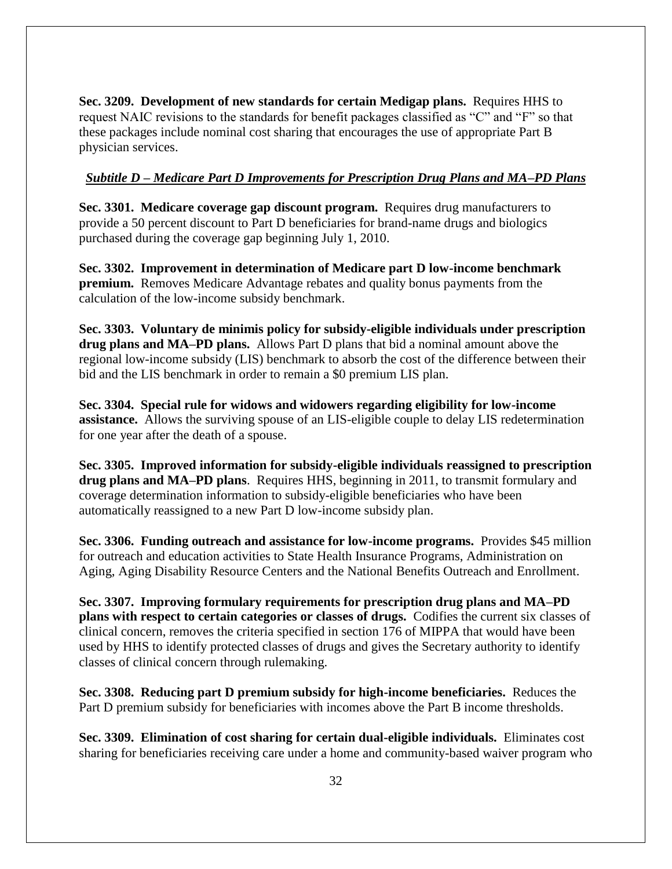**Sec. 3209. Development of new standards for certain Medigap plans.** Requires HHS to request NAIC revisions to the standards for benefit packages classified as "C" and "F" so that these packages include nominal cost sharing that encourages the use of appropriate Part B physician services.

## *Subtitle D – Medicare Part D Improvements for Prescription Drug Plans and MA–PD Plans*

**Sec. 3301. Medicare coverage gap discount program.** Requires drug manufacturers to provide a 50 percent discount to Part D beneficiaries for brand-name drugs and biologics purchased during the coverage gap beginning July 1, 2010.

**Sec. 3302. Improvement in determination of Medicare part D low-income benchmark premium.** Removes Medicare Advantage rebates and quality bonus payments from the calculation of the low-income subsidy benchmark.

**Sec. 3303. Voluntary de minimis policy for subsidy-eligible individuals under prescription drug plans and MA–PD plans.** Allows Part D plans that bid a nominal amount above the regional low-income subsidy (LIS) benchmark to absorb the cost of the difference between their bid and the LIS benchmark in order to remain a \$0 premium LIS plan.

**Sec. 3304. Special rule for widows and widowers regarding eligibility for low-income assistance.** Allows the surviving spouse of an LIS-eligible couple to delay LIS redetermination for one year after the death of a spouse.

**Sec. 3305. Improved information for subsidy-eligible individuals reassigned to prescription drug plans and MA–PD plans**. Requires HHS, beginning in 2011, to transmit formulary and coverage determination information to subsidy-eligible beneficiaries who have been automatically reassigned to a new Part D low-income subsidy plan.

**Sec. 3306. Funding outreach and assistance for low-income programs.** Provides \$45 million for outreach and education activities to State Health Insurance Programs, Administration on Aging, Aging Disability Resource Centers and the National Benefits Outreach and Enrollment.

**Sec. 3307. Improving formulary requirements for prescription drug plans and MA–PD plans with respect to certain categories or classes of drugs.** Codifies the current six classes of clinical concern, removes the criteria specified in section 176 of MIPPA that would have been used by HHS to identify protected classes of drugs and gives the Secretary authority to identify classes of clinical concern through rulemaking.

**Sec. 3308. Reducing part D premium subsidy for high-income beneficiaries.** Reduces the Part D premium subsidy for beneficiaries with incomes above the Part B income thresholds.

**Sec. 3309. Elimination of cost sharing for certain dual-eligible individuals.** Eliminates cost sharing for beneficiaries receiving care under a home and community-based waiver program who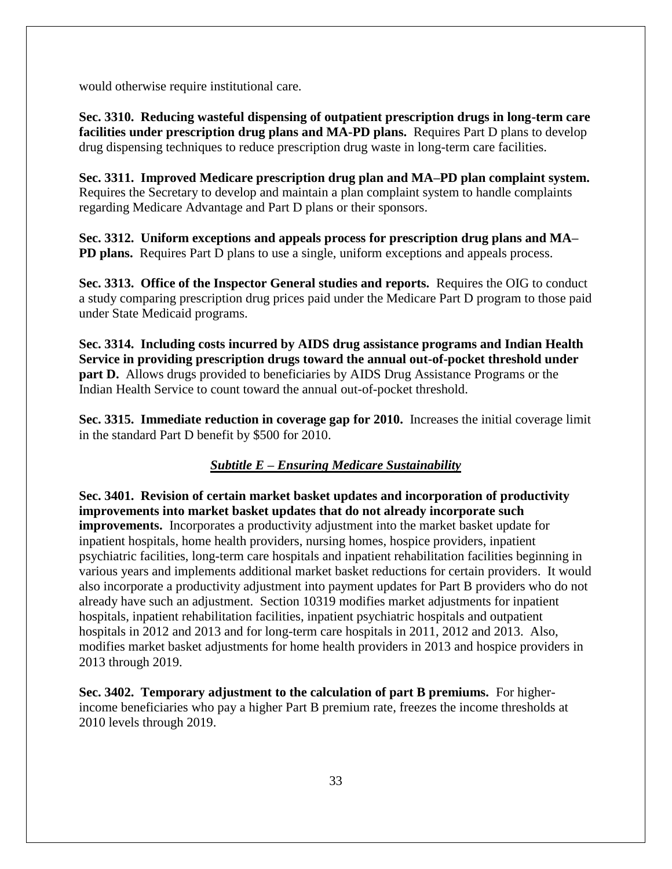would otherwise require institutional care.

**Sec. 3310. Reducing wasteful dispensing of outpatient prescription drugs in long-term care facilities under prescription drug plans and MA-PD plans.** Requires Part D plans to develop drug dispensing techniques to reduce prescription drug waste in long-term care facilities.

**Sec. 3311. Improved Medicare prescription drug plan and MA–PD plan complaint system.** Requires the Secretary to develop and maintain a plan complaint system to handle complaints regarding Medicare Advantage and Part D plans or their sponsors.

**Sec. 3312. Uniform exceptions and appeals process for prescription drug plans and MA– PD plans.** Requires Part D plans to use a single, uniform exceptions and appeals process.

**Sec. 3313. Office of the Inspector General studies and reports.** Requires the OIG to conduct a study comparing prescription drug prices paid under the Medicare Part D program to those paid under State Medicaid programs.

**Sec. 3314. Including costs incurred by AIDS drug assistance programs and Indian Health Service in providing prescription drugs toward the annual out-of-pocket threshold under part D.** Allows drugs provided to beneficiaries by AIDS Drug Assistance Programs or the Indian Health Service to count toward the annual out-of-pocket threshold.

**Sec. 3315. Immediate reduction in coverage gap for 2010.** Increases the initial coverage limit in the standard Part D benefit by \$500 for 2010.

#### *Subtitle E – Ensuring Medicare Sustainability*

**Sec. 3401. Revision of certain market basket updates and incorporation of productivity improvements into market basket updates that do not already incorporate such improvements.** Incorporates a productivity adjustment into the market basket update for inpatient hospitals, home health providers, nursing homes, hospice providers, inpatient psychiatric facilities, long-term care hospitals and inpatient rehabilitation facilities beginning in various years and implements additional market basket reductions for certain providers. It would also incorporate a productivity adjustment into payment updates for Part B providers who do not already have such an adjustment. Section 10319 modifies market adjustments for inpatient hospitals, inpatient rehabilitation facilities, inpatient psychiatric hospitals and outpatient hospitals in 2012 and 2013 and for long-term care hospitals in 2011, 2012 and 2013. Also, modifies market basket adjustments for home health providers in 2013 and hospice providers in 2013 through 2019.

**Sec. 3402. Temporary adjustment to the calculation of part B premiums.** For higherincome beneficiaries who pay a higher Part B premium rate, freezes the income thresholds at 2010 levels through 2019.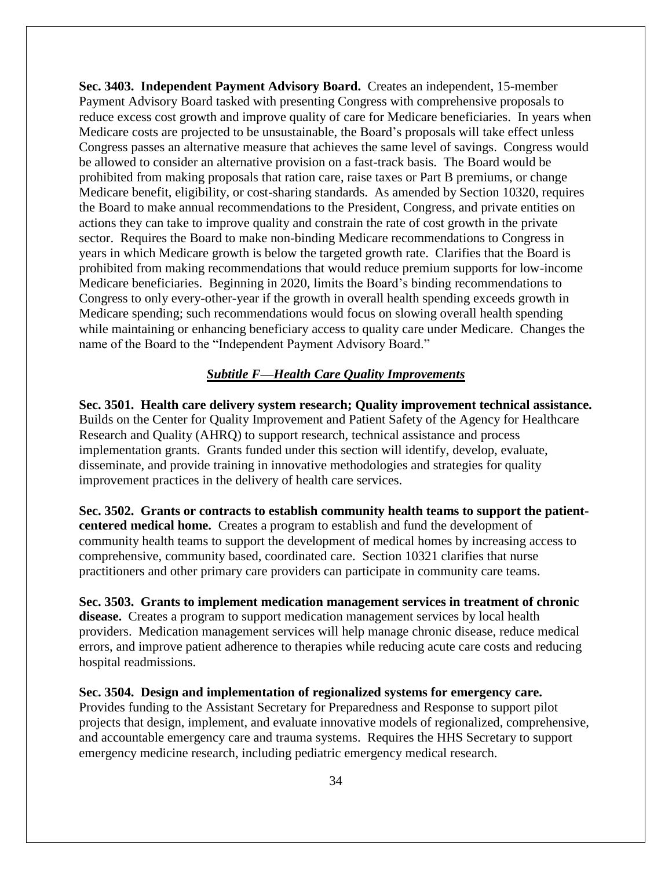**Sec. 3403. Independent Payment Advisory Board.** Creates an independent, 15-member Payment Advisory Board tasked with presenting Congress with comprehensive proposals to reduce excess cost growth and improve quality of care for Medicare beneficiaries. In years when Medicare costs are projected to be unsustainable, the Board's proposals will take effect unless Congress passes an alternative measure that achieves the same level of savings. Congress would be allowed to consider an alternative provision on a fast-track basis. The Board would be prohibited from making proposals that ration care, raise taxes or Part B premiums, or change Medicare benefit, eligibility, or cost-sharing standards. As amended by Section 10320, requires the Board to make annual recommendations to the President, Congress, and private entities on actions they can take to improve quality and constrain the rate of cost growth in the private sector. Requires the Board to make non-binding Medicare recommendations to Congress in years in which Medicare growth is below the targeted growth rate. Clarifies that the Board is prohibited from making recommendations that would reduce premium supports for low-income Medicare beneficiaries. Beginning in 2020, limits the Board's binding recommendations to Congress to only every-other-year if the growth in overall health spending exceeds growth in Medicare spending; such recommendations would focus on slowing overall health spending while maintaining or enhancing beneficiary access to quality care under Medicare. Changes the name of the Board to the "Independent Payment Advisory Board."

#### *Subtitle F—Health Care Quality Improvements*

**Sec. 3501. Health care delivery system research; Quality improvement technical assistance.**  Builds on the Center for Quality Improvement and Patient Safety of the Agency for Healthcare Research and Quality (AHRQ) to support research, technical assistance and process implementation grants. Grants funded under this section will identify, develop, evaluate, disseminate, and provide training in innovative methodologies and strategies for quality improvement practices in the delivery of health care services.

**Sec. 3502. Grants or contracts to establish community health teams to support the patientcentered medical home.** Creates a program to establish and fund the development of community health teams to support the development of medical homes by increasing access to comprehensive, community based, coordinated care. Section 10321 clarifies that nurse practitioners and other primary care providers can participate in community care teams.

**Sec. 3503. Grants to implement medication management services in treatment of chronic disease.** Creates a program to support medication management services by local health providers. Medication management services will help manage chronic disease, reduce medical errors, and improve patient adherence to therapies while reducing acute care costs and reducing hospital readmissions.

**Sec. 3504. Design and implementation of regionalized systems for emergency care.**  Provides funding to the Assistant Secretary for Preparedness and Response to support pilot projects that design, implement, and evaluate innovative models of regionalized, comprehensive, and accountable emergency care and trauma systems. Requires the HHS Secretary to support emergency medicine research, including pediatric emergency medical research.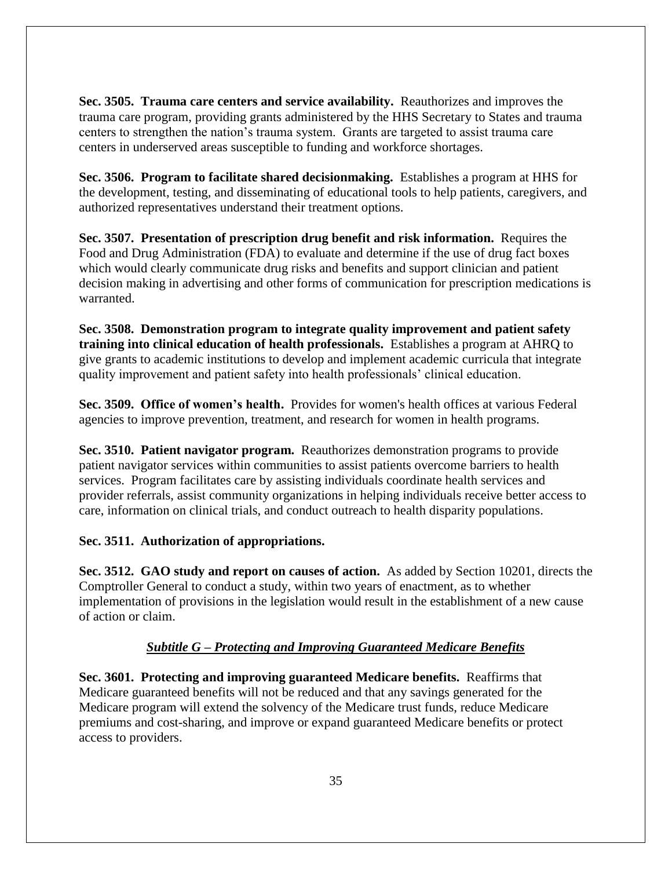**Sec. 3505. Trauma care centers and service availability.** Reauthorizes and improves the trauma care program, providing grants administered by the HHS Secretary to States and trauma centers to strengthen the nation's trauma system. Grants are targeted to assist trauma care centers in underserved areas susceptible to funding and workforce shortages.

**Sec. 3506. Program to facilitate shared decisionmaking.** Establishes a program at HHS for the development, testing, and disseminating of educational tools to help patients, caregivers, and authorized representatives understand their treatment options.

**Sec. 3507. Presentation of prescription drug benefit and risk information.** Requires the Food and Drug Administration (FDA) to evaluate and determine if the use of drug fact boxes which would clearly communicate drug risks and benefits and support clinician and patient decision making in advertising and other forms of communication for prescription medications is warranted.

**Sec. 3508. Demonstration program to integrate quality improvement and patient safety training into clinical education of health professionals.** Establishes a program at AHRQ to give grants to academic institutions to develop and implement academic curricula that integrate quality improvement and patient safety into health professionals' clinical education.

**Sec. 3509. Office of women's health.** Provides for women's health offices at various Federal agencies to improve prevention, treatment, and research for women in health programs.

**Sec. 3510. Patient navigator program.** Reauthorizes demonstration programs to provide patient navigator services within communities to assist patients overcome barriers to health services. Program facilitates care by assisting individuals coordinate health services and provider referrals, assist community organizations in helping individuals receive better access to care, information on clinical trials, and conduct outreach to health disparity populations.

## **Sec. 3511. Authorization of appropriations.**

**Sec. 3512. GAO study and report on causes of action.** As added by Section 10201, directs the Comptroller General to conduct a study, within two years of enactment, as to whether implementation of provisions in the legislation would result in the establishment of a new cause of action or claim.

## *Subtitle G – Protecting and Improving Guaranteed Medicare Benefits*

**Sec. 3601. Protecting and improving guaranteed Medicare benefits.** Reaffirms that Medicare guaranteed benefits will not be reduced and that any savings generated for the Medicare program will extend the solvency of the Medicare trust funds, reduce Medicare premiums and cost-sharing, and improve or expand guaranteed Medicare benefits or protect access to providers.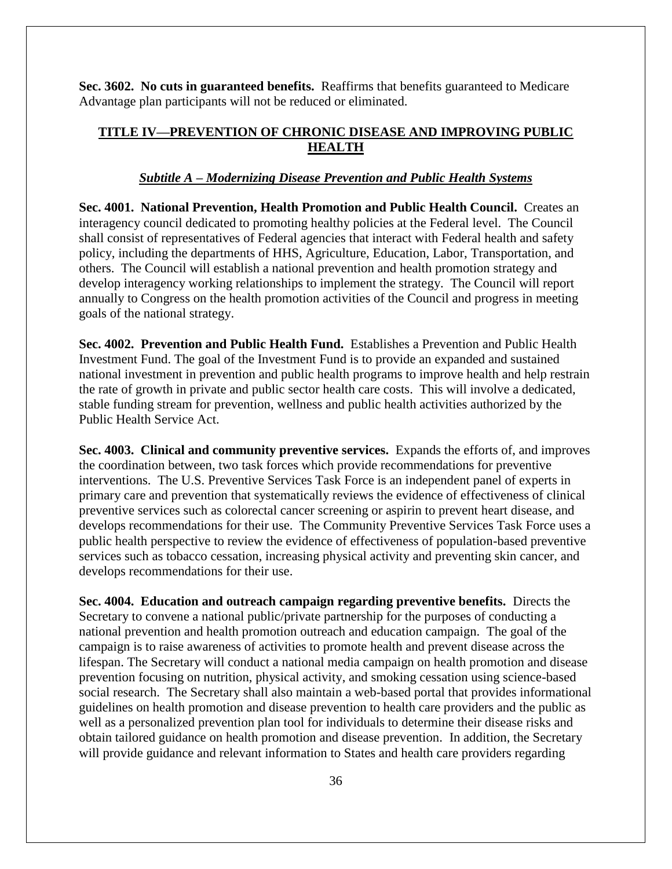**Sec. 3602. No cuts in guaranteed benefits.** Reaffirms that benefits guaranteed to Medicare Advantage plan participants will not be reduced or eliminated.

## **TITLE IV—PREVENTION OF CHRONIC DISEASE AND IMPROVING PUBLIC HEALTH**

### *Subtitle A – Modernizing Disease Prevention and Public Health Systems*

**Sec. 4001. National Prevention, Health Promotion and Public Health Council.** Creates an interagency council dedicated to promoting healthy policies at the Federal level. The Council shall consist of representatives of Federal agencies that interact with Federal health and safety policy, including the departments of HHS, Agriculture, Education, Labor, Transportation, and others. The Council will establish a national prevention and health promotion strategy and develop interagency working relationships to implement the strategy. The Council will report annually to Congress on the health promotion activities of the Council and progress in meeting goals of the national strategy.

**Sec. 4002. Prevention and Public Health Fund.** Establishes a Prevention and Public Health Investment Fund. The goal of the Investment Fund is to provide an expanded and sustained national investment in prevention and public health programs to improve health and help restrain the rate of growth in private and public sector health care costs. This will involve a dedicated, stable funding stream for prevention, wellness and public health activities authorized by the Public Health Service Act.

**Sec. 4003. Clinical and community preventive services.** Expands the efforts of, and improves the coordination between, two task forces which provide recommendations for preventive interventions. The U.S. Preventive Services Task Force is an independent panel of experts in primary care and prevention that systematically reviews the evidence of effectiveness of clinical preventive services such as colorectal cancer screening or aspirin to prevent heart disease, and develops recommendations for their use. The Community Preventive Services Task Force uses a public health perspective to review the evidence of effectiveness of population-based preventive services such as tobacco cessation, increasing physical activity and preventing skin cancer, and develops recommendations for their use.

**Sec. 4004. Education and outreach campaign regarding preventive benefits.** Directs the Secretary to convene a national public/private partnership for the purposes of conducting a national prevention and health promotion outreach and education campaign. The goal of the campaign is to raise awareness of activities to promote health and prevent disease across the lifespan. The Secretary will conduct a national media campaign on health promotion and disease prevention focusing on nutrition, physical activity, and smoking cessation using science-based social research. The Secretary shall also maintain a web-based portal that provides informational guidelines on health promotion and disease prevention to health care providers and the public as well as a personalized prevention plan tool for individuals to determine their disease risks and obtain tailored guidance on health promotion and disease prevention. In addition, the Secretary will provide guidance and relevant information to States and health care providers regarding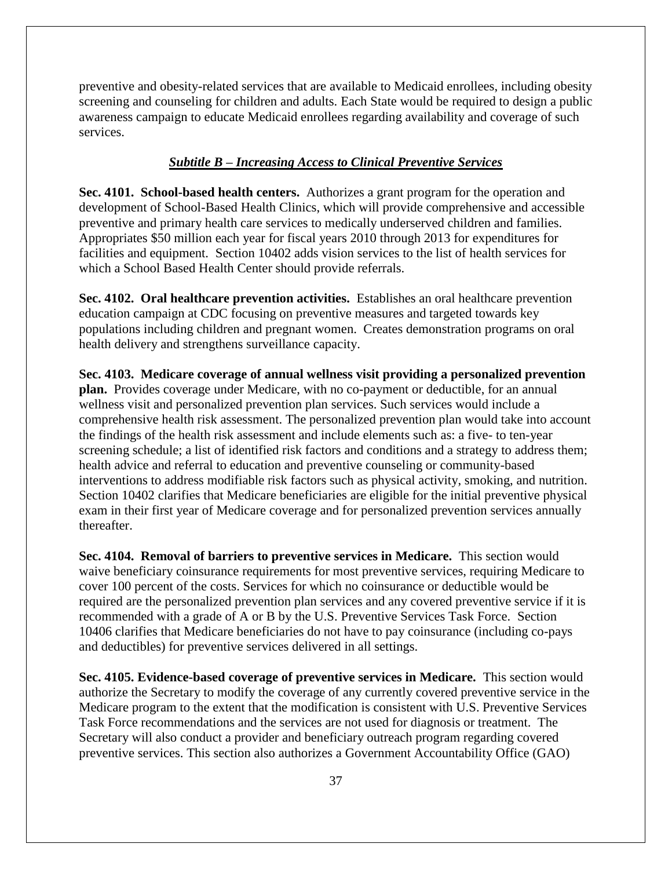preventive and obesity-related services that are available to Medicaid enrollees, including obesity screening and counseling for children and adults. Each State would be required to design a public awareness campaign to educate Medicaid enrollees regarding availability and coverage of such services.

#### *Subtitle B – Increasing Access to Clinical Preventive Services*

**Sec. 4101. School-based health centers.** Authorizes a grant program for the operation and development of School-Based Health Clinics, which will provide comprehensive and accessible preventive and primary health care services to medically underserved children and families. Appropriates \$50 million each year for fiscal years 2010 through 2013 for expenditures for facilities and equipment. Section 10402 adds vision services to the list of health services for which a School Based Health Center should provide referrals.

**Sec. 4102. Oral healthcare prevention activities.** Establishes an oral healthcare prevention education campaign at CDC focusing on preventive measures and targeted towards key populations including children and pregnant women. Creates demonstration programs on oral health delivery and strengthens surveillance capacity.

**Sec. 4103. Medicare coverage of annual wellness visit providing a personalized prevention plan.** Provides coverage under Medicare, with no co-payment or deductible, for an annual wellness visit and personalized prevention plan services. Such services would include a comprehensive health risk assessment. The personalized prevention plan would take into account the findings of the health risk assessment and include elements such as: a five- to ten-year screening schedule; a list of identified risk factors and conditions and a strategy to address them; health advice and referral to education and preventive counseling or community-based interventions to address modifiable risk factors such as physical activity, smoking, and nutrition. Section 10402 clarifies that Medicare beneficiaries are eligible for the initial preventive physical exam in their first year of Medicare coverage and for personalized prevention services annually thereafter.

**Sec. 4104. Removal of barriers to preventive services in Medicare.** This section would waive beneficiary coinsurance requirements for most preventive services, requiring Medicare to cover 100 percent of the costs. Services for which no coinsurance or deductible would be required are the personalized prevention plan services and any covered preventive service if it is recommended with a grade of A or B by the U.S. Preventive Services Task Force. Section 10406 clarifies that Medicare beneficiaries do not have to pay coinsurance (including co-pays and deductibles) for preventive services delivered in all settings.

**Sec. 4105. Evidence-based coverage of preventive services in Medicare.** This section would authorize the Secretary to modify the coverage of any currently covered preventive service in the Medicare program to the extent that the modification is consistent with U.S. Preventive Services Task Force recommendations and the services are not used for diagnosis or treatment. The Secretary will also conduct a provider and beneficiary outreach program regarding covered preventive services. This section also authorizes a Government Accountability Office (GAO)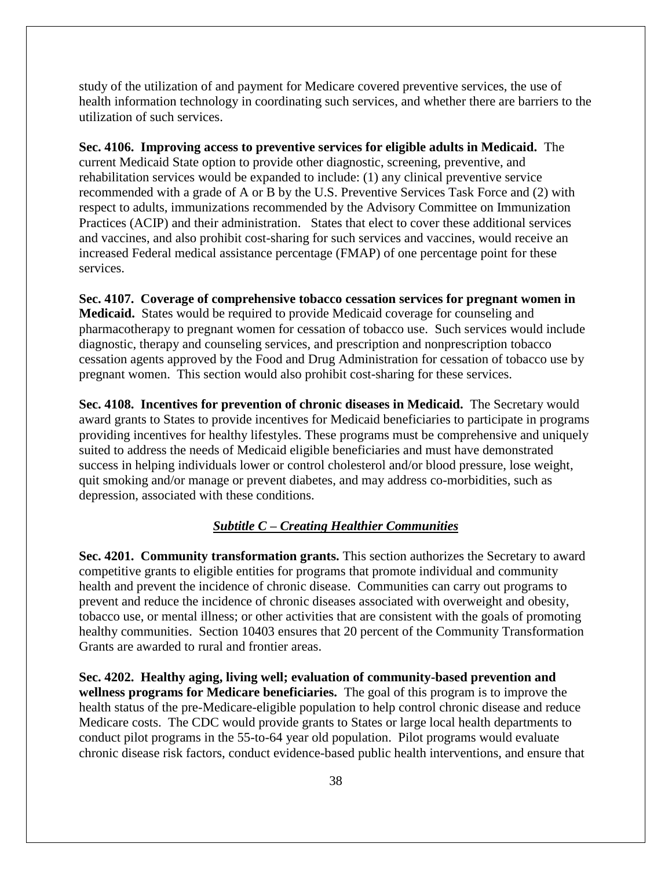study of the utilization of and payment for Medicare covered preventive services, the use of health information technology in coordinating such services, and whether there are barriers to the utilization of such services.

**Sec. 4106. Improving access to preventive services for eligible adults in Medicaid.** The current Medicaid State option to provide other diagnostic, screening, preventive, and rehabilitation services would be expanded to include: (1) any clinical preventive service recommended with a grade of A or B by the U.S. Preventive Services Task Force and (2) with respect to adults, immunizations recommended by the Advisory Committee on Immunization Practices (ACIP) and their administration. States that elect to cover these additional services and vaccines, and also prohibit cost-sharing for such services and vaccines, would receive an increased Federal medical assistance percentage (FMAP) of one percentage point for these services.

**Sec. 4107. Coverage of comprehensive tobacco cessation services for pregnant women in Medicaid.** States would be required to provide Medicaid coverage for counseling and pharmacotherapy to pregnant women for cessation of tobacco use. Such services would include diagnostic, therapy and counseling services, and prescription and nonprescription tobacco cessation agents approved by the Food and Drug Administration for cessation of tobacco use by pregnant women. This section would also prohibit cost-sharing for these services.

**Sec. 4108. Incentives for prevention of chronic diseases in Medicaid.** The Secretary would award grants to States to provide incentives for Medicaid beneficiaries to participate in programs providing incentives for healthy lifestyles. These programs must be comprehensive and uniquely suited to address the needs of Medicaid eligible beneficiaries and must have demonstrated success in helping individuals lower or control cholesterol and/or blood pressure, lose weight, quit smoking and/or manage or prevent diabetes, and may address co-morbidities, such as depression, associated with these conditions.

### *Subtitle C – Creating Healthier Communities*

**Sec. 4201. Community transformation grants.** This section authorizes the Secretary to award competitive grants to eligible entities for programs that promote individual and community health and prevent the incidence of chronic disease. Communities can carry out programs to prevent and reduce the incidence of chronic diseases associated with overweight and obesity, tobacco use, or mental illness; or other activities that are consistent with the goals of promoting healthy communities. Section 10403 ensures that 20 percent of the Community Transformation Grants are awarded to rural and frontier areas.

**Sec. 4202. Healthy aging, living well; evaluation of community-based prevention and wellness programs for Medicare beneficiaries.** The goal of this program is to improve the health status of the pre-Medicare-eligible population to help control chronic disease and reduce Medicare costs. The CDC would provide grants to States or large local health departments to conduct pilot programs in the 55-to-64 year old population. Pilot programs would evaluate chronic disease risk factors, conduct evidence-based public health interventions, and ensure that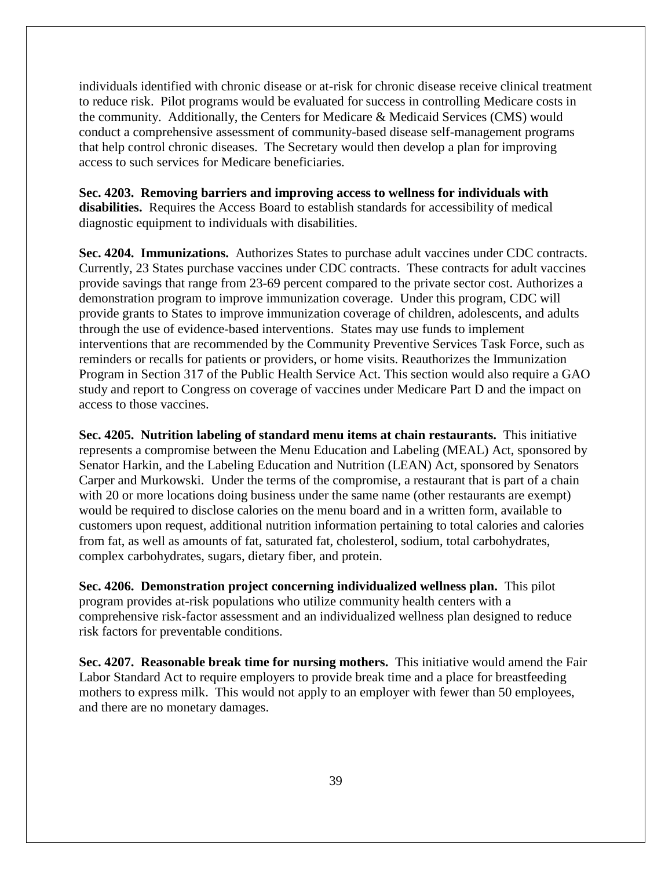individuals identified with chronic disease or at-risk for chronic disease receive clinical treatment to reduce risk. Pilot programs would be evaluated for success in controlling Medicare costs in the community. Additionally, the Centers for Medicare & Medicaid Services (CMS) would conduct a comprehensive assessment of community-based disease self-management programs that help control chronic diseases. The Secretary would then develop a plan for improving access to such services for Medicare beneficiaries.

**Sec. 4203. Removing barriers and improving access to wellness for individuals with disabilities.** Requires the Access Board to establish standards for accessibility of medical diagnostic equipment to individuals with disabilities.

**Sec. 4204. Immunizations.** Authorizes States to purchase adult vaccines under CDC contracts. Currently, 23 States purchase vaccines under CDC contracts. These contracts for adult vaccines provide savings that range from 23-69 percent compared to the private sector cost. Authorizes a demonstration program to improve immunization coverage. Under this program, CDC will provide grants to States to improve immunization coverage of children, adolescents, and adults through the use of evidence-based interventions. States may use funds to implement interventions that are recommended by the Community Preventive Services Task Force, such as reminders or recalls for patients or providers, or home visits. Reauthorizes the Immunization Program in Section 317 of the Public Health Service Act. This section would also require a GAO study and report to Congress on coverage of vaccines under Medicare Part D and the impact on access to those vaccines.

**Sec. 4205. Nutrition labeling of standard menu items at chain restaurants.** This initiative represents a compromise between the Menu Education and Labeling (MEAL) Act, sponsored by Senator Harkin, and the Labeling Education and Nutrition (LEAN) Act, sponsored by Senators Carper and Murkowski. Under the terms of the compromise, a restaurant that is part of a chain with 20 or more locations doing business under the same name (other restaurants are exempt) would be required to disclose calories on the menu board and in a written form, available to customers upon request, additional nutrition information pertaining to total calories and calories from fat, as well as amounts of fat, saturated fat, cholesterol, sodium, total carbohydrates, complex carbohydrates, sugars, dietary fiber, and protein.

**Sec. 4206. Demonstration project concerning individualized wellness plan.** This pilot program provides at-risk populations who utilize community health centers with a comprehensive risk-factor assessment and an individualized wellness plan designed to reduce risk factors for preventable conditions.

**Sec. 4207. Reasonable break time for nursing mothers.** This initiative would amend the Fair Labor Standard Act to require employers to provide break time and a place for breastfeeding mothers to express milk. This would not apply to an employer with fewer than 50 employees, and there are no monetary damages.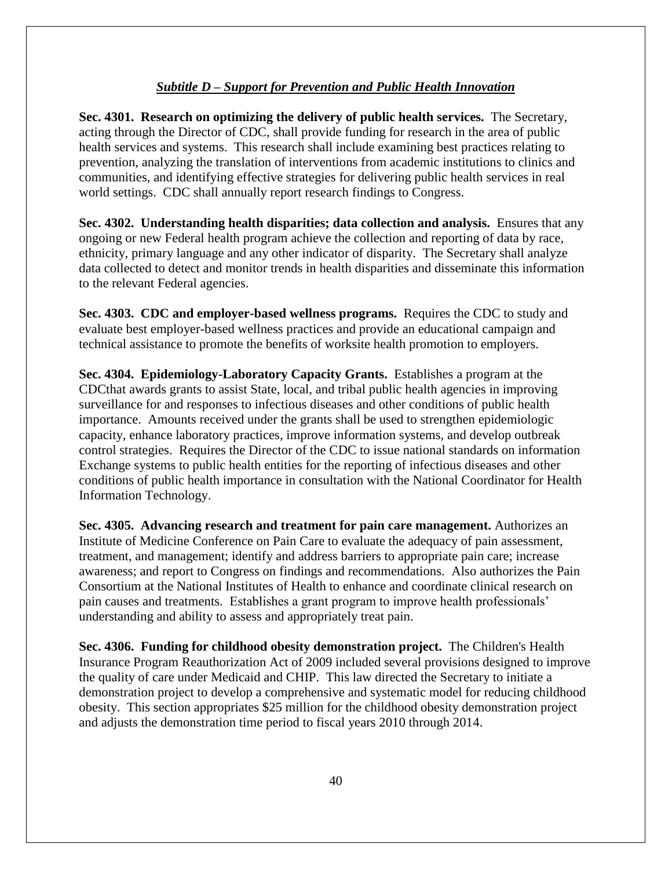### *Subtitle D – Support for Prevention and Public Health Innovation*

**Sec. 4301. Research on optimizing the delivery of public health services.** The Secretary, acting through the Director of CDC, shall provide funding for research in the area of public health services and systems. This research shall include examining best practices relating to prevention, analyzing the translation of interventions from academic institutions to clinics and communities, and identifying effective strategies for delivering public health services in real world settings. CDC shall annually report research findings to Congress.

**Sec. 4302. Understanding health disparities; data collection and analysis.** Ensures that any ongoing or new Federal health program achieve the collection and reporting of data by race, ethnicity, primary language and any other indicator of disparity. The Secretary shall analyze data collected to detect and monitor trends in health disparities and disseminate this information to the relevant Federal agencies.

**Sec. 4303. CDC and employer-based wellness programs.** Requires the CDC to study and evaluate best employer-based wellness practices and provide an educational campaign and technical assistance to promote the benefits of worksite health promotion to employers.

**Sec. 4304. Epidemiology-Laboratory Capacity Grants.** Establishes a program at the CDCthat awards grants to assist State, local, and tribal public health agencies in improving surveillance for and responses to infectious diseases and other conditions of public health importance. Amounts received under the grants shall be used to strengthen epidemiologic capacity, enhance laboratory practices, improve information systems, and develop outbreak control strategies. Requires the Director of the CDC to issue national standards on information Exchange systems to public health entities for the reporting of infectious diseases and other conditions of public health importance in consultation with the National Coordinator for Health Information Technology.

**Sec. 4305. Advancing research and treatment for pain care management.** Authorizes an Institute of Medicine Conference on Pain Care to evaluate the adequacy of pain assessment, treatment, and management; identify and address barriers to appropriate pain care; increase awareness; and report to Congress on findings and recommendations. Also authorizes the Pain Consortium at the National Institutes of Health to enhance and coordinate clinical research on pain causes and treatments. Establishes a grant program to improve health professionals' understanding and ability to assess and appropriately treat pain.

**Sec. 4306. Funding for childhood obesity demonstration project.** The Children's Health Insurance Program Reauthorization Act of 2009 included several provisions designed to improve the quality of care under Medicaid and CHIP. This law directed the Secretary to initiate a demonstration project to develop a comprehensive and systematic model for reducing childhood obesity. This section appropriates \$25 million for the childhood obesity demonstration project and adjusts the demonstration time period to fiscal years 2010 through 2014.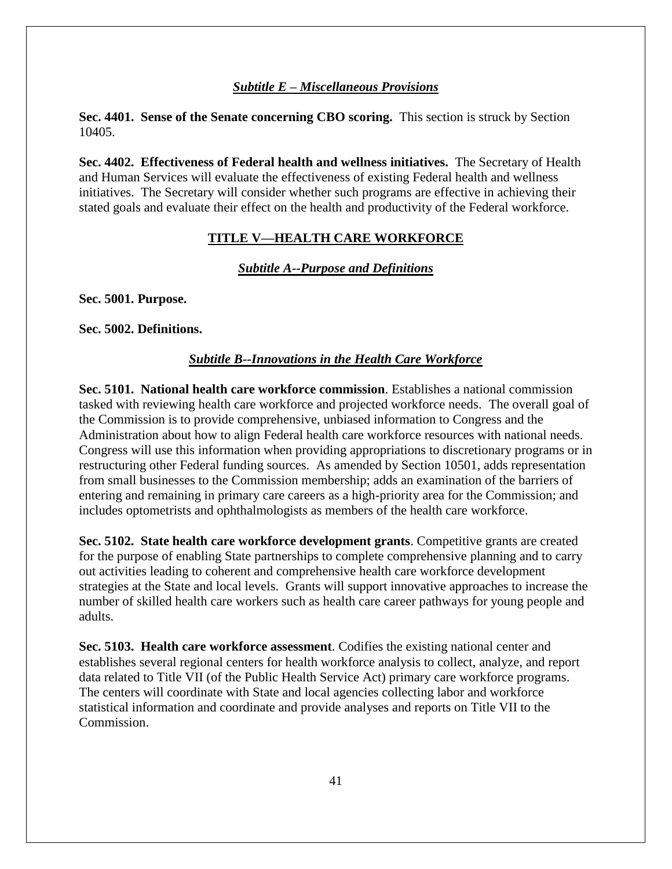### *Subtitle E – Miscellaneous Provisions*

**Sec. 4401. Sense of the Senate concerning CBO scoring.** This section is struck by Section 10405.

**Sec. 4402. Effectiveness of Federal health and wellness initiatives.** The Secretary of Health and Human Services will evaluate the effectiveness of existing Federal health and wellness initiatives. The Secretary will consider whether such programs are effective in achieving their stated goals and evaluate their effect on the health and productivity of the Federal workforce.

#### **TITLE V—HEALTH CARE WORKFORCE**

*Subtitle A--Purpose and Definitions*

**Sec. 5001. Purpose.**

**Sec. 5002. Definitions.**

#### *Subtitle B--Innovations in the Health Care Workforce*

**Sec. 5101. National health care workforce commission**. Establishes a national commission tasked with reviewing health care workforce and projected workforce needs. The overall goal of the Commission is to provide comprehensive, unbiased information to Congress and the Administration about how to align Federal health care workforce resources with national needs. Congress will use this information when providing appropriations to discretionary programs or in restructuring other Federal funding sources. As amended by Section 10501, adds representation from small businesses to the Commission membership; adds an examination of the barriers of entering and remaining in primary care careers as a high-priority area for the Commission; and includes optometrists and ophthalmologists as members of the health care workforce.

**Sec. 5102. State health care workforce development grants**. Competitive grants are created for the purpose of enabling State partnerships to complete comprehensive planning and to carry out activities leading to coherent and comprehensive health care workforce development strategies at the State and local levels. Grants will support innovative approaches to increase the number of skilled health care workers such as health care career pathways for young people and adults.

**Sec. 5103. Health care workforce assessment**. Codifies the existing national center and establishes several regional centers for health workforce analysis to collect, analyze, and report data related to Title VII (of the Public Health Service Act) primary care workforce programs. The centers will coordinate with State and local agencies collecting labor and workforce statistical information and coordinate and provide analyses and reports on Title VII to the Commission.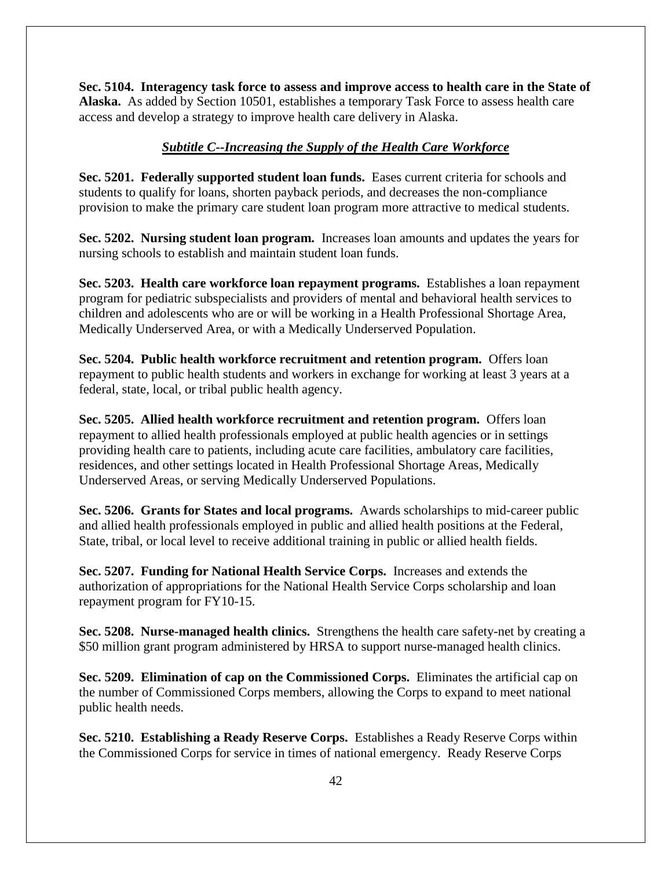**Sec. 5104. Interagency task force to assess and improve access to health care in the State of Alaska.** As added by Section 10501, establishes a temporary Task Force to assess health care access and develop a strategy to improve health care delivery in Alaska.

### *Subtitle C--Increasing the Supply of the Health Care Workforce*

**Sec. 5201. Federally supported student loan funds.** Eases current criteria for schools and students to qualify for loans, shorten payback periods, and decreases the non-compliance provision to make the primary care student loan program more attractive to medical students.

**Sec. 5202. Nursing student loan program.** Increases loan amounts and updates the years for nursing schools to establish and maintain student loan funds.

**Sec. 5203. Health care workforce loan repayment programs.** Establishes a loan repayment program for pediatric subspecialists and providers of mental and behavioral health services to children and adolescents who are or will be working in a Health Professional Shortage Area, Medically Underserved Area, or with a Medically Underserved Population.

**Sec. 5204. Public health workforce recruitment and retention program.** Offers loan repayment to public health students and workers in exchange for working at least 3 years at a federal, state, local, or tribal public health agency.

**Sec. 5205. Allied health workforce recruitment and retention program.** Offers loan repayment to allied health professionals employed at public health agencies or in settings providing health care to patients, including acute care facilities, ambulatory care facilities, residences, and other settings located in Health Professional Shortage Areas, Medically Underserved Areas, or serving Medically Underserved Populations.

**Sec. 5206. Grants for States and local programs.** Awards scholarships to mid-career public and allied health professionals employed in public and allied health positions at the Federal, State, tribal, or local level to receive additional training in public or allied health fields.

**Sec. 5207. Funding for National Health Service Corps.** Increases and extends the authorization of appropriations for the National Health Service Corps scholarship and loan repayment program for FY10-15.

**Sec. 5208. Nurse-managed health clinics.** Strengthens the health care safety-net by creating a \$50 million grant program administered by HRSA to support nurse-managed health clinics.

**Sec. 5209. Elimination of cap on the Commissioned Corps.** Eliminates the artificial cap on the number of Commissioned Corps members, allowing the Corps to expand to meet national public health needs.

**Sec. 5210. Establishing a Ready Reserve Corps.** Establishes a Ready Reserve Corps within the Commissioned Corps for service in times of national emergency. Ready Reserve Corps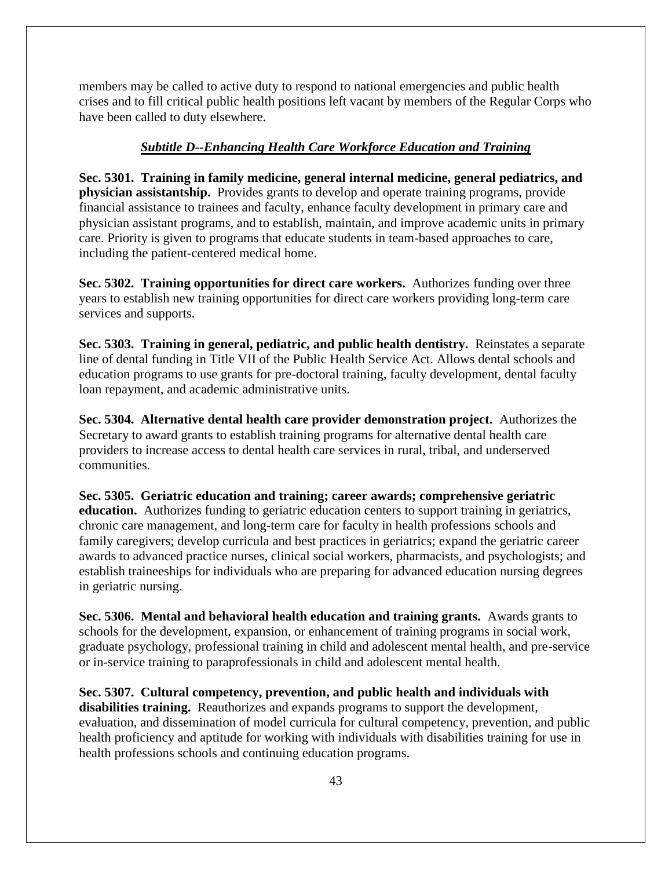members may be called to active duty to respond to national emergencies and public health crises and to fill critical public health positions left vacant by members of the Regular Corps who have been called to duty elsewhere.

#### *Subtitle D--Enhancing Health Care Workforce Education and Training*

**Sec. 5301. Training in family medicine, general internal medicine, general pediatrics, and physician assistantship.** Provides grants to develop and operate training programs, provide financial assistance to trainees and faculty, enhance faculty development in primary care and physician assistant programs, and to establish, maintain, and improve academic units in primary care. Priority is given to programs that educate students in team-based approaches to care, including the patient-centered medical home.

**Sec. 5302. Training opportunities for direct care workers.** Authorizes funding over three years to establish new training opportunities for direct care workers providing long-term care services and supports.

**Sec. 5303. Training in general, pediatric, and public health dentistry.** Reinstates a separate line of dental funding in Title VII of the Public Health Service Act. Allows dental schools and education programs to use grants for pre-doctoral training, faculty development, dental faculty loan repayment, and academic administrative units.

**Sec. 5304. Alternative dental health care provider demonstration project.** Authorizes the Secretary to award grants to establish training programs for alternative dental health care providers to increase access to dental health care services in rural, tribal, and underserved communities.

**Sec. 5305. Geriatric education and training; career awards; comprehensive geriatric education.** Authorizes funding to geriatric education centers to support training in geriatrics, chronic care management, and long-term care for faculty in health professions schools and family caregivers; develop curricula and best practices in geriatrics; expand the geriatric career awards to advanced practice nurses, clinical social workers, pharmacists, and psychologists; and establish traineeships for individuals who are preparing for advanced education nursing degrees in geriatric nursing.

**Sec. 5306. Mental and behavioral health education and training grants.** Awards grants to schools for the development, expansion, or enhancement of training programs in social work, graduate psychology, professional training in child and adolescent mental health, and pre-service or in-service training to paraprofessionals in child and adolescent mental health.

**Sec. 5307. Cultural competency, prevention, and public health and individuals with disabilities training.** Reauthorizes and expands programs to support the development, evaluation, and dissemination of model curricula for cultural competency, prevention, and public health proficiency and aptitude for working with individuals with disabilities training for use in health professions schools and continuing education programs.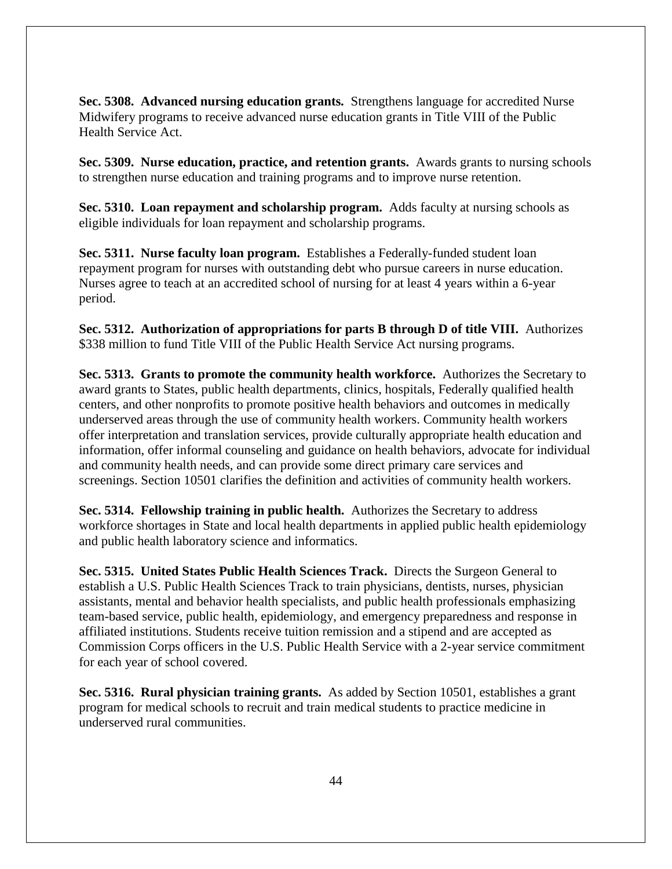**Sec. 5308. Advanced nursing education grants.** Strengthens language for accredited Nurse Midwifery programs to receive advanced nurse education grants in Title VIII of the Public Health Service Act.

**Sec. 5309. Nurse education, practice, and retention grants.** Awards grants to nursing schools to strengthen nurse education and training programs and to improve nurse retention.

**Sec. 5310. Loan repayment and scholarship program.** Adds faculty at nursing schools as eligible individuals for loan repayment and scholarship programs.

**Sec. 5311. Nurse faculty loan program.** Establishes a Federally-funded student loan repayment program for nurses with outstanding debt who pursue careers in nurse education. Nurses agree to teach at an accredited school of nursing for at least 4 years within a 6-year period.

**Sec. 5312. Authorization of appropriations for parts B through D of title VIII.** Authorizes \$338 million to fund Title VIII of the Public Health Service Act nursing programs.

**Sec. 5313. Grants to promote the community health workforce.** Authorizes the Secretary to award grants to States, public health departments, clinics, hospitals, Federally qualified health centers, and other nonprofits to promote positive health behaviors and outcomes in medically underserved areas through the use of community health workers. Community health workers offer interpretation and translation services, provide culturally appropriate health education and information, offer informal counseling and guidance on health behaviors, advocate for individual and community health needs, and can provide some direct primary care services and screenings. Section 10501 clarifies the definition and activities of community health workers.

**Sec. 5314. Fellowship training in public health.** Authorizes the Secretary to address workforce shortages in State and local health departments in applied public health epidemiology and public health laboratory science and informatics.

**Sec. 5315. United States Public Health Sciences Track.** Directs the Surgeon General to establish a U.S. Public Health Sciences Track to train physicians, dentists, nurses, physician assistants, mental and behavior health specialists, and public health professionals emphasizing team-based service, public health, epidemiology, and emergency preparedness and response in affiliated institutions. Students receive tuition remission and a stipend and are accepted as Commission Corps officers in the U.S. Public Health Service with a 2-year service commitment for each year of school covered.

**Sec. 5316. Rural physician training grants.** As added by Section 10501, establishes a grant program for medical schools to recruit and train medical students to practice medicine in underserved rural communities.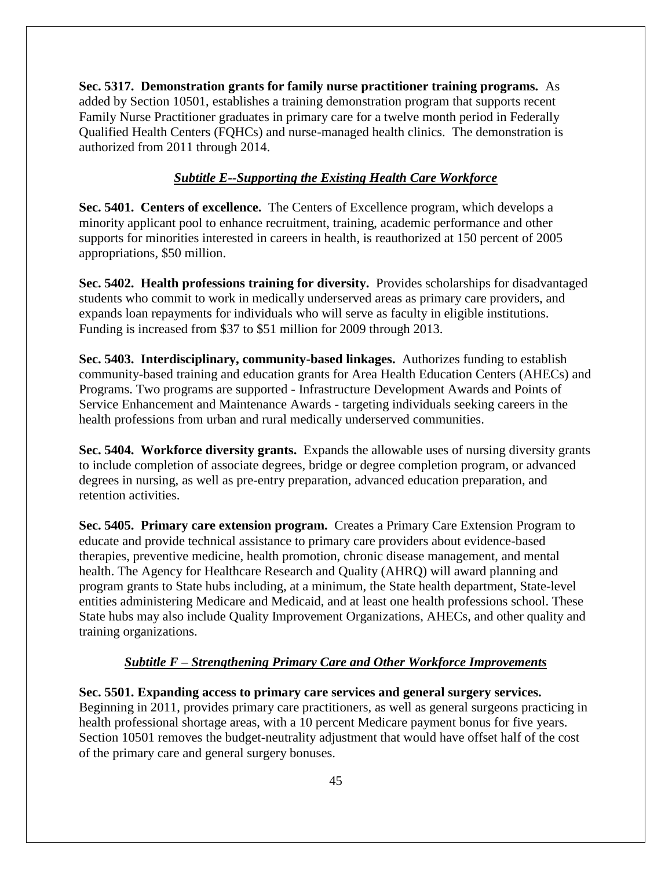**Sec. 5317. Demonstration grants for family nurse practitioner training programs.** As added by Section 10501, establishes a training demonstration program that supports recent Family Nurse Practitioner graduates in primary care for a twelve month period in Federally Qualified Health Centers (FQHCs) and nurse-managed health clinics. The demonstration is authorized from 2011 through 2014.

### *Subtitle E--Supporting the Existing Health Care Workforce*

**Sec. 5401. Centers of excellence.** The Centers of Excellence program, which develops a minority applicant pool to enhance recruitment, training, academic performance and other supports for minorities interested in careers in health, is reauthorized at 150 percent of 2005 appropriations, \$50 million.

**Sec. 5402. Health professions training for diversity.** Provides scholarships for disadvantaged students who commit to work in medically underserved areas as primary care providers, and expands loan repayments for individuals who will serve as faculty in eligible institutions. Funding is increased from \$37 to \$51 million for 2009 through 2013.

**Sec. 5403. Interdisciplinary, community-based linkages.** Authorizes funding to establish community-based training and education grants for Area Health Education Centers (AHECs) and Programs. Two programs are supported - Infrastructure Development Awards and Points of Service Enhancement and Maintenance Awards - targeting individuals seeking careers in the health professions from urban and rural medically underserved communities.

**Sec. 5404. Workforce diversity grants.** Expands the allowable uses of nursing diversity grants to include completion of associate degrees, bridge or degree completion program, or advanced degrees in nursing, as well as pre-entry preparation, advanced education preparation, and retention activities.

**Sec. 5405. Primary care extension program.** Creates a Primary Care Extension Program to educate and provide technical assistance to primary care providers about evidence-based therapies, preventive medicine, health promotion, chronic disease management, and mental health. The Agency for Healthcare Research and Quality (AHRQ) will award planning and program grants to State hubs including, at a minimum, the State health department, State-level entities administering Medicare and Medicaid, and at least one health professions school. These State hubs may also include Quality Improvement Organizations, AHECs, and other quality and training organizations.

#### *Subtitle F – Strengthening Primary Care and Other Workforce Improvements*

**Sec. 5501. Expanding access to primary care services and general surgery services.**  Beginning in 2011, provides primary care practitioners, as well as general surgeons practicing in health professional shortage areas, with a 10 percent Medicare payment bonus for five years. Section 10501 removes the budget-neutrality adjustment that would have offset half of the cost of the primary care and general surgery bonuses.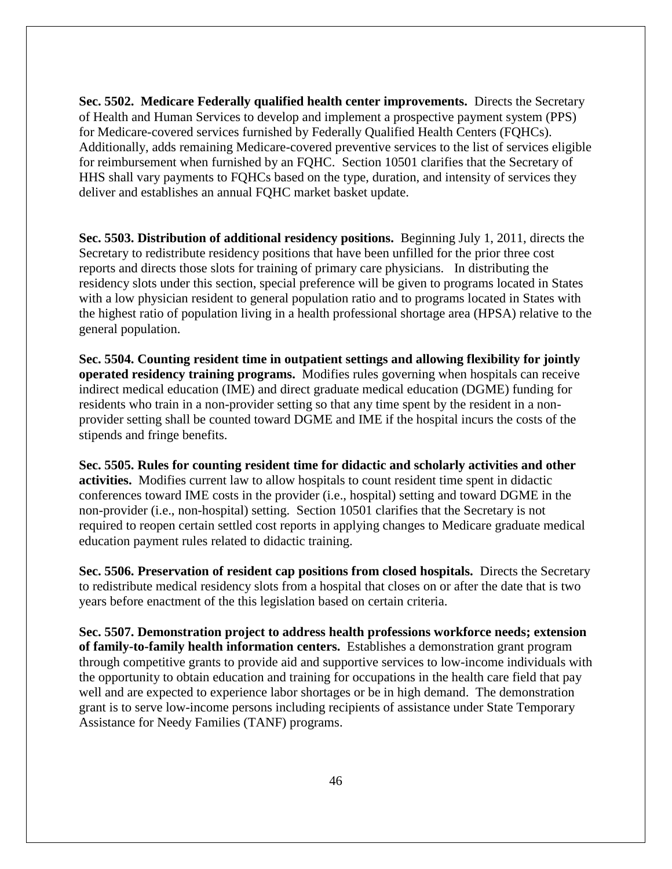**Sec. 5502. Medicare Federally qualified health center improvements.** Directs the Secretary of Health and Human Services to develop and implement a prospective payment system (PPS) for Medicare-covered services furnished by Federally Qualified Health Centers (FQHCs). Additionally, adds remaining Medicare-covered preventive services to the list of services eligible for reimbursement when furnished by an FQHC. Section 10501 clarifies that the Secretary of HHS shall vary payments to FQHCs based on the type, duration, and intensity of services they deliver and establishes an annual FQHC market basket update.

**Sec. 5503. Distribution of additional residency positions.** Beginning July 1, 2011, directs the Secretary to redistribute residency positions that have been unfilled for the prior three cost reports and directs those slots for training of primary care physicians. In distributing the residency slots under this section, special preference will be given to programs located in States with a low physician resident to general population ratio and to programs located in States with the highest ratio of population living in a health professional shortage area (HPSA) relative to the general population.

**Sec. 5504. Counting resident time in outpatient settings and allowing flexibility for jointly operated residency training programs.** Modifies rules governing when hospitals can receive indirect medical education (IME) and direct graduate medical education (DGME) funding for residents who train in a non-provider setting so that any time spent by the resident in a nonprovider setting shall be counted toward DGME and IME if the hospital incurs the costs of the stipends and fringe benefits.

**Sec. 5505. Rules for counting resident time for didactic and scholarly activities and other activities.** Modifies current law to allow hospitals to count resident time spent in didactic conferences toward IME costs in the provider (i.e., hospital) setting and toward DGME in the non-provider (i.e., non-hospital) setting. Section 10501 clarifies that the Secretary is not required to reopen certain settled cost reports in applying changes to Medicare graduate medical education payment rules related to didactic training.

**Sec. 5506. Preservation of resident cap positions from closed hospitals.** Directs the Secretary to redistribute medical residency slots from a hospital that closes on or after the date that is two years before enactment of the this legislation based on certain criteria.

**Sec. 5507. Demonstration project to address health professions workforce needs; extension of family-to-family health information centers.** Establishes a demonstration grant program through competitive grants to provide aid and supportive services to low-income individuals with the opportunity to obtain education and training for occupations in the health care field that pay well and are expected to experience labor shortages or be in high demand. The demonstration grant is to serve low-income persons including recipients of assistance under State Temporary Assistance for Needy Families (TANF) programs.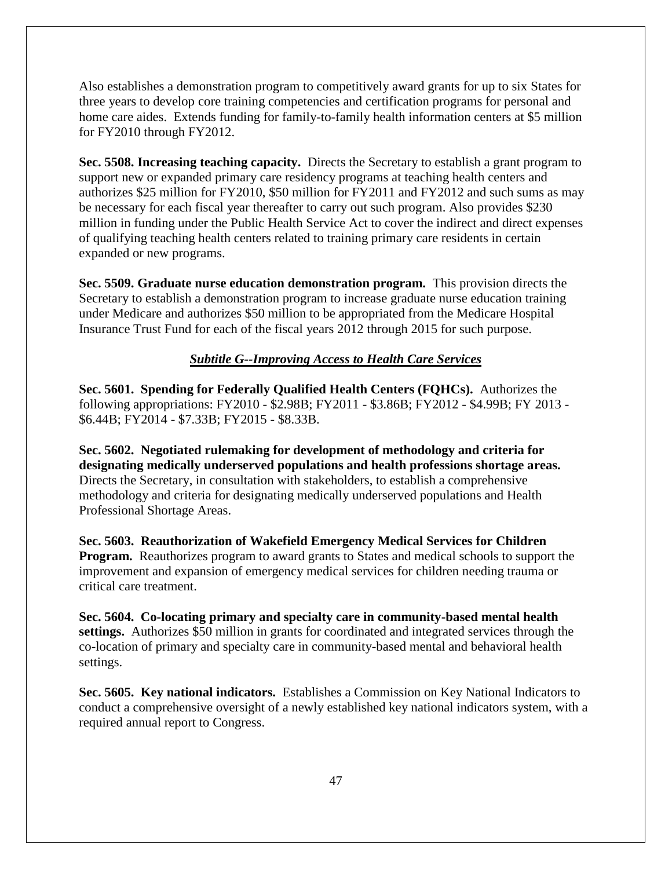Also establishes a demonstration program to competitively award grants for up to six States for three years to develop core training competencies and certification programs for personal and home care aides. Extends funding for family-to-family health information centers at \$5 million for FY2010 through FY2012.

**Sec. 5508. Increasing teaching capacity.** Directs the Secretary to establish a grant program to support new or expanded primary care residency programs at teaching health centers and authorizes \$25 million for FY2010, \$50 million for FY2011 and FY2012 and such sums as may be necessary for each fiscal year thereafter to carry out such program. Also provides \$230 million in funding under the Public Health Service Act to cover the indirect and direct expenses of qualifying teaching health centers related to training primary care residents in certain expanded or new programs.

**Sec. 5509. Graduate nurse education demonstration program.** This provision directs the Secretary to establish a demonstration program to increase graduate nurse education training under Medicare and authorizes \$50 million to be appropriated from the Medicare Hospital Insurance Trust Fund for each of the fiscal years 2012 through 2015 for such purpose.

## *Subtitle G--Improving Access to Health Care Services*

**Sec. 5601. Spending for Federally Qualified Health Centers (FQHCs).** Authorizes the following appropriations: FY2010 - \$2.98B; FY2011 - \$3.86B; FY2012 - \$4.99B; FY 2013 - \$6.44B; FY2014 - \$7.33B; FY2015 - \$8.33B.

**Sec. 5602. Negotiated rulemaking for development of methodology and criteria for designating medically underserved populations and health professions shortage areas.** Directs the Secretary, in consultation with stakeholders, to establish a comprehensive methodology and criteria for designating medically underserved populations and Health Professional Shortage Areas.

**Sec. 5603. Reauthorization of Wakefield Emergency Medical Services for Children Program.** Reauthorizes program to award grants to States and medical schools to support the improvement and expansion of emergency medical services for children needing trauma or critical care treatment.

**Sec. 5604. Co-locating primary and specialty care in community-based mental health settings.** Authorizes \$50 million in grants for coordinated and integrated services through the co-location of primary and specialty care in community-based mental and behavioral health settings.

**Sec. 5605. Key national indicators.** Establishes a Commission on Key National Indicators to conduct a comprehensive oversight of a newly established key national indicators system, with a required annual report to Congress.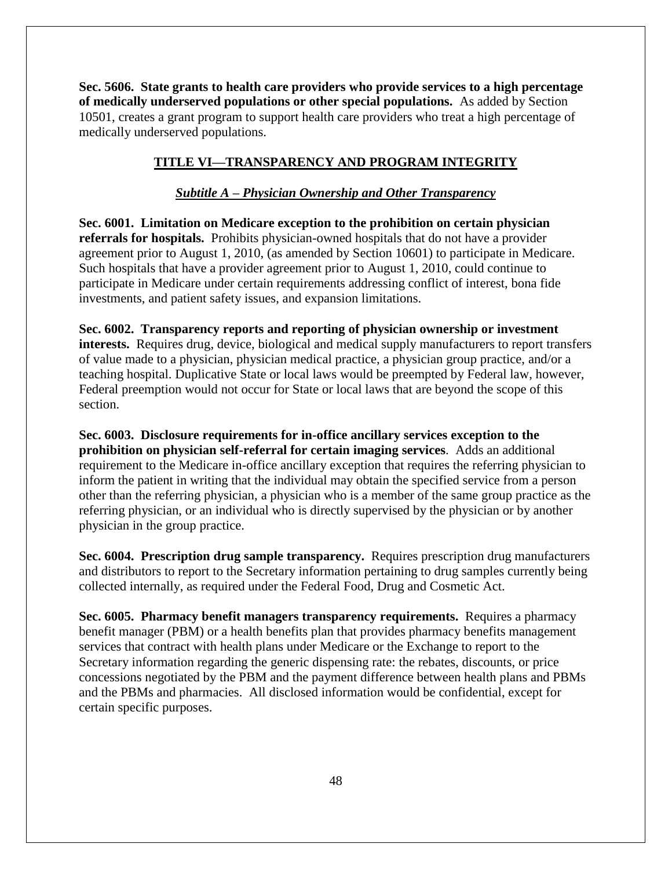**Sec. 5606. State grants to health care providers who provide services to a high percentage of medically underserved populations or other special populations.** As added by Section 10501, creates a grant program to support health care providers who treat a high percentage of medically underserved populations.

## **TITLE VI—TRANSPARENCY AND PROGRAM INTEGRITY**

## *Subtitle A – Physician Ownership and Other Transparency*

**Sec. 6001. Limitation on Medicare exception to the prohibition on certain physician referrals for hospitals.** Prohibits physician-owned hospitals that do not have a provider agreement prior to August 1, 2010, (as amended by Section 10601) to participate in Medicare. Such hospitals that have a provider agreement prior to August 1, 2010, could continue to participate in Medicare under certain requirements addressing conflict of interest, bona fide investments, and patient safety issues, and expansion limitations.

**Sec. 6002. Transparency reports and reporting of physician ownership or investment interests.** Requires drug, device, biological and medical supply manufacturers to report transfers of value made to a physician, physician medical practice, a physician group practice, and/or a teaching hospital. Duplicative State or local laws would be preempted by Federal law, however, Federal preemption would not occur for State or local laws that are beyond the scope of this section.

**Sec. 6003. Disclosure requirements for in-office ancillary services exception to the prohibition on physician self-referral for certain imaging services**. Adds an additional requirement to the Medicare in-office ancillary exception that requires the referring physician to inform the patient in writing that the individual may obtain the specified service from a person other than the referring physician, a physician who is a member of the same group practice as the referring physician, or an individual who is directly supervised by the physician or by another physician in the group practice.

**Sec. 6004. Prescription drug sample transparency.** Requires prescription drug manufacturers and distributors to report to the Secretary information pertaining to drug samples currently being collected internally, as required under the Federal Food, Drug and Cosmetic Act.

**Sec. 6005. Pharmacy benefit managers transparency requirements.** Requires a pharmacy benefit manager (PBM) or a health benefits plan that provides pharmacy benefits management services that contract with health plans under Medicare or the Exchange to report to the Secretary information regarding the generic dispensing rate: the rebates, discounts, or price concessions negotiated by the PBM and the payment difference between health plans and PBMs and the PBMs and pharmacies. All disclosed information would be confidential, except for certain specific purposes.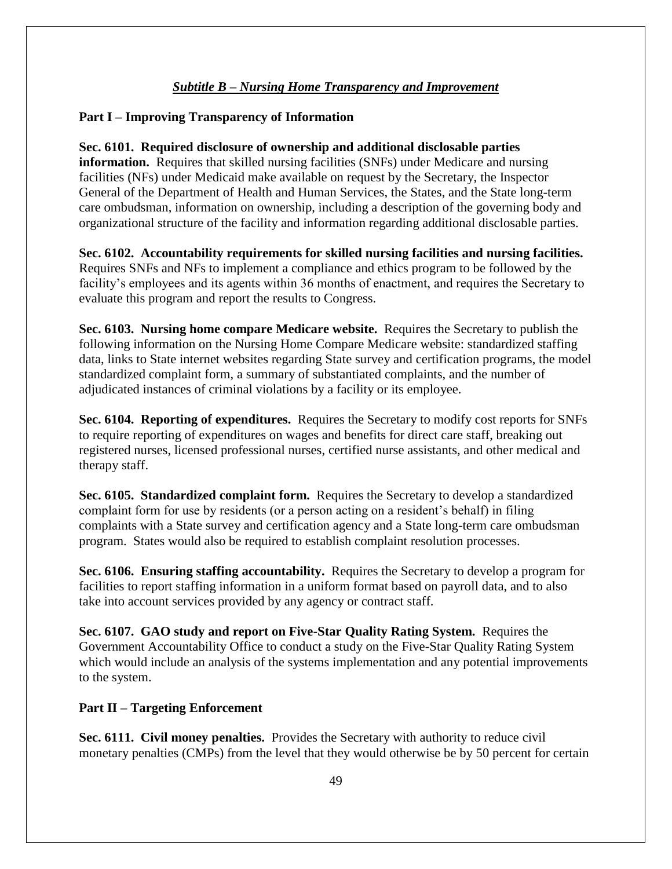## *Subtitle B – Nursing Home Transparency and Improvement*

## **Part I – Improving Transparency of Information**

## **Sec. 6101. Required disclosure of ownership and additional disclosable parties**

**information.** Requires that skilled nursing facilities (SNFs) under Medicare and nursing facilities (NFs) under Medicaid make available on request by the Secretary, the Inspector General of the Department of Health and Human Services, the States, and the State long-term care ombudsman, information on ownership, including a description of the governing body and organizational structure of the facility and information regarding additional disclosable parties.

**Sec. 6102. Accountability requirements for skilled nursing facilities and nursing facilities.** Requires SNFs and NFs to implement a compliance and ethics program to be followed by the facility's employees and its agents within 36 months of enactment, and requires the Secretary to evaluate this program and report the results to Congress.

**Sec. 6103. Nursing home compare Medicare website.** Requires the Secretary to publish the following information on the Nursing Home Compare Medicare website: standardized staffing data, links to State internet websites regarding State survey and certification programs, the model standardized complaint form, a summary of substantiated complaints, and the number of adjudicated instances of criminal violations by a facility or its employee.

**Sec. 6104. Reporting of expenditures.** Requires the Secretary to modify cost reports for SNFs to require reporting of expenditures on wages and benefits for direct care staff, breaking out registered nurses, licensed professional nurses, certified nurse assistants, and other medical and therapy staff.

**Sec. 6105. Standardized complaint form.** Requires the Secretary to develop a standardized complaint form for use by residents (or a person acting on a resident's behalf) in filing complaints with a State survey and certification agency and a State long-term care ombudsman program. States would also be required to establish complaint resolution processes.

**Sec. 6106. Ensuring staffing accountability.** Requires the Secretary to develop a program for facilities to report staffing information in a uniform format based on payroll data, and to also take into account services provided by any agency or contract staff.

**Sec. 6107. GAO study and report on Five-Star Quality Rating System.** Requires the Government Accountability Office to conduct a study on the Five-Star Quality Rating System which would include an analysis of the systems implementation and any potential improvements to the system.

## **Part II – Targeting Enforcement**

**Sec. 6111. Civil money penalties.** Provides the Secretary with authority to reduce civil monetary penalties (CMPs) from the level that they would otherwise be by 50 percent for certain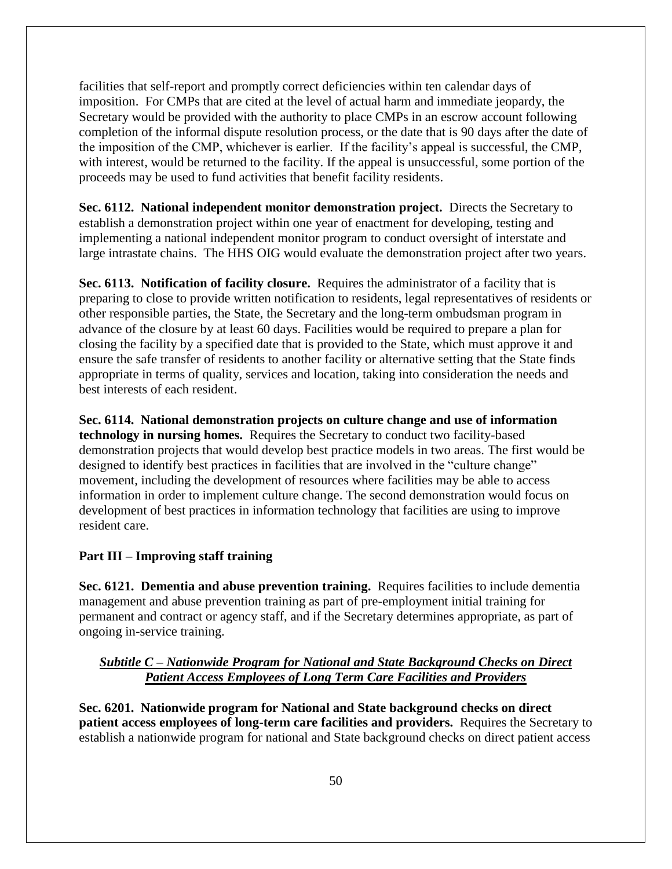facilities that self-report and promptly correct deficiencies within ten calendar days of imposition. For CMPs that are cited at the level of actual harm and immediate jeopardy, the Secretary would be provided with the authority to place CMPs in an escrow account following completion of the informal dispute resolution process, or the date that is 90 days after the date of the imposition of the CMP, whichever is earlier. If the facility's appeal is successful, the CMP, with interest, would be returned to the facility. If the appeal is unsuccessful, some portion of the proceeds may be used to fund activities that benefit facility residents.

**Sec. 6112. National independent monitor demonstration project.** Directs the Secretary to establish a demonstration project within one year of enactment for developing, testing and implementing a national independent monitor program to conduct oversight of interstate and large intrastate chains. The HHS OIG would evaluate the demonstration project after two years.

**Sec. 6113. Notification of facility closure.** Requires the administrator of a facility that is preparing to close to provide written notification to residents, legal representatives of residents or other responsible parties, the State, the Secretary and the long-term ombudsman program in advance of the closure by at least 60 days. Facilities would be required to prepare a plan for closing the facility by a specified date that is provided to the State, which must approve it and ensure the safe transfer of residents to another facility or alternative setting that the State finds appropriate in terms of quality, services and location, taking into consideration the needs and best interests of each resident.

**Sec. 6114. National demonstration projects on culture change and use of information technology in nursing homes.** Requires the Secretary to conduct two facility-based demonstration projects that would develop best practice models in two areas. The first would be designed to identify best practices in facilities that are involved in the "culture change" movement, including the development of resources where facilities may be able to access information in order to implement culture change. The second demonstration would focus on development of best practices in information technology that facilities are using to improve resident care.

### **Part III – Improving staff training**

**Sec. 6121. Dementia and abuse prevention training.** Requires facilities to include dementia management and abuse prevention training as part of pre-employment initial training for permanent and contract or agency staff, and if the Secretary determines appropriate, as part of ongoing in-service training.

## *Subtitle C – Nationwide Program for National and State Background Checks on Direct Patient Access Employees of Long Term Care Facilities and Providers*

**Sec. 6201. Nationwide program for National and State background checks on direct patient access employees of long-term care facilities and providers.** Requires the Secretary to establish a nationwide program for national and State background checks on direct patient access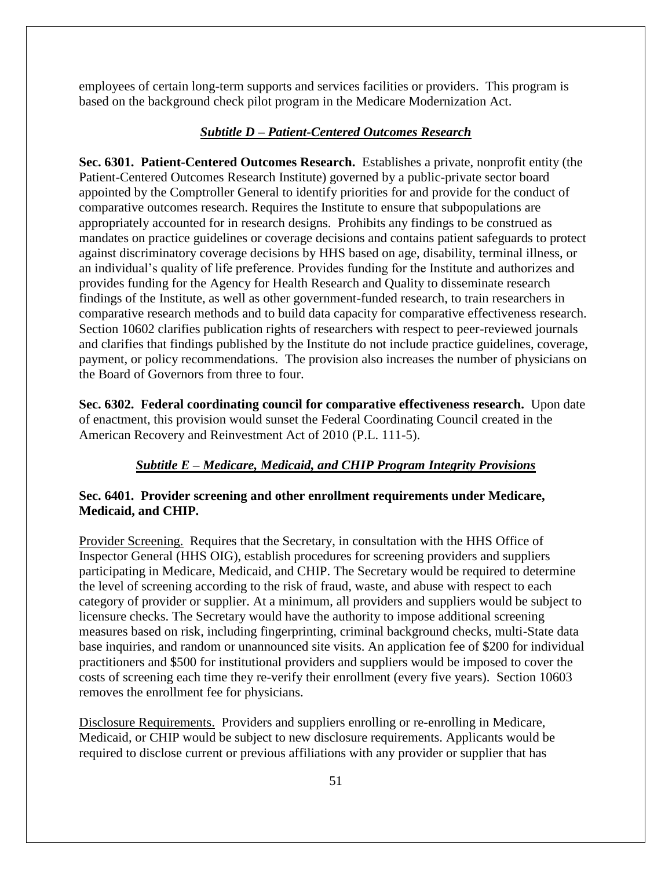employees of certain long-term supports and services facilities or providers. This program is based on the background check pilot program in the Medicare Modernization Act.

### *Subtitle D – Patient-Centered Outcomes Research*

**Sec. 6301. Patient-Centered Outcomes Research.** Establishes a private, nonprofit entity (the Patient-Centered Outcomes Research Institute) governed by a public-private sector board appointed by the Comptroller General to identify priorities for and provide for the conduct of comparative outcomes research. Requires the Institute to ensure that subpopulations are appropriately accounted for in research designs. Prohibits any findings to be construed as mandates on practice guidelines or coverage decisions and contains patient safeguards to protect against discriminatory coverage decisions by HHS based on age, disability, terminal illness, or an individual's quality of life preference. Provides funding for the Institute and authorizes and provides funding for the Agency for Health Research and Quality to disseminate research findings of the Institute, as well as other government-funded research, to train researchers in comparative research methods and to build data capacity for comparative effectiveness research. Section 10602 clarifies publication rights of researchers with respect to peer-reviewed journals and clarifies that findings published by the Institute do not include practice guidelines, coverage, payment, or policy recommendations. The provision also increases the number of physicians on the Board of Governors from three to four.

**Sec. 6302. Federal coordinating council for comparative effectiveness research.** Upon date of enactment, this provision would sunset the Federal Coordinating Council created in the American Recovery and Reinvestment Act of 2010 (P.L. 111-5).

## *Subtitle E – Medicare, Medicaid, and CHIP Program Integrity Provisions*

### **Sec. 6401. Provider screening and other enrollment requirements under Medicare, Medicaid, and CHIP.**

Provider Screening. Requires that the Secretary, in consultation with the HHS Office of Inspector General (HHS OIG), establish procedures for screening providers and suppliers participating in Medicare, Medicaid, and CHIP. The Secretary would be required to determine the level of screening according to the risk of fraud, waste, and abuse with respect to each category of provider or supplier. At a minimum, all providers and suppliers would be subject to licensure checks. The Secretary would have the authority to impose additional screening measures based on risk, including fingerprinting, criminal background checks, multi-State data base inquiries, and random or unannounced site visits. An application fee of \$200 for individual practitioners and \$500 for institutional providers and suppliers would be imposed to cover the costs of screening each time they re-verify their enrollment (every five years). Section 10603 removes the enrollment fee for physicians.

Disclosure Requirements. Providers and suppliers enrolling or re-enrolling in Medicare, Medicaid, or CHIP would be subject to new disclosure requirements. Applicants would be required to disclose current or previous affiliations with any provider or supplier that has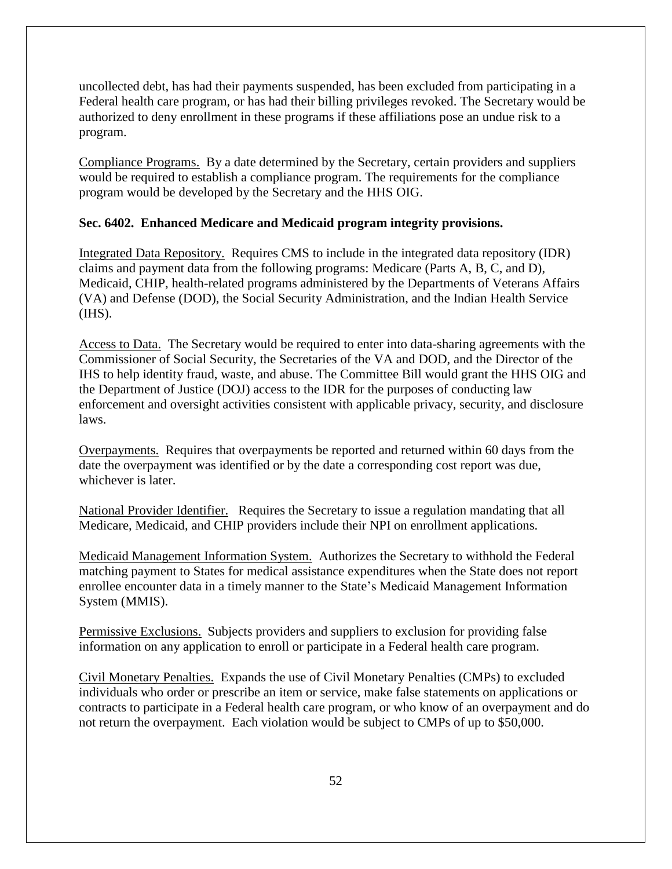uncollected debt, has had their payments suspended, has been excluded from participating in a Federal health care program, or has had their billing privileges revoked. The Secretary would be authorized to deny enrollment in these programs if these affiliations pose an undue risk to a program.

Compliance Programs. By a date determined by the Secretary, certain providers and suppliers would be required to establish a compliance program. The requirements for the compliance program would be developed by the Secretary and the HHS OIG.

#### **Sec. 6402. Enhanced Medicare and Medicaid program integrity provisions.**

Integrated Data Repository. Requires CMS to include in the integrated data repository (IDR) claims and payment data from the following programs: Medicare (Parts A, B, C, and D), Medicaid, CHIP, health-related programs administered by the Departments of Veterans Affairs (VA) and Defense (DOD), the Social Security Administration, and the Indian Health Service  $(H<sub>1</sub>S).$ 

Access to Data. The Secretary would be required to enter into data-sharing agreements with the Commissioner of Social Security, the Secretaries of the VA and DOD, and the Director of the IHS to help identity fraud, waste, and abuse. The Committee Bill would grant the HHS OIG and the Department of Justice (DOJ) access to the IDR for the purposes of conducting law enforcement and oversight activities consistent with applicable privacy, security, and disclosure laws.

Overpayments. Requires that overpayments be reported and returned within 60 days from the date the overpayment was identified or by the date a corresponding cost report was due, whichever is later.

National Provider Identifier. Requires the Secretary to issue a regulation mandating that all Medicare, Medicaid, and CHIP providers include their NPI on enrollment applications.

Medicaid Management Information System. Authorizes the Secretary to withhold the Federal matching payment to States for medical assistance expenditures when the State does not report enrollee encounter data in a timely manner to the State's Medicaid Management Information System (MMIS).

Permissive Exclusions. Subjects providers and suppliers to exclusion for providing false information on any application to enroll or participate in a Federal health care program.

Civil Monetary Penalties. Expands the use of Civil Monetary Penalties (CMPs) to excluded individuals who order or prescribe an item or service, make false statements on applications or contracts to participate in a Federal health care program, or who know of an overpayment and do not return the overpayment. Each violation would be subject to CMPs of up to \$50,000.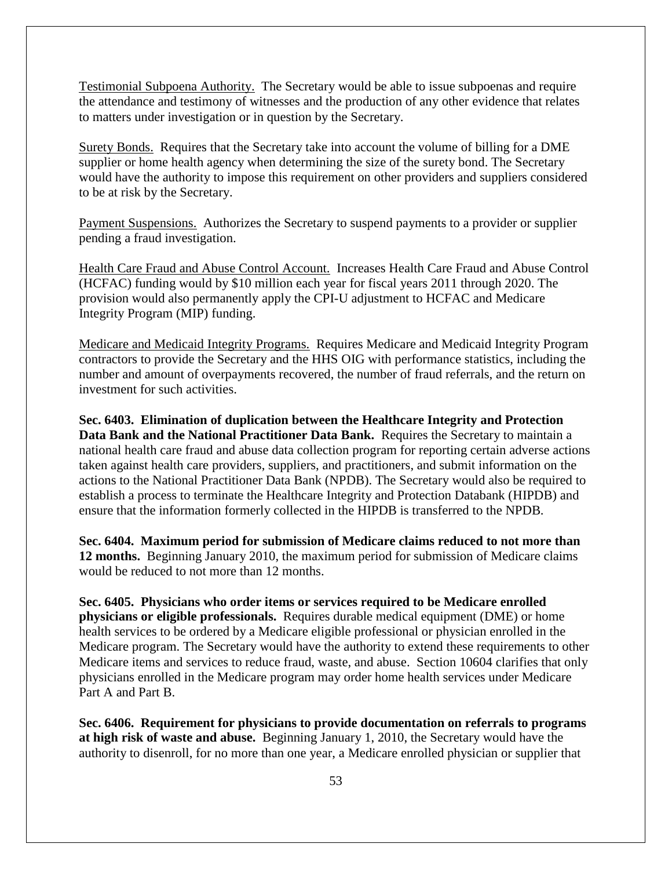Testimonial Subpoena Authority. The Secretary would be able to issue subpoenas and require the attendance and testimony of witnesses and the production of any other evidence that relates to matters under investigation or in question by the Secretary.

Surety Bonds. Requires that the Secretary take into account the volume of billing for a DME supplier or home health agency when determining the size of the surety bond. The Secretary would have the authority to impose this requirement on other providers and suppliers considered to be at risk by the Secretary.

Payment Suspensions. Authorizes the Secretary to suspend payments to a provider or supplier pending a fraud investigation.

Health Care Fraud and Abuse Control Account. Increases Health Care Fraud and Abuse Control (HCFAC) funding would by \$10 million each year for fiscal years 2011 through 2020. The provision would also permanently apply the CPI-U adjustment to HCFAC and Medicare Integrity Program (MIP) funding.

Medicare and Medicaid Integrity Programs. Requires Medicare and Medicaid Integrity Program contractors to provide the Secretary and the HHS OIG with performance statistics, including the number and amount of overpayments recovered, the number of fraud referrals, and the return on investment for such activities.

**Sec. 6403. Elimination of duplication between the Healthcare Integrity and Protection Data Bank and the National Practitioner Data Bank.** Requires the Secretary to maintain a national health care fraud and abuse data collection program for reporting certain adverse actions taken against health care providers, suppliers, and practitioners, and submit information on the actions to the National Practitioner Data Bank (NPDB). The Secretary would also be required to establish a process to terminate the Healthcare Integrity and Protection Databank (HIPDB) and ensure that the information formerly collected in the HIPDB is transferred to the NPDB.

**Sec. 6404. Maximum period for submission of Medicare claims reduced to not more than 12 months.** Beginning January 2010, the maximum period for submission of Medicare claims would be reduced to not more than 12 months.

**Sec. 6405. Physicians who order items or services required to be Medicare enrolled physicians or eligible professionals.** Requires durable medical equipment (DME) or home health services to be ordered by a Medicare eligible professional or physician enrolled in the Medicare program. The Secretary would have the authority to extend these requirements to other Medicare items and services to reduce fraud, waste, and abuse. Section 10604 clarifies that only physicians enrolled in the Medicare program may order home health services under Medicare Part A and Part B.

**Sec. 6406. Requirement for physicians to provide documentation on referrals to programs at high risk of waste and abuse.** Beginning January 1, 2010, the Secretary would have the authority to disenroll, for no more than one year, a Medicare enrolled physician or supplier that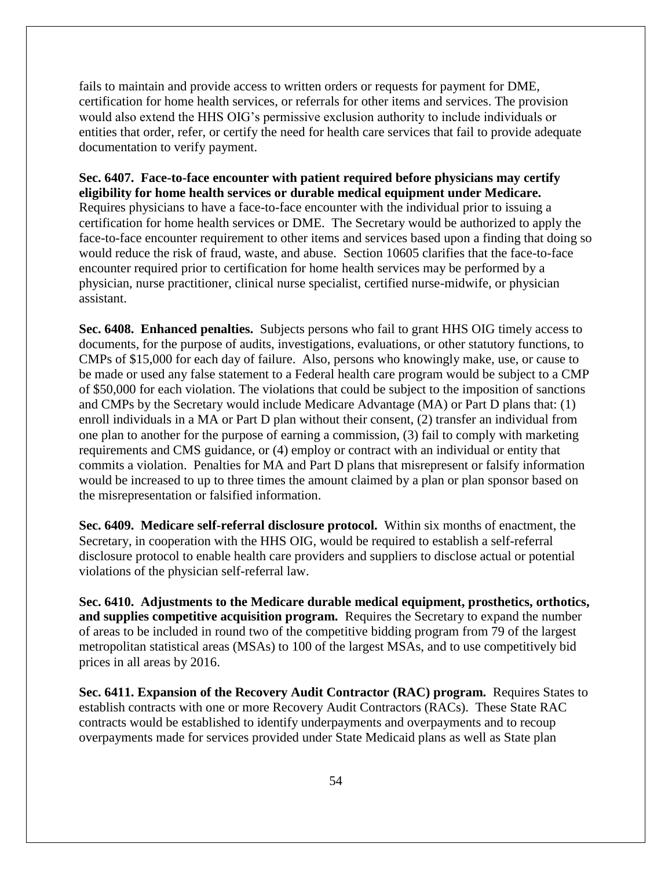fails to maintain and provide access to written orders or requests for payment for DME, certification for home health services, or referrals for other items and services. The provision would also extend the HHS OIG's permissive exclusion authority to include individuals or entities that order, refer, or certify the need for health care services that fail to provide adequate documentation to verify payment.

**Sec. 6407. Face-to-face encounter with patient required before physicians may certify eligibility for home health services or durable medical equipment under Medicare.**  Requires physicians to have a face-to-face encounter with the individual prior to issuing a certification for home health services or DME. The Secretary would be authorized to apply the face-to-face encounter requirement to other items and services based upon a finding that doing so would reduce the risk of fraud, waste, and abuse. Section 10605 clarifies that the face-to-face encounter required prior to certification for home health services may be performed by a physician, nurse practitioner, clinical nurse specialist, certified nurse-midwife, or physician assistant.

**Sec. 6408. Enhanced penalties.** Subjects persons who fail to grant HHS OIG timely access to documents, for the purpose of audits, investigations, evaluations, or other statutory functions, to CMPs of \$15,000 for each day of failure. Also, persons who knowingly make, use, or cause to be made or used any false statement to a Federal health care program would be subject to a CMP of \$50,000 for each violation. The violations that could be subject to the imposition of sanctions and CMPs by the Secretary would include Medicare Advantage (MA) or Part D plans that: (1) enroll individuals in a MA or Part D plan without their consent, (2) transfer an individual from one plan to another for the purpose of earning a commission, (3) fail to comply with marketing requirements and CMS guidance, or (4) employ or contract with an individual or entity that commits a violation. Penalties for MA and Part D plans that misrepresent or falsify information would be increased to up to three times the amount claimed by a plan or plan sponsor based on the misrepresentation or falsified information.

**Sec. 6409. Medicare self-referral disclosure protocol.** Within six months of enactment, the Secretary, in cooperation with the HHS OIG, would be required to establish a self-referral disclosure protocol to enable health care providers and suppliers to disclose actual or potential violations of the physician self-referral law.

**Sec. 6410. Adjustments to the Medicare durable medical equipment, prosthetics, orthotics, and supplies competitive acquisition program.** Requires the Secretary to expand the number of areas to be included in round two of the competitive bidding program from 79 of the largest metropolitan statistical areas (MSAs) to 100 of the largest MSAs, and to use competitively bid prices in all areas by 2016.

**Sec. 6411. Expansion of the Recovery Audit Contractor (RAC) program.** Requires States to establish contracts with one or more Recovery Audit Contractors (RACs). These State RAC contracts would be established to identify underpayments and overpayments and to recoup overpayments made for services provided under State Medicaid plans as well as State plan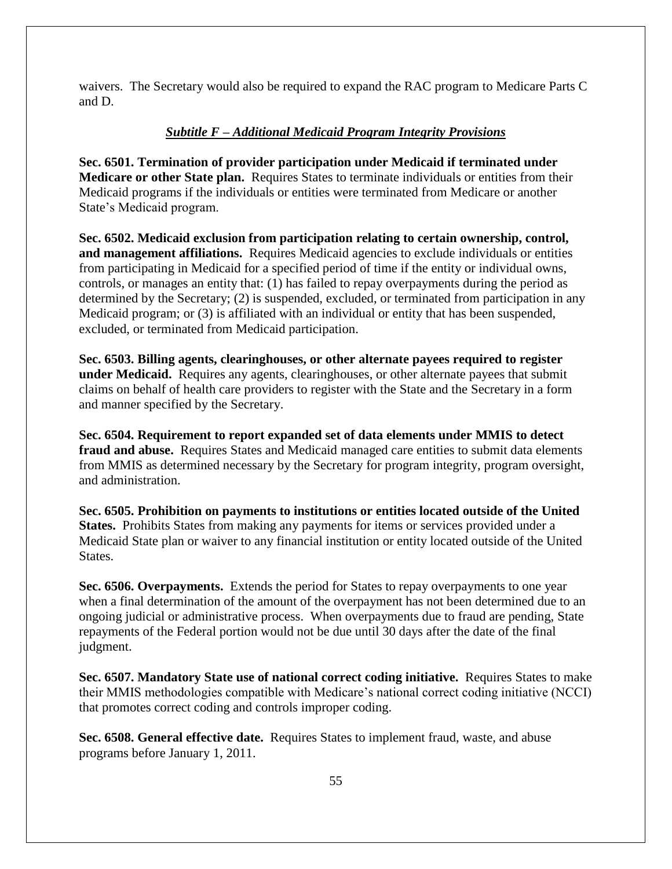waivers. The Secretary would also be required to expand the RAC program to Medicare Parts C and D.

## *Subtitle F – Additional Medicaid Program Integrity Provisions*

**Sec. 6501. Termination of provider participation under Medicaid if terminated under Medicare or other State plan.** Requires States to terminate individuals or entities from their Medicaid programs if the individuals or entities were terminated from Medicare or another State's Medicaid program.

**Sec. 6502. Medicaid exclusion from participation relating to certain ownership, control, and management affiliations.** Requires Medicaid agencies to exclude individuals or entities from participating in Medicaid for a specified period of time if the entity or individual owns, controls, or manages an entity that: (1) has failed to repay overpayments during the period as determined by the Secretary; (2) is suspended, excluded, or terminated from participation in any Medicaid program; or (3) is affiliated with an individual or entity that has been suspended, excluded, or terminated from Medicaid participation.

**Sec. 6503. Billing agents, clearinghouses, or other alternate payees required to register under Medicaid.** Requires any agents, clearinghouses, or other alternate payees that submit claims on behalf of health care providers to register with the State and the Secretary in a form and manner specified by the Secretary.

**Sec. 6504. Requirement to report expanded set of data elements under MMIS to detect fraud and abuse.** Requires States and Medicaid managed care entities to submit data elements from MMIS as determined necessary by the Secretary for program integrity, program oversight, and administration.

**Sec. 6505. Prohibition on payments to institutions or entities located outside of the United States.** Prohibits States from making any payments for items or services provided under a Medicaid State plan or waiver to any financial institution or entity located outside of the United States.

**Sec. 6506. Overpayments.** Extends the period for States to repay overpayments to one year when a final determination of the amount of the overpayment has not been determined due to an ongoing judicial or administrative process. When overpayments due to fraud are pending, State repayments of the Federal portion would not be due until 30 days after the date of the final judgment.

**Sec. 6507. Mandatory State use of national correct coding initiative.** Requires States to make their MMIS methodologies compatible with Medicare's national correct coding initiative (NCCI) that promotes correct coding and controls improper coding.

**Sec. 6508. General effective date.** Requires States to implement fraud, waste, and abuse programs before January 1, 2011.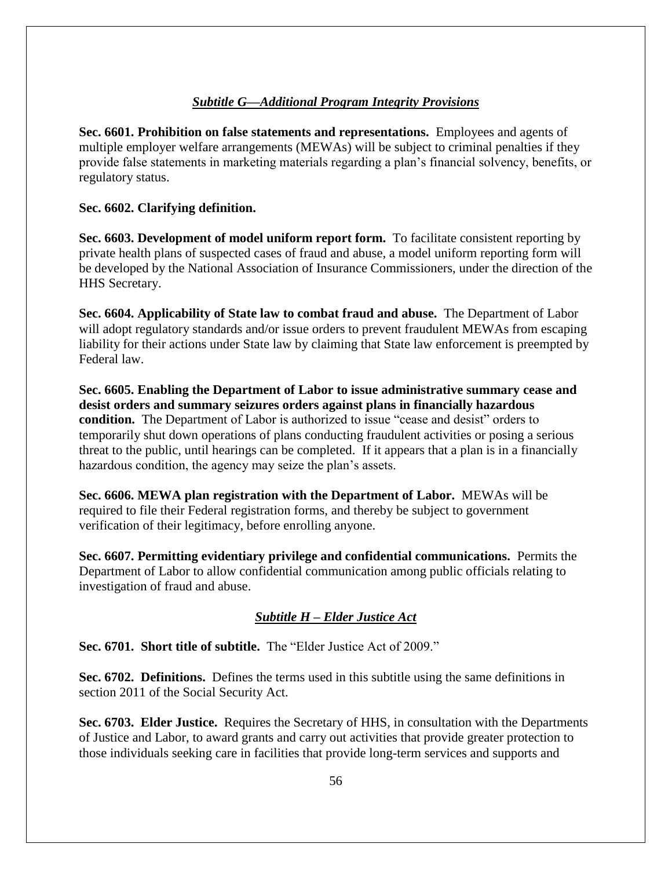## *Subtitle G—Additional Program Integrity Provisions*

**Sec. 6601. Prohibition on false statements and representations.** Employees and agents of multiple employer welfare arrangements (MEWAs) will be subject to criminal penalties if they provide false statements in marketing materials regarding a plan's financial solvency, benefits, or regulatory status.

## **Sec. 6602. Clarifying definition.**

**Sec. 6603. Development of model uniform report form.** To facilitate consistent reporting by private health plans of suspected cases of fraud and abuse, a model uniform reporting form will be developed by the National Association of Insurance Commissioners, under the direction of the HHS Secretary.

**Sec. 6604. Applicability of State law to combat fraud and abuse.** The Department of Labor will adopt regulatory standards and/or issue orders to prevent fraudulent MEWAs from escaping liability for their actions under State law by claiming that State law enforcement is preempted by Federal law.

**Sec. 6605. Enabling the Department of Labor to issue administrative summary cease and desist orders and summary seizures orders against plans in financially hazardous condition.** The Department of Labor is authorized to issue "cease and desist" orders to temporarily shut down operations of plans conducting fraudulent activities or posing a serious threat to the public, until hearings can be completed. If it appears that a plan is in a financially hazardous condition, the agency may seize the plan's assets.

**Sec. 6606. MEWA plan registration with the Department of Labor.** MEWAs will be required to file their Federal registration forms, and thereby be subject to government verification of their legitimacy, before enrolling anyone.

**Sec. 6607. Permitting evidentiary privilege and confidential communications.** Permits the Department of Labor to allow confidential communication among public officials relating to investigation of fraud and abuse.

## *Subtitle H – Elder Justice Act*

**Sec. 6701. Short title of subtitle.** The "Elder Justice Act of 2009."

**Sec. 6702. Definitions.** Defines the terms used in this subtitle using the same definitions in section 2011 of the Social Security Act.

**Sec. 6703. Elder Justice.** Requires the Secretary of HHS, in consultation with the Departments of Justice and Labor, to award grants and carry out activities that provide greater protection to those individuals seeking care in facilities that provide long-term services and supports and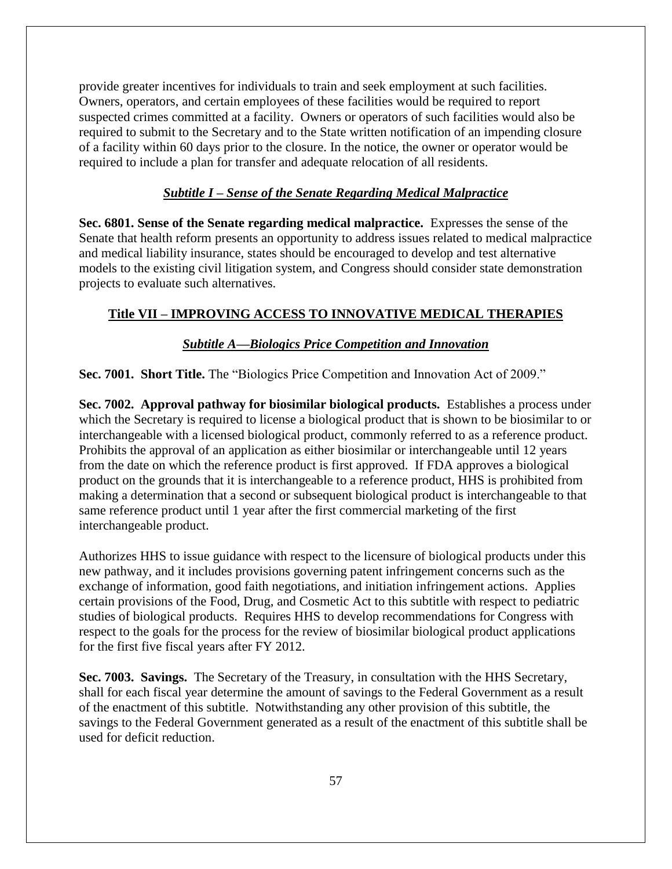provide greater incentives for individuals to train and seek employment at such facilities. Owners, operators, and certain employees of these facilities would be required to report suspected crimes committed at a facility. Owners or operators of such facilities would also be required to submit to the Secretary and to the State written notification of an impending closure of a facility within 60 days prior to the closure. In the notice, the owner or operator would be required to include a plan for transfer and adequate relocation of all residents.

#### *Subtitle I – Sense of the Senate Regarding Medical Malpractice*

**Sec. 6801. Sense of the Senate regarding medical malpractice.** Expresses the sense of the Senate that health reform presents an opportunity to address issues related to medical malpractice and medical liability insurance, states should be encouraged to develop and test alternative models to the existing civil litigation system, and Congress should consider state demonstration projects to evaluate such alternatives.

## **Title VII – IMPROVING ACCESS TO INNOVATIVE MEDICAL THERAPIES**

## *Subtitle A—Biologics Price Competition and Innovation*

**Sec. 7001. Short Title.** The "Biologics Price Competition and Innovation Act of 2009."

**Sec. 7002. Approval pathway for biosimilar biological products.** Establishes a process under which the Secretary is required to license a biological product that is shown to be biosimilar to or interchangeable with a licensed biological product, commonly referred to as a reference product. Prohibits the approval of an application as either biosimilar or interchangeable until 12 years from the date on which the reference product is first approved. If FDA approves a biological product on the grounds that it is interchangeable to a reference product, HHS is prohibited from making a determination that a second or subsequent biological product is interchangeable to that same reference product until 1 year after the first commercial marketing of the first interchangeable product.

Authorizes HHS to issue guidance with respect to the licensure of biological products under this new pathway, and it includes provisions governing patent infringement concerns such as the exchange of information, good faith negotiations, and initiation infringement actions. Applies certain provisions of the Food, Drug, and Cosmetic Act to this subtitle with respect to pediatric studies of biological products. Requires HHS to develop recommendations for Congress with respect to the goals for the process for the review of biosimilar biological product applications for the first five fiscal years after FY 2012.

**Sec. 7003. Savings.** The Secretary of the Treasury, in consultation with the HHS Secretary, shall for each fiscal year determine the amount of savings to the Federal Government as a result of the enactment of this subtitle. Notwithstanding any other provision of this subtitle, the savings to the Federal Government generated as a result of the enactment of this subtitle shall be used for deficit reduction.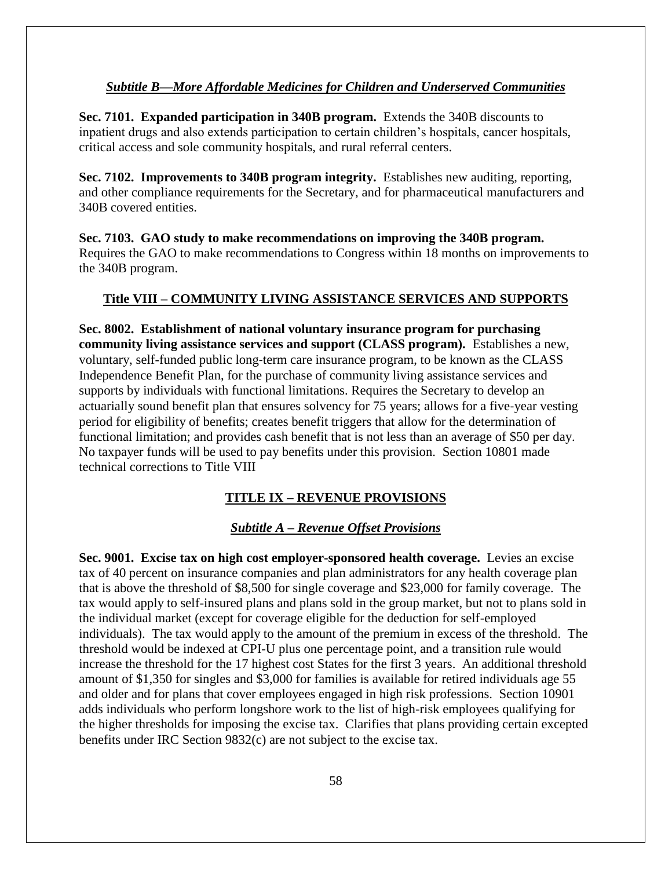### *Subtitle B—More Affordable Medicines for Children and Underserved Communities*

**Sec. 7101. Expanded participation in 340B program.** Extends the 340B discounts to inpatient drugs and also extends participation to certain children's hospitals, cancer hospitals, critical access and sole community hospitals, and rural referral centers.

**Sec. 7102. Improvements to 340B program integrity.** Establishes new auditing, reporting, and other compliance requirements for the Secretary, and for pharmaceutical manufacturers and 340B covered entities.

**Sec. 7103. GAO study to make recommendations on improving the 340B program.**  Requires the GAO to make recommendations to Congress within 18 months on improvements to the 340B program.

#### **Title VIII – COMMUNITY LIVING ASSISTANCE SERVICES AND SUPPORTS**

**Sec. 8002. Establishment of national voluntary insurance program for purchasing community living assistance services and support (CLASS program).** Establishes a new, voluntary, self-funded public long‐term care insurance program, to be known as the CLASS Independence Benefit Plan, for the purchase of community living assistance services and supports by individuals with functional limitations. Requires the Secretary to develop an actuarially sound benefit plan that ensures solvency for 75 years; allows for a five‐year vesting period for eligibility of benefits; creates benefit triggers that allow for the determination of functional limitation; and provides cash benefit that is not less than an average of \$50 per day. No taxpayer funds will be used to pay benefits under this provision. Section 10801 made technical corrections to Title VIII

### **TITLE IX – REVENUE PROVISIONS**

### *Subtitle A – Revenue Offset Provisions*

**Sec. 9001. Excise tax on high cost employer-sponsored health coverage.** Levies an excise tax of 40 percent on insurance companies and plan administrators for any health coverage plan that is above the threshold of \$8,500 for single coverage and \$23,000 for family coverage. The tax would apply to self-insured plans and plans sold in the group market, but not to plans sold in the individual market (except for coverage eligible for the deduction for self-employed individuals). The tax would apply to the amount of the premium in excess of the threshold. The threshold would be indexed at CPI-U plus one percentage point, and a transition rule would increase the threshold for the 17 highest cost States for the first 3 years. An additional threshold amount of \$1,350 for singles and \$3,000 for families is available for retired individuals age 55 and older and for plans that cover employees engaged in high risk professions. Section 10901 adds individuals who perform longshore work to the list of high-risk employees qualifying for the higher thresholds for imposing the excise tax. Clarifies that plans providing certain excepted benefits under IRC Section 9832(c) are not subject to the excise tax.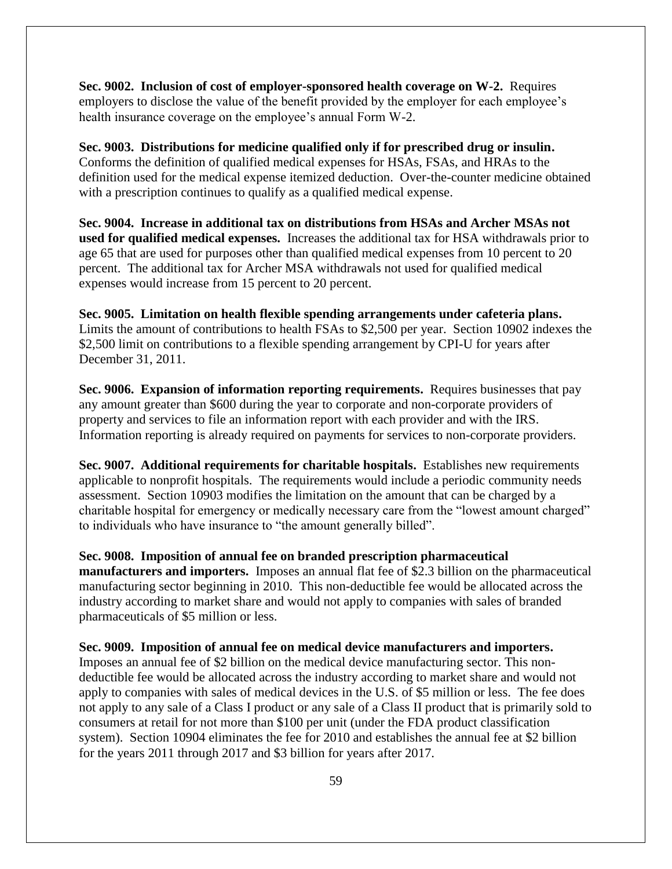**Sec. 9002. Inclusion of cost of employer-sponsored health coverage on W-2.** Requires employers to disclose the value of the benefit provided by the employer for each employee's health insurance coverage on the employee's annual Form W-2.

**Sec. 9003. Distributions for medicine qualified only if for prescribed drug or insulin.**  Conforms the definition of qualified medical expenses for HSAs, FSAs, and HRAs to the definition used for the medical expense itemized deduction. Over-the-counter medicine obtained with a prescription continues to qualify as a qualified medical expense.

**Sec. 9004. Increase in additional tax on distributions from HSAs and Archer MSAs not used for qualified medical expenses.** Increases the additional tax for HSA withdrawals prior to age 65 that are used for purposes other than qualified medical expenses from 10 percent to 20 percent. The additional tax for Archer MSA withdrawals not used for qualified medical expenses would increase from 15 percent to 20 percent.

**Sec. 9005. Limitation on health flexible spending arrangements under cafeteria plans.**  Limits the amount of contributions to health FSAs to \$2,500 per year. Section 10902 indexes the \$2,500 limit on contributions to a flexible spending arrangement by CPI-U for years after December 31, 2011.

**Sec. 9006. Expansion of information reporting requirements.** Requires businesses that pay any amount greater than \$600 during the year to corporate and non-corporate providers of property and services to file an information report with each provider and with the IRS. Information reporting is already required on payments for services to non-corporate providers.

**Sec. 9007. Additional requirements for charitable hospitals.** Establishes new requirements applicable to nonprofit hospitals. The requirements would include a periodic community needs assessment. Section 10903 modifies the limitation on the amount that can be charged by a charitable hospital for emergency or medically necessary care from the "lowest amount charged" to individuals who have insurance to "the amount generally billed".

**Sec. 9008. Imposition of annual fee on branded prescription pharmaceutical manufacturers and importers.** Imposes an annual flat fee of \$2.3 billion on the pharmaceutical manufacturing sector beginning in 2010. This non-deductible fee would be allocated across the industry according to market share and would not apply to companies with sales of branded pharmaceuticals of \$5 million or less.

**Sec. 9009. Imposition of annual fee on medical device manufacturers and importers.**  Imposes an annual fee of \$2 billion on the medical device manufacturing sector. This nondeductible fee would be allocated across the industry according to market share and would not apply to companies with sales of medical devices in the U.S. of \$5 million or less. The fee does not apply to any sale of a Class I product or any sale of a Class II product that is primarily sold to consumers at retail for not more than \$100 per unit (under the FDA product classification system). Section 10904 eliminates the fee for 2010 and establishes the annual fee at \$2 billion for the years 2011 through 2017 and \$3 billion for years after 2017.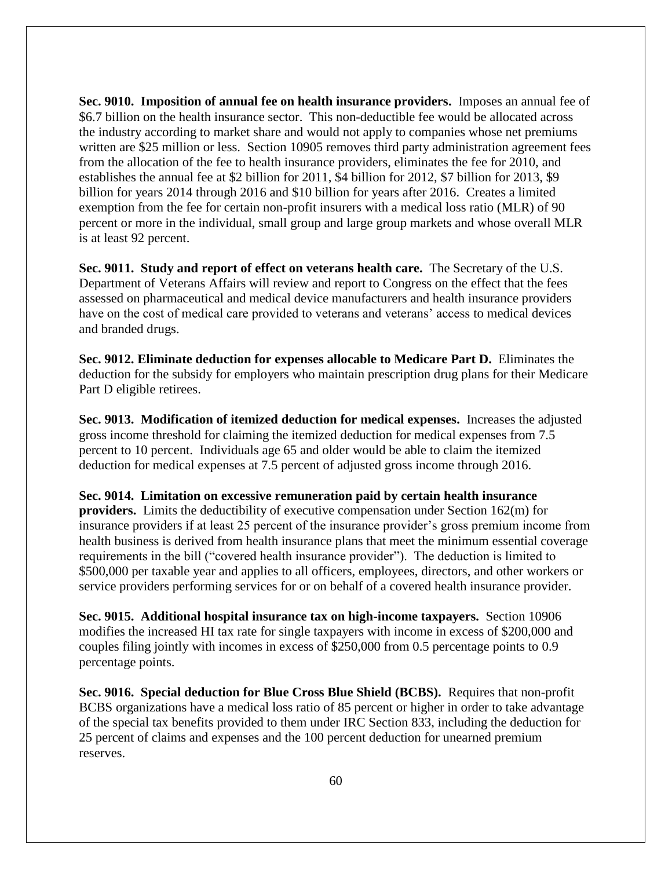**Sec. 9010. Imposition of annual fee on health insurance providers.** Imposes an annual fee of \$6.7 billion on the health insurance sector. This non-deductible fee would be allocated across the industry according to market share and would not apply to companies whose net premiums written are \$25 million or less. Section 10905 removes third party administration agreement fees from the allocation of the fee to health insurance providers, eliminates the fee for 2010, and establishes the annual fee at \$2 billion for 2011, \$4 billion for 2012, \$7 billion for 2013, \$9 billion for years 2014 through 2016 and \$10 billion for years after 2016. Creates a limited exemption from the fee for certain non-profit insurers with a medical loss ratio (MLR) of 90 percent or more in the individual, small group and large group markets and whose overall MLR is at least 92 percent.

**Sec. 9011. Study and report of effect on veterans health care.** The Secretary of the U.S. Department of Veterans Affairs will review and report to Congress on the effect that the fees assessed on pharmaceutical and medical device manufacturers and health insurance providers have on the cost of medical care provided to veterans and veterans' access to medical devices and branded drugs.

**Sec. 9012. Eliminate deduction for expenses allocable to Medicare Part D.** Eliminates the deduction for the subsidy for employers who maintain prescription drug plans for their Medicare Part D eligible retirees.

**Sec. 9013. Modification of itemized deduction for medical expenses.** Increases the adjusted gross income threshold for claiming the itemized deduction for medical expenses from 7.5 percent to 10 percent. Individuals age 65 and older would be able to claim the itemized deduction for medical expenses at 7.5 percent of adjusted gross income through 2016.

**Sec. 9014. Limitation on excessive remuneration paid by certain health insurance providers.** Limits the deductibility of executive compensation under Section 162(m) for insurance providers if at least 25 percent of the insurance provider's gross premium income from health business is derived from health insurance plans that meet the minimum essential coverage requirements in the bill ("covered health insurance provider"). The deduction is limited to \$500,000 per taxable year and applies to all officers, employees, directors, and other workers or service providers performing services for or on behalf of a covered health insurance provider.

**Sec. 9015. Additional hospital insurance tax on high-income taxpayers.** Section 10906 modifies the increased HI tax rate for single taxpayers with income in excess of \$200,000 and couples filing jointly with incomes in excess of \$250,000 from 0.5 percentage points to 0.9 percentage points.

**Sec. 9016. Special deduction for Blue Cross Blue Shield (BCBS).** Requires that non-profit BCBS organizations have a medical loss ratio of 85 percent or higher in order to take advantage of the special tax benefits provided to them under IRC Section 833, including the deduction for 25 percent of claims and expenses and the 100 percent deduction for unearned premium reserves.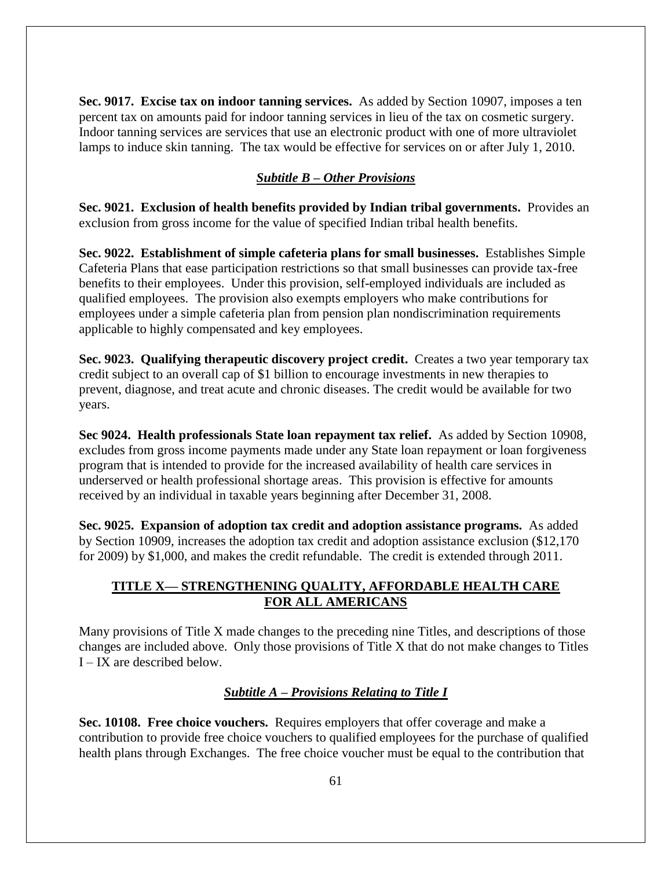**Sec. 9017. Excise tax on indoor tanning services.** As added by Section 10907, imposes a ten percent tax on amounts paid for indoor tanning services in lieu of the tax on cosmetic surgery. Indoor tanning services are services that use an electronic product with one of more ultraviolet lamps to induce skin tanning. The tax would be effective for services on or after July 1, 2010.

## *Subtitle B – Other Provisions*

**Sec. 9021. Exclusion of health benefits provided by Indian tribal governments.** Provides an exclusion from gross income for the value of specified Indian tribal health benefits.

**Sec. 9022. Establishment of simple cafeteria plans for small businesses.** Establishes Simple Cafeteria Plans that ease participation restrictions so that small businesses can provide tax-free benefits to their employees. Under this provision, self-employed individuals are included as qualified employees. The provision also exempts employers who make contributions for employees under a simple cafeteria plan from pension plan nondiscrimination requirements applicable to highly compensated and key employees.

**Sec. 9023. Qualifying therapeutic discovery project credit.** Creates a two year temporary tax credit subject to an overall cap of \$1 billion to encourage investments in new therapies to prevent, diagnose, and treat acute and chronic diseases. The credit would be available for two years.

**Sec 9024. Health professionals State loan repayment tax relief.** As added by Section 10908, excludes from gross income payments made under any State loan repayment or loan forgiveness program that is intended to provide for the increased availability of health care services in underserved or health professional shortage areas. This provision is effective for amounts received by an individual in taxable years beginning after December 31, 2008.

**Sec. 9025. Expansion of adoption tax credit and adoption assistance programs.** As added by Section 10909, increases the adoption tax credit and adoption assistance exclusion (\$12,170 for 2009) by \$1,000, and makes the credit refundable. The credit is extended through 2011.

## **TITLE X— STRENGTHENING QUALITY, AFFORDABLE HEALTH CARE FOR ALL AMERICANS**

Many provisions of Title X made changes to the preceding nine Titles, and descriptions of those changes are included above. Only those provisions of Title X that do not make changes to Titles I – IX are described below.

#### *Subtitle A – Provisions Relating to Title I*

**Sec. 10108. Free choice vouchers.** Requires employers that offer coverage and make a contribution to provide free choice vouchers to qualified employees for the purchase of qualified health plans through Exchanges. The free choice voucher must be equal to the contribution that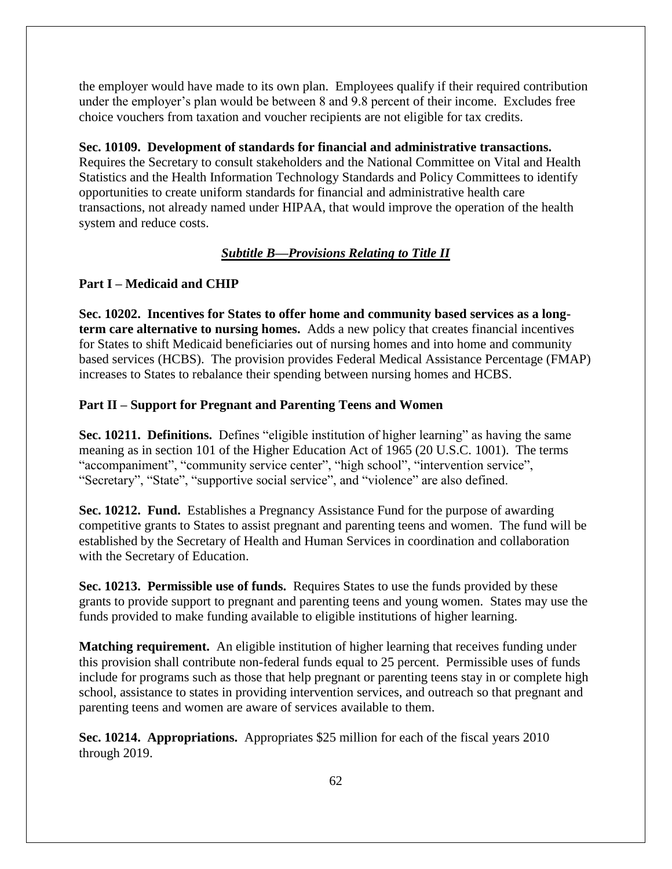the employer would have made to its own plan. Employees qualify if their required contribution under the employer's plan would be between 8 and 9.8 percent of their income. Excludes free choice vouchers from taxation and voucher recipients are not eligible for tax credits.

**Sec. 10109. Development of standards for financial and administrative transactions.** Requires the Secretary to consult stakeholders and the National Committee on Vital and Health Statistics and the Health Information Technology Standards and Policy Committees to identify opportunities to create uniform standards for financial and administrative health care transactions, not already named under HIPAA, that would improve the operation of the health system and reduce costs.

## *Subtitle B—Provisions Relating to Title II*

## **Part I – Medicaid and CHIP**

**Sec. 10202. Incentives for States to offer home and community based services as a longterm care alternative to nursing homes.** Adds a new policy that creates financial incentives for States to shift Medicaid beneficiaries out of nursing homes and into home and community based services (HCBS). The provision provides Federal Medical Assistance Percentage (FMAP) increases to States to rebalance their spending between nursing homes and HCBS.

#### **Part II – Support for Pregnant and Parenting Teens and Women**

**Sec. 10211. Definitions.** Defines "eligible institution of higher learning" as having the same meaning as in section 101 of the Higher Education Act of 1965 (20 U.S.C. 1001). The terms "accompaniment", "community service center", "high school", "intervention service", "Secretary", "State", "supportive social service", and "violence" are also defined.

**Sec. 10212. Fund.** Establishes a Pregnancy Assistance Fund for the purpose of awarding competitive grants to States to assist pregnant and parenting teens and women. The fund will be established by the Secretary of Health and Human Services in coordination and collaboration with the Secretary of Education.

**Sec. 10213. Permissible use of funds.** Requires States to use the funds provided by these grants to provide support to pregnant and parenting teens and young women. States may use the funds provided to make funding available to eligible institutions of higher learning.

**Matching requirement.** An eligible institution of higher learning that receives funding under this provision shall contribute non-federal funds equal to 25 percent. Permissible uses of funds include for programs such as those that help pregnant or parenting teens stay in or complete high school, assistance to states in providing intervention services, and outreach so that pregnant and parenting teens and women are aware of services available to them.

**Sec. 10214. Appropriations.** Appropriates \$25 million for each of the fiscal years 2010 through 2019.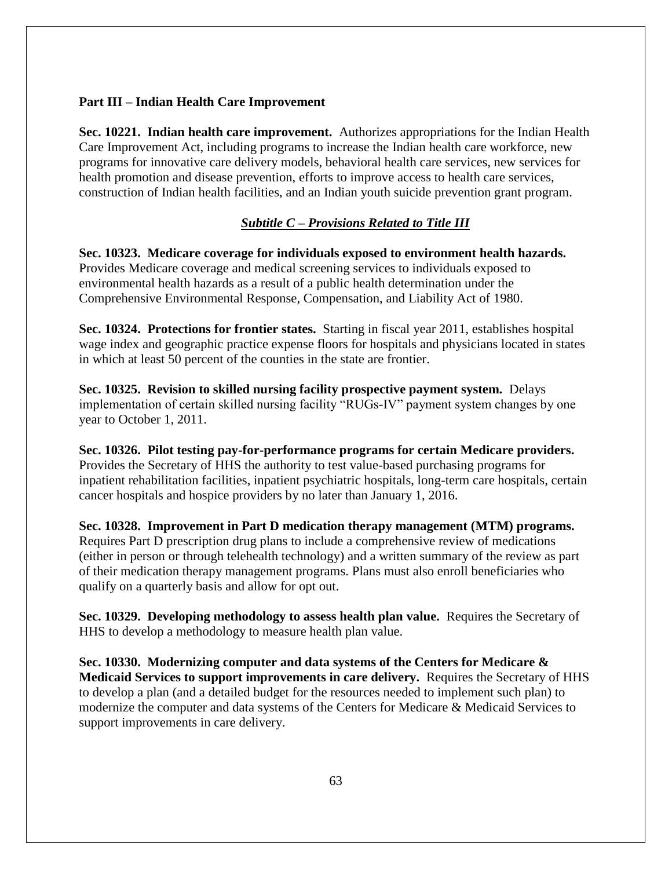## **Part III – Indian Health Care Improvement**

**Sec. 10221. Indian health care improvement.** Authorizes appropriations for the Indian Health Care Improvement Act, including programs to increase the Indian health care workforce, new programs for innovative care delivery models, behavioral health care services, new services for health promotion and disease prevention, efforts to improve access to health care services, construction of Indian health facilities, and an Indian youth suicide prevention grant program.

## *Subtitle C – Provisions Related to Title III*

**Sec. 10323. Medicare coverage for individuals exposed to environment health hazards.**  Provides Medicare coverage and medical screening services to individuals exposed to environmental health hazards as a result of a public health determination under the Comprehensive Environmental Response, Compensation, and Liability Act of 1980.

**Sec. 10324. Protections for frontier states.** Starting in fiscal year 2011, establishes hospital wage index and geographic practice expense floors for hospitals and physicians located in states in which at least 50 percent of the counties in the state are frontier.

**Sec. 10325. Revision to skilled nursing facility prospective payment system.** Delays implementation of certain skilled nursing facility "RUGs-IV" payment system changes by one year to October 1, 2011.

**Sec. 10326. Pilot testing pay-for-performance programs for certain Medicare providers.**  Provides the Secretary of HHS the authority to test value-based purchasing programs for inpatient rehabilitation facilities, inpatient psychiatric hospitals, long-term care hospitals, certain cancer hospitals and hospice providers by no later than January 1, 2016.

**Sec. 10328. Improvement in Part D medication therapy management (MTM) programs.**  Requires Part D prescription drug plans to include a comprehensive review of medications (either in person or through telehealth technology) and a written summary of the review as part of their medication therapy management programs. Plans must also enroll beneficiaries who qualify on a quarterly basis and allow for opt out.

**Sec. 10329. Developing methodology to assess health plan value.** Requires the Secretary of HHS to develop a methodology to measure health plan value.

**Sec. 10330. Modernizing computer and data systems of the Centers for Medicare & Medicaid Services to support improvements in care delivery.** Requires the Secretary of HHS to develop a plan (and a detailed budget for the resources needed to implement such plan) to modernize the computer and data systems of the Centers for Medicare & Medicaid Services to support improvements in care delivery.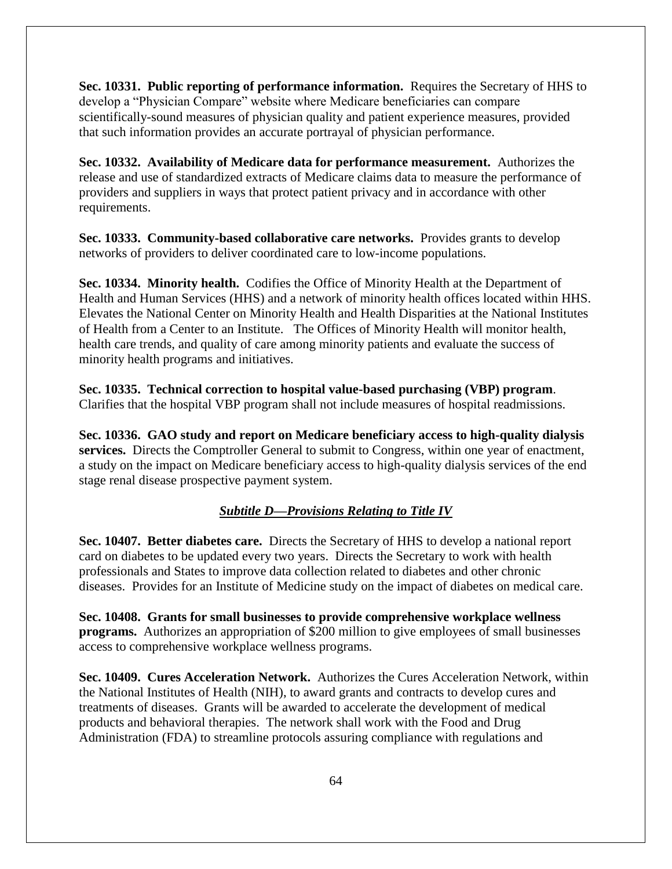**Sec. 10331. Public reporting of performance information.** Requires the Secretary of HHS to develop a "Physician Compare" website where Medicare beneficiaries can compare scientifically-sound measures of physician quality and patient experience measures, provided that such information provides an accurate portrayal of physician performance.

**Sec. 10332. Availability of Medicare data for performance measurement.** Authorizes the release and use of standardized extracts of Medicare claims data to measure the performance of providers and suppliers in ways that protect patient privacy and in accordance with other requirements.

**Sec. 10333. Community-based collaborative care networks.** Provides grants to develop networks of providers to deliver coordinated care to low-income populations.

**Sec. 10334. Minority health.** Codifies the Office of Minority Health at the Department of Health and Human Services (HHS) and a network of minority health offices located within HHS. Elevates the National Center on Minority Health and Health Disparities at the National Institutes of Health from a Center to an Institute. The Offices of Minority Health will monitor health, health care trends, and quality of care among minority patients and evaluate the success of minority health programs and initiatives.

**Sec. 10335. Technical correction to hospital value-based purchasing (VBP) program**. Clarifies that the hospital VBP program shall not include measures of hospital readmissions.

**Sec. 10336. GAO study and report on Medicare beneficiary access to high-quality dialysis services.** Directs the Comptroller General to submit to Congress, within one year of enactment, a study on the impact on Medicare beneficiary access to high-quality dialysis services of the end stage renal disease prospective payment system.

## *Subtitle D—Provisions Relating to Title IV*

**Sec. 10407. Better diabetes care.** Directs the Secretary of HHS to develop a national report card on diabetes to be updated every two years. Directs the Secretary to work with health professionals and States to improve data collection related to diabetes and other chronic diseases. Provides for an Institute of Medicine study on the impact of diabetes on medical care.

**Sec. 10408. Grants for small businesses to provide comprehensive workplace wellness programs.** Authorizes an appropriation of \$200 million to give employees of small businesses access to comprehensive workplace wellness programs.

**Sec. 10409. Cures Acceleration Network.** Authorizes the Cures Acceleration Network, within the National Institutes of Health (NIH), to award grants and contracts to develop cures and treatments of diseases. Grants will be awarded to accelerate the development of medical products and behavioral therapies. The network shall work with the Food and Drug Administration (FDA) to streamline protocols assuring compliance with regulations and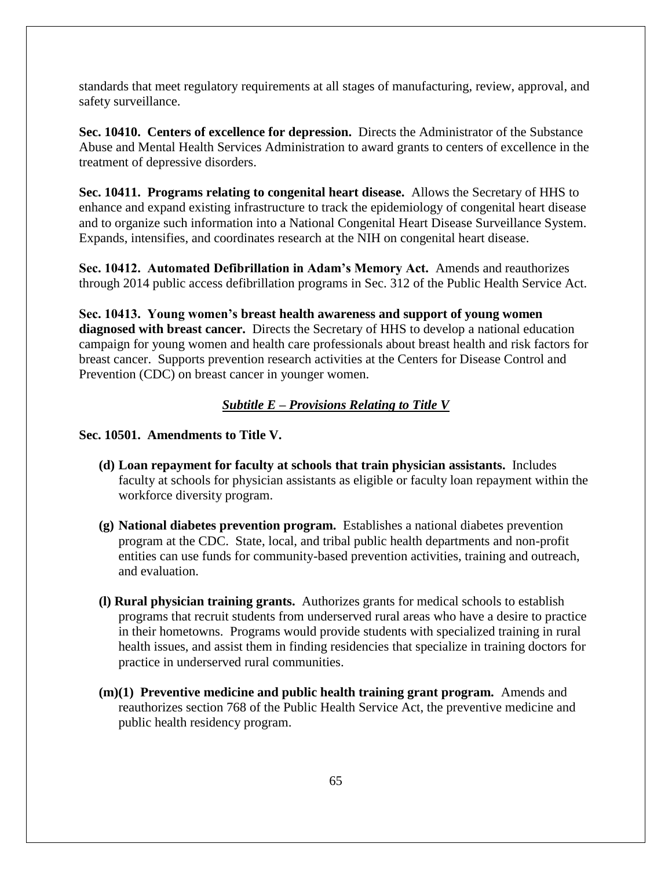standards that meet regulatory requirements at all stages of manufacturing, review, approval, and safety surveillance.

**Sec. 10410. Centers of excellence for depression.** Directs the Administrator of the Substance Abuse and Mental Health Services Administration to award grants to centers of excellence in the treatment of depressive disorders.

**Sec. 10411. Programs relating to congenital heart disease.** Allows the Secretary of HHS to enhance and expand existing infrastructure to track the epidemiology of congenital heart disease and to organize such information into a National Congenital Heart Disease Surveillance System. Expands, intensifies, and coordinates research at the NIH on congenital heart disease.

**Sec. 10412. Automated Defibrillation in Adam's Memory Act.** Amends and reauthorizes through 2014 public access defibrillation programs in Sec. 312 of the Public Health Service Act.

**Sec. 10413. Young women's breast health awareness and support of young women diagnosed with breast cancer.** Directs the Secretary of HHS to develop a national education campaign for young women and health care professionals about breast health and risk factors for breast cancer. Supports prevention research activities at the Centers for Disease Control and Prevention (CDC) on breast cancer in younger women.

## *Subtitle E – Provisions Relating to Title V*

#### **Sec. 10501. Amendments to Title V.**

- **(d) Loan repayment for faculty at schools that train physician assistants.** Includes faculty at schools for physician assistants as eligible or faculty loan repayment within the workforce diversity program.
- **(g) National diabetes prevention program.** Establishes a national diabetes prevention program at the CDC. State, local, and tribal public health departments and non-profit entities can use funds for community-based prevention activities, training and outreach, and evaluation.
- **(l) Rural physician training grants.** Authorizes grants for medical schools to establish programs that recruit students from underserved rural areas who have a desire to practice in their hometowns. Programs would provide students with specialized training in rural health issues, and assist them in finding residencies that specialize in training doctors for practice in underserved rural communities.
- **(m)(1) Preventive medicine and public health training grant program.** Amends and reauthorizes section 768 of the Public Health Service Act, the preventive medicine and public health residency program.